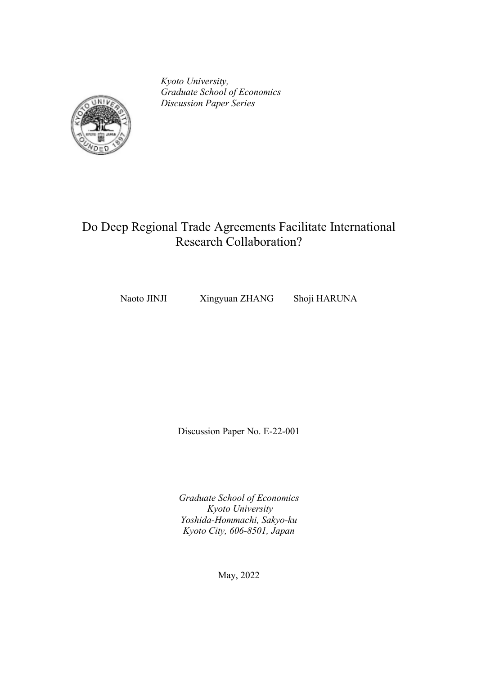*Kyoto University, Graduate School of Economics Discussion Paper Series*



## Do Deep Regional Trade Agreements Facilitate International Research Collaboration?

Naoto JINJI Xingyuan ZHANG Shoji HARUNA

Discussion Paper No. E-22-001

*Graduate School of Economics Kyoto University Yoshida-Hommachi, Sakyo-ku Kyoto City, 606-8501, Japan*

May, 2022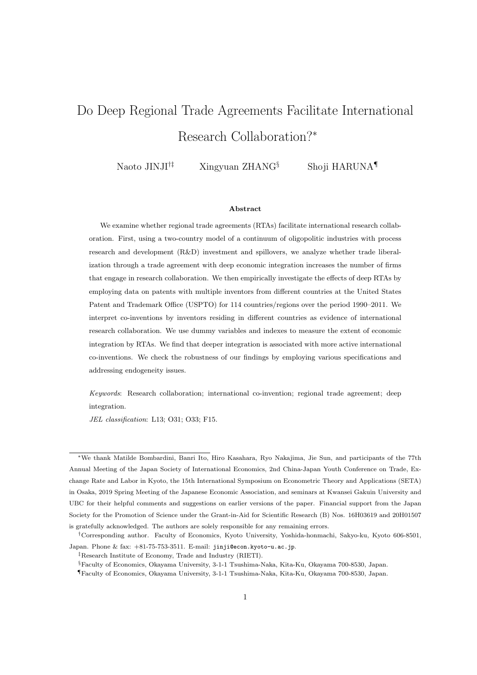# Do Deep Regional Trade Agreements Facilitate International Research Collaboration?*<sup>∗</sup>*

Naoto JINJI*†‡* Xingyuan ZHANG*§* Shoji HARUNA*¶*

#### **Abstract**

We examine whether regional trade agreements (RTAs) facilitate international research collaboration. First, using a two-country model of a continuum of oligopolitic industries with process research and development (R&D) investment and spillovers, we analyze whether trade liberalization through a trade agreement with deep economic integration increases the number of firms that engage in research collaboration. We then empirically investigate the effects of deep RTAs by employing data on patents with multiple inventors from different countries at the United States Patent and Trademark Office (USPTO) for 114 countries/regions over the period 1990–2011. We interpret co-inventions by inventors residing in different countries as evidence of international research collaboration. We use dummy variables and indexes to measure the extent of economic integration by RTAs. We find that deeper integration is associated with more active international co-inventions. We check the robustness of our findings by employing various specifications and addressing endogeneity issues.

*Keywords*: Research collaboration; international co-invention; regional trade agreement; deep integration.

*JEL classification*: L13; O31; O33; F15.

*<sup>∗</sup>*We thank Matilde Bombardini, Banri Ito, Hiro Kasahara, Ryo Nakajima, Jie Sun, and participants of the 77th Annual Meeting of the Japan Society of International Economics, 2nd China-Japan Youth Conference on Trade, Exchange Rate and Labor in Kyoto, the 15th International Symposium on Econometric Theory and Applications (SETA) in Osaka, 2019 Spring Meeting of the Japanese Economic Association, and seminars at Kwansei Gakuin University and UBC for their helpful comments and suggestions on earlier versions of the paper. Financial support from the Japan Society for the Promotion of Science under the Grant-in-Aid for Scientific Research (B) Nos. 16H03619 and 20H01507

is gratefully acknowledged. The authors are solely responsible for any remaining errors.

*<sup>†</sup>*Corresponding author. Faculty of Economics, Kyoto University, Yoshida-honmachi, Sakyo-ku, Kyoto 606-8501, Japan. Phone & fax: +81-75-753-3511. E-mail: jinji@econ.kyoto-u.ac.jp.

*<sup>‡</sup>*Research Institute of Economy, Trade and Industry (RIETI).

*<sup>§</sup>*Faculty of Economics, Okayama University, 3-1-1 Tsushima-Naka, Kita-Ku, Okayama 700-8530, Japan.

*<sup>¶</sup>*Faculty of Economics, Okayama University, 3-1-1 Tsushima-Naka, Kita-Ku, Okayama 700-8530, Japan.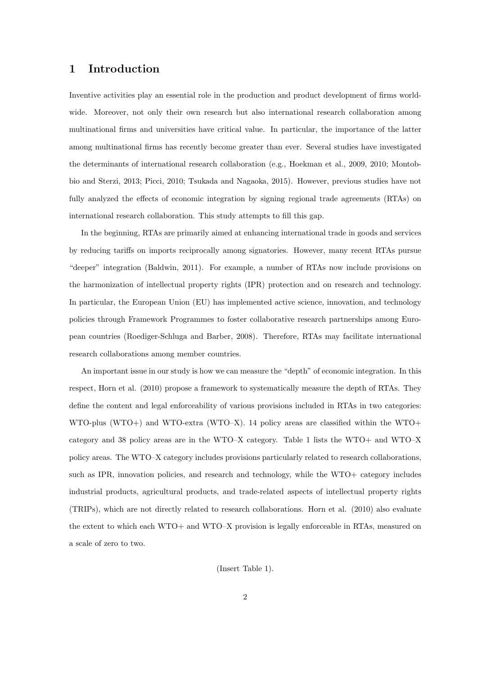## **1 Introduction**

Inventive activities play an essential role in the production and product development of firms worldwide. Moreover, not only their own research but also international research collaboration among multinational firms and universities have critical value. In particular, the importance of the latter among multinational firms has recently become greater than ever. Several studies have investigated the determinants of international research collaboration (e.g., Hoekman et al., 2009, 2010; Montobbio and Sterzi, 2013; Picci, 2010; Tsukada and Nagaoka, 2015). However, previous studies have not fully analyzed the effects of economic integration by signing regional trade agreements (RTAs) on international research collaboration. This study attempts to fill this gap.

In the beginning, RTAs are primarily aimed at enhancing international trade in goods and services by reducing tariffs on imports reciprocally among signatories. However, many recent RTAs pursue "deeper" integration (Baldwin, 2011). For example, a number of RTAs now include provisions on the harmonization of intellectual property rights (IPR) protection and on research and technology. In particular, the European Union (EU) has implemented active science, innovation, and technology policies through Framework Programmes to foster collaborative research partnerships among European countries (Roediger-Schluga and Barber, 2008). Therefore, RTAs may facilitate international research collaborations among member countries.

An important issue in our study is how we can measure the "depth" of economic integration. In this respect, Horn et al. (2010) propose a framework to systematically measure the depth of RTAs. They define the content and legal enforceability of various provisions included in RTAs in two categories: WTO-plus (WTO+) and WTO-extra (WTO-X). 14 policy areas are classified within the WTO+ category and 38 policy areas are in the WTO–X category. Table 1 lists the WTO+ and WTO–X policy areas. The WTO–X category includes provisions particularly related to research collaborations, such as IPR, innovation policies, and research and technology, while the WTO+ category includes industrial products, agricultural products, and trade-related aspects of intellectual property rights (TRIPs), which are not directly related to research collaborations. Horn et al. (2010) also evaluate the extent to which each WTO+ and WTO–X provision is legally enforceable in RTAs, measured on a scale of zero to two.

(Insert Table 1).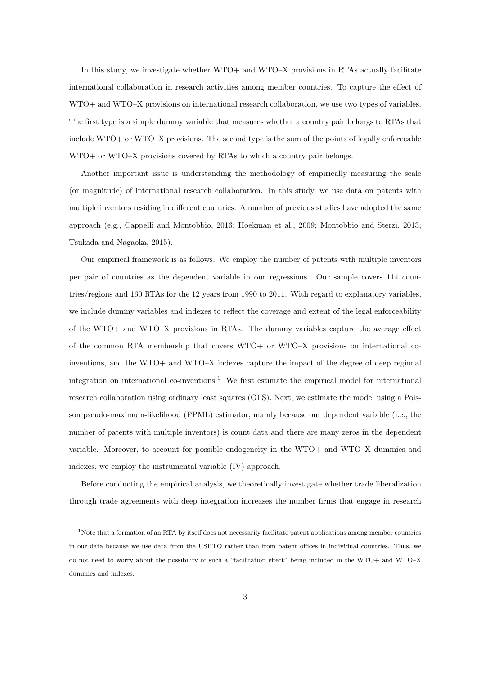In this study, we investigate whether WTO+ and WTO–X provisions in RTAs actually facilitate international collaboration in research activities among member countries. To capture the effect of WTO+ and WTO–X provisions on international research collaboration, we use two types of variables. The first type is a simple dummy variable that measures whether a country pair belongs to RTAs that include WTO+ or WTO–X provisions. The second type is the sum of the points of legally enforceable WTO+ or WTO–X provisions covered by RTAs to which a country pair belongs.

Another important issue is understanding the methodology of empirically measuring the scale (or magnitude) of international research collaboration. In this study, we use data on patents with multiple inventors residing in different countries. A number of previous studies have adopted the same approach (e.g., Cappelli and Montobbio, 2016; Hoekman et al., 2009; Montobbio and Sterzi, 2013; Tsukada and Nagaoka, 2015).

Our empirical framework is as follows. We employ the number of patents with multiple inventors per pair of countries as the dependent variable in our regressions. Our sample covers 114 countries/regions and 160 RTAs for the 12 years from 1990 to 2011. With regard to explanatory variables, we include dummy variables and indexes to reflect the coverage and extent of the legal enforceability of the WTO+ and WTO–X provisions in RTAs. The dummy variables capture the average effect of the common RTA membership that covers WTO+ or WTO–X provisions on international coinventions, and the WTO+ and WTO–X indexes capture the impact of the degree of deep regional integration on international co-inventions.<sup>1</sup> We first estimate the empirical model for international research collaboration using ordinary least squares (OLS). Next, we estimate the model using a Poisson pseudo-maximum-likelihood (PPML) estimator, mainly because our dependent variable (i.e., the number of patents with multiple inventors) is count data and there are many zeros in the dependent variable. Moreover, to account for possible endogeneity in the WTO+ and WTO–X dummies and indexes, we employ the instrumental variable (IV) approach.

Before conducting the empirical analysis, we theoretically investigate whether trade liberalization through trade agreements with deep integration increases the number firms that engage in research

 $1$ Note that a formation of an RTA by itself does not necessarily facilitate patent applications among member countries in our data because we use data from the USPTO rather than from patent offices in individual countries. Thus, we do not need to worry about the possibility of such a "facilitation effect" being included in the WTO+ and WTO–X dummies and indexes.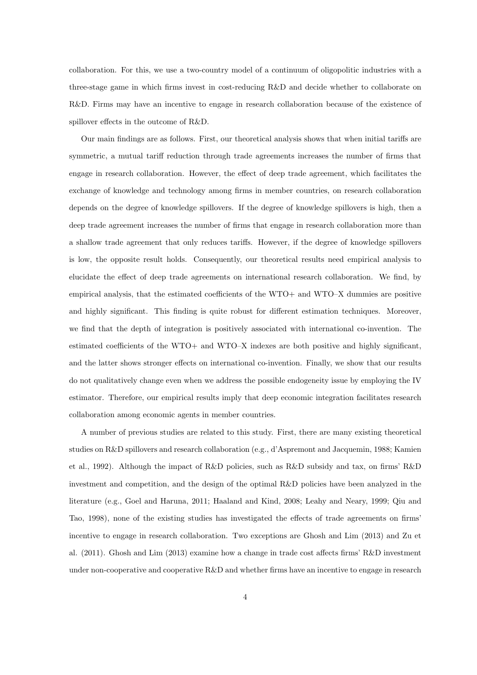collaboration. For this, we use a two-country model of a continuum of oligopolitic industries with a three-stage game in which firms invest in cost-reducing R&D and decide whether to collaborate on R&D. Firms may have an incentive to engage in research collaboration because of the existence of spillover effects in the outcome of R&D.

Our main findings are as follows. First, our theoretical analysis shows that when initial tariffs are symmetric, a mutual tariff reduction through trade agreements increases the number of firms that engage in research collaboration. However, the effect of deep trade agreement, which facilitates the exchange of knowledge and technology among firms in member countries, on research collaboration depends on the degree of knowledge spillovers. If the degree of knowledge spillovers is high, then a deep trade agreement increases the number of firms that engage in research collaboration more than a shallow trade agreement that only reduces tariffs. However, if the degree of knowledge spillovers is low, the opposite result holds. Consequently, our theoretical results need empirical analysis to elucidate the effect of deep trade agreements on international research collaboration. We find, by empirical analysis, that the estimated coefficients of the WTO+ and WTO–X dummies are positive and highly significant. This finding is quite robust for different estimation techniques. Moreover, we find that the depth of integration is positively associated with international co-invention. The estimated coefficients of the WTO+ and WTO–X indexes are both positive and highly significant, and the latter shows stronger effects on international co-invention. Finally, we show that our results do not qualitatively change even when we address the possible endogeneity issue by employing the IV estimator. Therefore, our empirical results imply that deep economic integration facilitates research collaboration among economic agents in member countries.

A number of previous studies are related to this study. First, there are many existing theoretical studies on R&D spillovers and research collaboration (e.g., d'Aspremont and Jacquemin, 1988; Kamien et al., 1992). Although the impact of R&D policies, such as R&D subsidy and tax, on firms' R&D investment and competition, and the design of the optimal R&D policies have been analyzed in the literature (e.g., Goel and Haruna, 2011; Haaland and Kind, 2008; Leahy and Neary, 1999; Qiu and Tao, 1998), none of the existing studies has investigated the effects of trade agreements on firms' incentive to engage in research collaboration. Two exceptions are Ghosh and Lim (2013) and Zu et al. (2011). Ghosh and Lim (2013) examine how a change in trade cost affects firms' R&D investment under non-cooperative and cooperative R&D and whether firms have an incentive to engage in research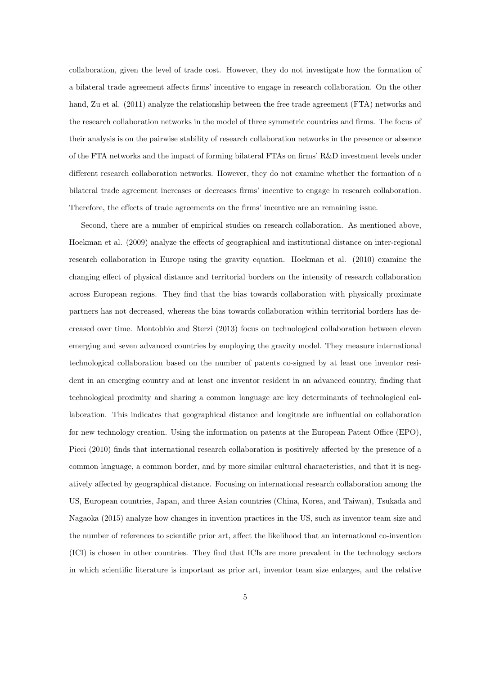collaboration, given the level of trade cost. However, they do not investigate how the formation of a bilateral trade agreement affects firms' incentive to engage in research collaboration. On the other hand, Zu et al. (2011) analyze the relationship between the free trade agreement (FTA) networks and the research collaboration networks in the model of three symmetric countries and firms. The focus of their analysis is on the pairwise stability of research collaboration networks in the presence or absence of the FTA networks and the impact of forming bilateral FTAs on firms' R&D investment levels under different research collaboration networks. However, they do not examine whether the formation of a bilateral trade agreement increases or decreases firms' incentive to engage in research collaboration. Therefore, the effects of trade agreements on the firms' incentive are an remaining issue.

Second, there are a number of empirical studies on research collaboration. As mentioned above, Hoekman et al. (2009) analyze the effects of geographical and institutional distance on inter-regional research collaboration in Europe using the gravity equation. Hoekman et al. (2010) examine the changing effect of physical distance and territorial borders on the intensity of research collaboration across European regions. They find that the bias towards collaboration with physically proximate partners has not decreased, whereas the bias towards collaboration within territorial borders has decreased over time. Montobbio and Sterzi (2013) focus on technological collaboration between eleven emerging and seven advanced countries by employing the gravity model. They measure international technological collaboration based on the number of patents co-signed by at least one inventor resident in an emerging country and at least one inventor resident in an advanced country, finding that technological proximity and sharing a common language are key determinants of technological collaboration. This indicates that geographical distance and longitude are influential on collaboration for new technology creation. Using the information on patents at the European Patent Office (EPO), Picci (2010) finds that international research collaboration is positively affected by the presence of a common language, a common border, and by more similar cultural characteristics, and that it is negatively affected by geographical distance. Focusing on international research collaboration among the US, European countries, Japan, and three Asian countries (China, Korea, and Taiwan), Tsukada and Nagaoka (2015) analyze how changes in invention practices in the US, such as inventor team size and the number of references to scientific prior art, affect the likelihood that an international co-invention (ICI) is chosen in other countries. They find that ICIs are more prevalent in the technology sectors in which scientific literature is important as prior art, inventor team size enlarges, and the relative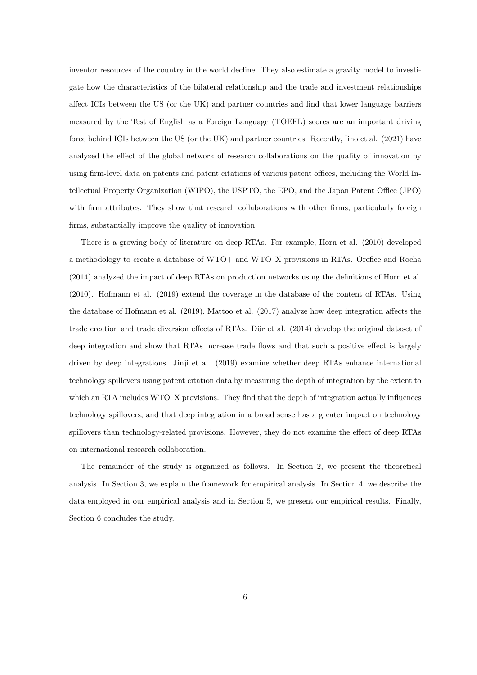inventor resources of the country in the world decline. They also estimate a gravity model to investigate how the characteristics of the bilateral relationship and the trade and investment relationships affect ICIs between the US (or the UK) and partner countries and find that lower language barriers measured by the Test of English as a Foreign Language (TOEFL) scores are an important driving force behind ICIs between the US (or the UK) and partner countries. Recently, Iino et al. (2021) have analyzed the effect of the global network of research collaborations on the quality of innovation by using firm-level data on patents and patent citations of various patent offices, including the World Intellectual Property Organization (WIPO), the USPTO, the EPO, and the Japan Patent Office (JPO) with firm attributes. They show that research collaborations with other firms, particularly foreign firms, substantially improve the quality of innovation.

There is a growing body of literature on deep RTAs. For example, Horn et al. (2010) developed a methodology to create a database of WTO+ and WTO–X provisions in RTAs. Orefice and Rocha (2014) analyzed the impact of deep RTAs on production networks using the definitions of Horn et al. (2010). Hofmann et al. (2019) extend the coverage in the database of the content of RTAs. Using the database of Hofmann et al. (2019), Mattoo et al. (2017) analyze how deep integration affects the trade creation and trade diversion effects of RTAs. Dür et al. (2014) develop the original dataset of deep integration and show that RTAs increase trade flows and that such a positive effect is largely driven by deep integrations. Jinji et al. (2019) examine whether deep RTAs enhance international technology spillovers using patent citation data by measuring the depth of integration by the extent to which an RTA includes WTO–X provisions. They find that the depth of integration actually influences technology spillovers, and that deep integration in a broad sense has a greater impact on technology spillovers than technology-related provisions. However, they do not examine the effect of deep RTAs on international research collaboration.

The remainder of the study is organized as follows. In Section 2, we present the theoretical analysis. In Section 3, we explain the framework for empirical analysis. In Section 4, we describe the data employed in our empirical analysis and in Section 5, we present our empirical results. Finally, Section 6 concludes the study.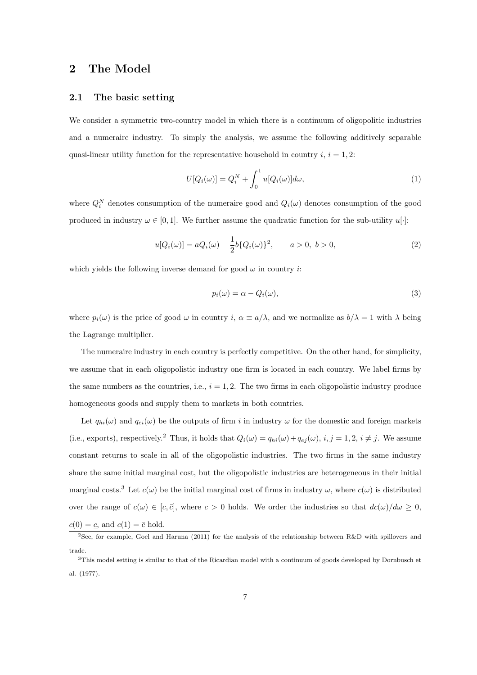## **2 The Model**

#### **2.1 The basic setting**

We consider a symmetric two-country model in which there is a continuum of oligopolitic industries and a numeraire industry. To simply the analysis, we assume the following additively separable quasi-linear utility function for the representative household in country  $i, i = 1, 2$ :

$$
U[Q_i(\omega)] = Q_i^N + \int_0^1 u[Q_i(\omega)]d\omega,
$$
\n(1)

where  $Q_i^N$  denotes consumption of the numeraire good and  $Q_i(\omega)$  denotes consumption of the good produced in industry  $\omega \in [0, 1]$ . We further assume the quadratic function for the sub-utility  $u[\cdot]$ :

$$
u[Q_i(\omega)] = aQ_i(\omega) - \frac{1}{2}b\{Q_i(\omega)\}^2, \qquad a > 0, \ b > 0,
$$
\n(2)

which yields the following inverse demand for good  $\omega$  in country *i*:

$$
p_i(\omega) = \alpha - Q_i(\omega),\tag{3}
$$

where  $p_i(\omega)$  is the price of good  $\omega$  in country *i*,  $\alpha \equiv a/\lambda$ , and we normalize as  $b/\lambda = 1$  with  $\lambda$  being the Lagrange multiplier.

The numeraire industry in each country is perfectly competitive. On the other hand, for simplicity, we assume that in each oligopolistic industry one firm is located in each country. We label firms by the same numbers as the countries, i.e.,  $i = 1, 2$ . The two firms in each oligopolistic industry produce homogeneous goods and supply them to markets in both countries.

Let  $q_{hi}(\omega)$  and  $q_{ei}(\omega)$  be the outputs of firm *i* in industry  $\omega$  for the domestic and foreign markets (i.e., exports), respectively.<sup>2</sup> Thus, it holds that  $Q_i(\omega) = q_{hi}(\omega) + q_{ej}(\omega)$ ,  $i, j = 1, 2, i \neq j$ . We assume constant returns to scale in all of the oligopolistic industries. The two firms in the same industry share the same initial marginal cost, but the oligopolistic industries are heterogeneous in their initial marginal costs.<sup>3</sup> Let  $c(\omega)$  be the initial marginal cost of firms in industry  $\omega$ , where  $c(\omega)$  is distributed over the range of  $c(\omega) \in [\underline{c}, \overline{c}]$ , where  $\underline{c} > 0$  holds. We order the industries so that  $dc(\omega)/d\omega \geq 0$ ,  $c(0) = \underline{c}$ , and  $c(1) = \overline{c}$  hold.

<sup>&</sup>lt;sup>2</sup>See, for example, Goel and Haruna (2011) for the analysis of the relationship between R&D with spillovers and trade.

<sup>3</sup>This model setting is similar to that of the Ricardian model with a continuum of goods developed by Dornbusch et al. (1977).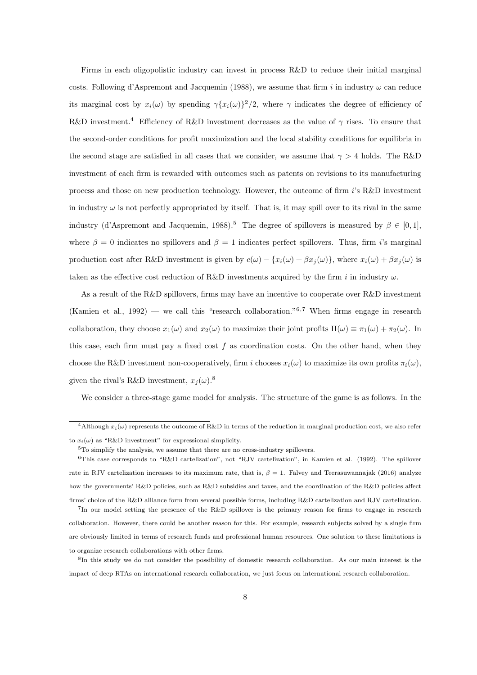Firms in each oligopolistic industry can invest in process R&D to reduce their initial marginal costs. Following d'Aspremont and Jacquemin (1988), we assume that firm *i* in industry *ω* can reduce its marginal cost by  $x_i(\omega)$  by spending  $\gamma \{x_i(\omega)\}^2/2$ , where  $\gamma$  indicates the degree of efficiency of R&D investment.<sup>4</sup> Efficiency of R&D investment decreases as the value of *γ* rises. To ensure that the second-order conditions for profit maximization and the local stability conditions for equilibria in the second stage are satisfied in all cases that we consider, we assume that *γ >* 4 holds. The R&D investment of each firm is rewarded with outcomes such as patents on revisions to its manufacturing process and those on new production technology. However, the outcome of firm *i*'s R&D investment in industry  $\omega$  is not perfectly appropriated by itself. That is, it may spill over to its rival in the same industry (d'Aspremont and Jacquemin, 1988).<sup>5</sup> The degree of spillovers is measured by  $\beta \in [0, 1]$ , where  $\beta = 0$  indicates no spillovers and  $\beta = 1$  indicates perfect spillovers. Thus, firm *i*'s marginal production cost after R&D investment is given by  $c(\omega) - \{x_i(\omega) + \beta x_i(\omega)\}\)$ , where  $x_i(\omega) + \beta x_i(\omega)$  is taken as the effective cost reduction of R&D investments acquired by the firm *i* in industry *ω*.

As a result of the R&D spillovers, firms may have an incentive to cooperate over R&D investment (Kamien et al., 1992) — we call this "research collaboration."<sup>6</sup>*,*<sup>7</sup> When firms engage in research collaboration, they choose  $x_1(\omega)$  and  $x_2(\omega)$  to maximize their joint profits  $\Pi(\omega) \equiv \pi_1(\omega) + \pi_2(\omega)$ . In this case, each firm must pay a fixed cost *f* as coordination costs. On the other hand, when they choose the R&D investment non-cooperatively, firm *i* chooses  $x_i(\omega)$  to maximize its own profits  $\pi_i(\omega)$ , given the rival's R&D investment,  $x_i(\omega)$ .<sup>8</sup>

We consider a three-stage game model for analysis. The structure of the game is as follows. In the

<sup>&</sup>lt;sup>4</sup>Although  $x_i(\omega)$  represents the outcome of R&D in terms of the reduction in marginal production cost, we also refer to  $x_i(\omega)$  as "R&D investment" for expressional simplicity.

<sup>&</sup>lt;sup>5</sup>To simplify the analysis, we assume that there are no cross-industry spillovers.

<sup>6</sup>This case corresponds to "R&D cartelization", not "RJV cartelization", in Kamien et al. (1992). The spillover rate in RJV cartelization increases to its maximum rate, that is,  $\beta = 1$ . Falvey and Teerasuwannajak (2016) analyze how the governments' R&D policies, such as R&D subsidies and taxes, and the coordination of the R&D policies affect firms' choice of the R&D alliance form from several possible forms, including R&D cartelization and RJV cartelization. <sup>7</sup>In our model setting the presence of the R&D spillover is the primary reason for firms to engage in research collaboration. However, there could be another reason for this. For example, research subjects solved by a single firm

are obviously limited in terms of research funds and professional human resources. One solution to these limitations is to organize research collaborations with other firms.

<sup>8</sup> In this study we do not consider the possibility of domestic research collaboration. As our main interest is the impact of deep RTAs on international research collaboration, we just focus on international research collaboration.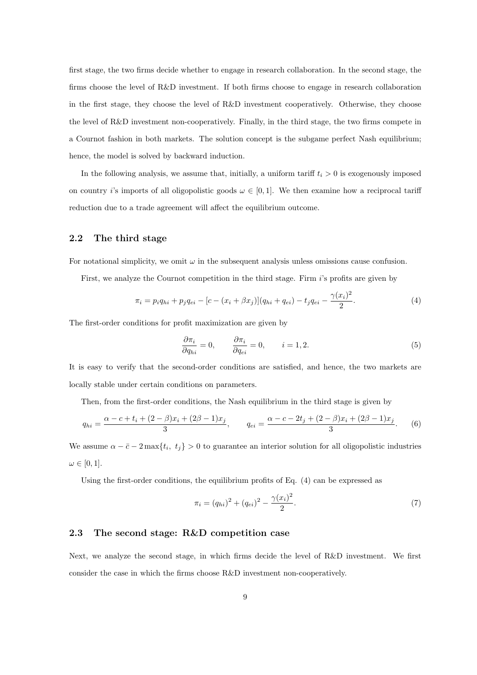first stage, the two firms decide whether to engage in research collaboration. In the second stage, the firms choose the level of R&D investment. If both firms choose to engage in research collaboration in the first stage, they choose the level of R&D investment cooperatively. Otherwise, they choose the level of R&D investment non-cooperatively. Finally, in the third stage, the two firms compete in a Cournot fashion in both markets. The solution concept is the subgame perfect Nash equilibrium; hence, the model is solved by backward induction.

In the following analysis, we assume that, initially, a uniform tariff  $t_i > 0$  is exogenously imposed on country *i*'s imports of all oligopolistic goods  $\omega \in [0,1]$ . We then examine how a reciprocal tariff reduction due to a trade agreement will affect the equilibrium outcome.

#### **2.2 The third stage**

For notational simplicity, we omit  $\omega$  in the subsequent analysis unless omissions cause confusion.

First, we analyze the Cournot competition in the third stage. Firm *i*'s profits are given by

$$
\pi_i = p_i q_{hi} + p_j q_{ei} - [c - (x_i + \beta x_j)](q_{hi} + q_{ei}) - t_j q_{ei} - \frac{\gamma (x_i)^2}{2}.
$$
\n(4)

The first-order conditions for profit maximization are given by

$$
\frac{\partial \pi_i}{\partial q_{hi}} = 0, \qquad \frac{\partial \pi_i}{\partial q_{ei}} = 0, \qquad i = 1, 2.
$$
 (5)

It is easy to verify that the second-order conditions are satisfied, and hence, the two markets are locally stable under certain conditions on parameters.

Then, from the first-order conditions, the Nash equilibrium in the third stage is given by

$$
q_{hi} = \frac{\alpha - c + t_i + (2 - \beta)x_i + (2\beta - 1)x_j}{3}, \qquad q_{ei} = \frac{\alpha - c - 2t_j + (2 - \beta)x_i + (2\beta - 1)x_j}{3}.
$$
 (6)

We assume  $\alpha - \bar{c} - 2 \max\{t_i, t_j\} > 0$  to guarantee an interior solution for all oligopolistic industries  $\omega \in [0, 1].$ 

Using the first-order conditions, the equilibrium profits of Eq. (4) can be expressed as

$$
\pi_i = (q_{hi})^2 + (q_{ei})^2 - \frac{\gamma(x_i)^2}{2}.
$$
\n(7)

#### **2.3 The second stage: R&D competition case**

Next, we analyze the second stage, in which firms decide the level of R&D investment. We first consider the case in which the firms choose R&D investment non-cooperatively.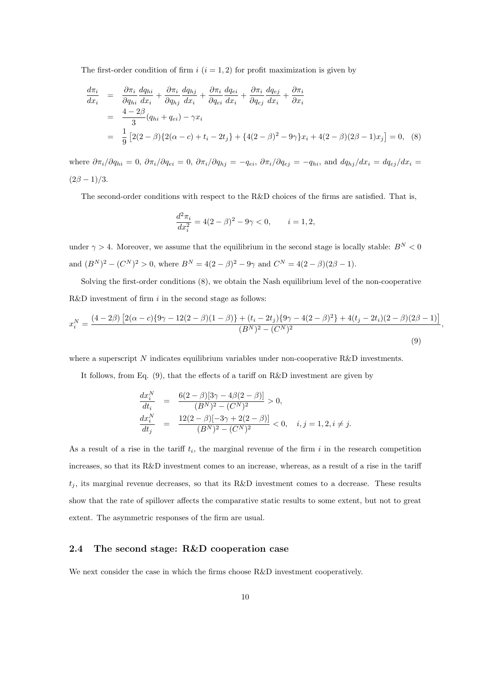The first-order condition of firm  $i$   $(i = 1, 2)$  for profit maximization is given by

$$
\frac{d\pi_i}{dx_i} = \frac{\partial \pi_i}{\partial q_{hi}} \frac{dq_{hi}}{dx_i} + \frac{\partial \pi_i}{\partial q_{hj}} \frac{dq_{hj}}{dx_i} + \frac{\partial \pi_i}{\partial q_{ei}} \frac{dq_{ei}}{dx_i} + \frac{\partial \pi_i}{\partial q_{ej}} \frac{dq_{ej}}{dx_i} + \frac{\partial \pi_i}{\partial x_i}
$$
\n
$$
= \frac{4 - 2\beta}{3} (q_{hi} + q_{ei}) - \gamma x_i
$$
\n
$$
= \frac{1}{9} [2(2 - \beta)\{2(\alpha - c) + t_i - 2t_j\} + \{4(2 - \beta)^2 - 9\gamma\}x_i + 4(2 - \beta)(2\beta - 1)x_j] = 0, \quad (8)
$$

where  $\partial \pi_i/\partial q_{hi} = 0$ ,  $\partial \pi_i/\partial q_{ei} = 0$ ,  $\partial \pi_i/\partial q_{hj} = -q_{ei}$ ,  $\partial \pi_i/\partial q_{ej} = -q_{hi}$ , and  $dq_{hj}/dx_i = dq_{ej}/dx_i =$  $(2\beta - 1)/3$ .

The second-order conditions with respect to the R&D choices of the firms are satisfied. That is,

$$
\frac{d^2\pi_i}{dx_i^2} = 4(2-\beta)^2 - 9\gamma < 0, \qquad i = 1, 2,
$$

under  $\gamma > 4$ . Moreover, we assume that the equilibrium in the second stage is locally stable:  $B^N < 0$ and  $(B^N)^2 - (C^N)^2 > 0$ , where  $B^N = 4(2 - \beta)^2 - 9\gamma$  and  $C^N = 4(2 - \beta)(2\beta - 1)$ .

Solving the first-order conditions (8), we obtain the Nash equilibrium level of the non-cooperative R&D investment of firm *i* in the second stage as follows:

$$
x_i^N = \frac{(4-2\beta)\left[2(\alpha-c)\{9\gamma-12(2-\beta)(1-\beta)\} + (t_i - 2t_j)\{9\gamma-4(2-\beta)^2\} + 4(t_j - 2t_i)(2-\beta)(2\beta-1)\right]}{(B^N)^2 - (C^N)^2}
$$
\n(9)

*,*

where a superscript *N* indicates equilibrium variables under non-cooperative R&D investments.

It follows, from Eq.  $(9)$ , that the effects of a tariff on R&D investment are given by

$$
\begin{array}{rcl}\n\frac{dx_i^N}{dt_i} & = & \frac{6(2-\beta)[3\gamma - 4\beta(2-\beta)]}{(B^N)^2 - (C^N)^2} > 0, \\
\frac{dx_i^N}{dt_j} & = & \frac{12(2-\beta)[-3\gamma + 2(2-\beta)]}{(B^N)^2 - (C^N)^2} < 0, \quad i, j = 1, 2, i \neq j.\n\end{array}
$$

As a result of a rise in the tariff  $t_i$ , the marginal revenue of the firm  $i$  in the research competition increases, so that its R&D investment comes to an increase, whereas, as a result of a rise in the tariff  $t_j$ , its marginal revenue decreases, so that its R&D investment comes to a decrease. These results show that the rate of spillover affects the comparative static results to some extent, but not to great extent. The asymmetric responses of the firm are usual.

#### **2.4 The second stage: R&D cooperation case**

We next consider the case in which the firms choose R&D investment cooperatively.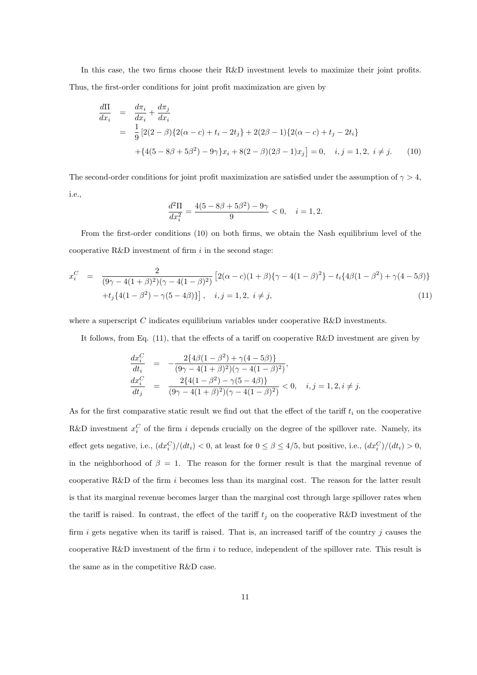In this case, the two firms choose their R&D investment levels to maximize their joint profits. Thus, the first-order conditions for joint profit maximization are given by

$$
\frac{d\Pi}{dx_i} = \frac{d\pi_i}{dx_i} + \frac{d\pi_j}{dx_i}
$$
\n
$$
= \frac{1}{9} [2(2-\beta)\{2(\alpha-c) + t_i - 2t_j\} + 2(2\beta - 1)\{2(\alpha-c) + t_j - 2t_i\} + \{4(5-8\beta+5\beta^2) - 9\gamma\}x_i + 8(2-\beta)(2\beta-1)x_j] = 0, \quad i, j = 1, 2, i \neq j.
$$
\n(10)

The second-order conditions for joint profit maximization are satisfied under the assumption of  $\gamma > 4$ , i.e.,

$$
\frac{d^2\Pi}{dx_i^2} = \frac{4(5 - 8\beta + 5\beta^2) - 9\gamma}{9} < 0, \quad i = 1, 2.
$$

From the first-order conditions (10) on both firms, we obtain the Nash equilibrium level of the cooperative R&D investment of firm *i* in the second stage:

$$
x_i^C = \frac{2}{(9\gamma - 4(1+\beta)^2)(\gamma - 4(1-\beta)^2)} \left[2(\alpha - c)(1+\beta)\{\gamma - 4(1-\beta)^2\} - t_i\{4\beta(1-\beta^2) + \gamma(4-5\beta)\} + t_j\{4(1-\beta^2) - \gamma(5-4\beta)\}\right], \quad i, j = 1, 2, i \neq j,
$$
\n(11)

where a superscript *C* indicates equilibrium variables under cooperative R&D investments.

It follows, from Eq. (11), that the effects of a tariff on cooperative R&D investment are given by

$$
\begin{array}{rcl}\n\frac{dx_i^C}{dt_i} & = & -\frac{2\{4\beta(1-\beta^2) + \gamma(4-5\beta)\}}{(9\gamma - 4(1+\beta)^2)(\gamma - 4(1-\beta)^2)}, \\
\frac{dx_i^C}{dt_j} & = & \frac{2\{4(1-\beta^2) - \gamma(5-4\beta)\}}{(9\gamma - 4(1+\beta)^2)(\gamma - 4(1-\beta)^2)} < 0, \quad i, j = 1, 2, i \neq j.\n\end{array}
$$

As for the first comparative static result we find out that the effect of the tariff  $t_i$  on the cooperative R&D investment  $x_i^C$  of the firm *i* depends crucially on the degree of the spillover rate. Namely, its effect gets negative, i.e.,  $(dx_i^C)/(dt_i) < 0$ , at least for  $0 \le \beta \le 4/5$ , but positive, i.e.,  $(dx_i^C)/(dt_i) > 0$ , in the neighborhood of  $\beta = 1$ . The reason for the former result is that the marginal revenue of cooperative R&D of the firm *i* becomes less than its marginal cost. The reason for the latter result is that its marginal revenue becomes larger than the marginal cost through large spillover rates when the tariff is raised. In contrast, the effect of the tariff  $t_j$  on the cooperative R&D investment of the firm *i* gets negative when its tariff is raised. That is, an increased tariff of the country *j* causes the cooperative R&D investment of the firm *i* to reduce, independent of the spillover rate. This result is the same as in the competitive R&D case.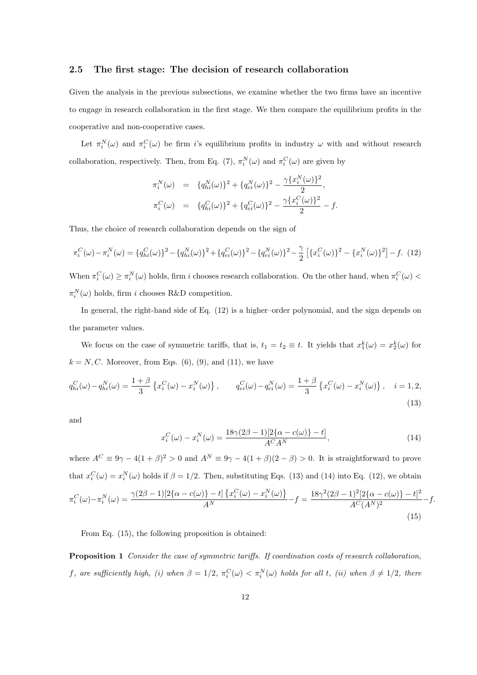#### **2.5 The first stage: The decision of research collaboration**

Given the analysis in the previous subsections, we examine whether the two firms have an incentive to engage in research collaboration in the first stage. We then compare the equilibrium profits in the cooperative and non-cooperative cases.

Let  $\pi_i^N(\omega)$  and  $\pi_i^C(\omega)$  be firm *i*'s equilibrium profits in industry  $\omega$  with and without research collaboration, respectively. Then, from Eq. (7),  $\pi_i^N(\omega)$  and  $\pi_i^C(\omega)$  are given by

$$
\pi_i^N(\omega) = \{q_{hi}^N(\omega)\}^2 + \{q_{ei}^N(\omega)\}^2 - \frac{\gamma \{x_i^N(\omega)\}^2}{2},
$$
  

$$
\pi_i^C(\omega) = \{q_{hi}^C(\omega)\}^2 + \{q_{ei}^C(\omega)\}^2 - \frac{\gamma \{x_i^C(\omega)\}^2}{2} - f.
$$

Thus, the choice of research collaboration depends on the sign of

$$
\pi_i^C(\omega) - \pi_i^N(\omega) = \{q_{hi}^C(\omega)\}^2 - \{q_{hi}^N(\omega)\}^2 + \{q_{ei}^C(\omega)\}^2 - \{q_{ei}^N(\omega)\}^2 - \frac{\gamma}{2} \left[ \{x_i^C(\omega)\}^2 - \{x_i^N(\omega)\}^2 \right] - f. \tag{12}
$$

When  $\pi_i^C(\omega) \ge \pi_i^N(\omega)$  holds, firm *i* chooses research collaboration. On the other hand, when  $\pi_i^C(\omega)$  $\pi_i^N(\omega)$  holds, firm *i* chooses R&D competition.

In general, the right-hand side of Eq. (12) is a higher–order polynomial, and the sign depends on the parameter values.

We focus on the case of symmetric tariffs, that is,  $t_1 = t_2 \equiv t$ . It yields that  $x_1^k(\omega) = x_2^k(\omega)$  for  $k = N, C$ . Moreover, from Eqs.  $(6)$ ,  $(9)$ , and  $(11)$ , we have

$$
q_{hi}^C(\omega) - q_{hi}^N(\omega) = \frac{1+\beta}{3} \left\{ x_i^C(\omega) - x_i^N(\omega) \right\}, \qquad q_{ei}^C(\omega) - q_{ei}^N(\omega) = \frac{1+\beta}{3} \left\{ x_i^C(\omega) - x_i^N(\omega) \right\}, \quad i = 1, 2,
$$
\n(13)

and

$$
x_i^C(\omega) - x_i^N(\omega) = \frac{18\gamma(2\beta - 1)[2\{\alpha - c(\omega)\} - t]}{A^C A^N},
$$
\n(14)

where  $A^C \equiv 9\gamma - 4(1 + \beta)^2 > 0$  and  $A^N \equiv 9\gamma - 4(1 + \beta)(2 - \beta) > 0$ . It is straightforward to prove that  $x_i^C(\omega) = x_i^N(\omega)$  holds if  $\beta = 1/2$ . Then, substituting Eqs. (13) and (14) into Eq. (12), we obtain  $\pi_i^C(\omega) - \pi_i^N(\omega) = \frac{\gamma(2\beta - 1)[2\{\alpha - c(\omega)\} - t] \{x_i^C(\omega) - x_i^N(\omega)\}}{\Delta N}$  $\frac{1}{2} - t \left[ \frac{x_i^C(\omega) - x_i^N(\omega)}{A^N} \right] - f = \frac{18\gamma^2(2\beta - 1)^2[2\{\alpha - c(\omega)\} - t]^2}{A^C(A^N)^2}$  $\frac{A^C (A^N)^2}{A^C (A^N)^2} - f.$ (15)

From Eq. (15), the following proposition is obtained:

**Proposition 1** *Consider the case of symmetric tariffs. If coordination costs of research collaboration,* f, are sufficiently high, (i) when  $\beta = 1/2$ ,  $\pi_i^C(\omega) < \pi_i^N(\omega)$  holds for all t, (ii) when  $\beta \neq 1/2$ , there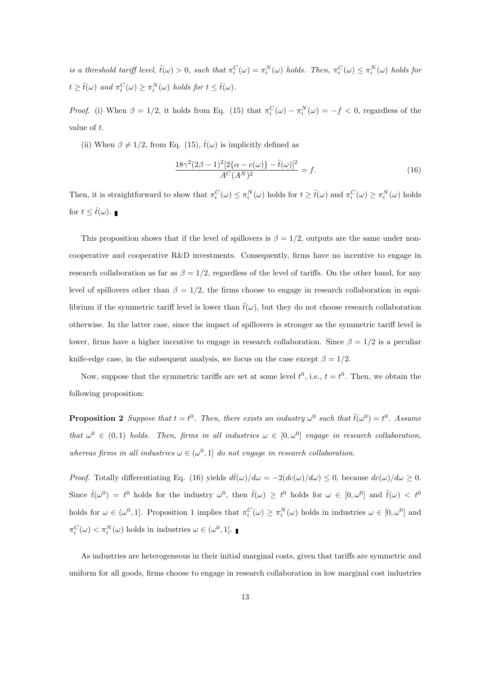is a threshold tariff level,  $\tilde{t}(\omega) > 0$ , such that  $\pi_i^C(\omega) = \pi_i^N(\omega)$  holds. Then,  $\pi_i^C(\omega) \leq \pi_i^N(\omega)$  holds for  $t \ge \tilde{t}(\omega)$  *and*  $\pi_i^C(\omega) \ge \pi_i^N(\omega)$  *holds for*  $t \le \tilde{t}(\omega)$ *.* 

*Proof.* (i) When  $\beta = 1/2$ , it holds from Eq. (15) that  $\pi_i^C(\omega) - \pi_i^N(\omega) = -f < 0$ , regardless of the value of *t*.

(ii) When  $\beta \neq 1/2$ , from Eq. (15),  $\tilde{t}(\omega)$  is implicitly defined as

$$
\frac{18\gamma^2(2\beta - 1)^2[2\{\alpha - c(\omega)\} - \tilde{t}(\omega)]^2}{A^C(A^N)^2} = f.
$$
\n(16)

Then, it is straightforward to show that  $\pi_i^C(\omega) \leq \pi_i^N(\omega)$  holds for  $t \geq \tilde{t}(\omega)$  and  $\pi_i^C(\omega) \geq \pi_i^N(\omega)$  holds for  $t \leq \tilde{t}(\omega)$ .

This proposition shows that if the level of spillovers is  $\beta = 1/2$ , outputs are the same under noncooperative and cooperative R&D investments. Consequently, firms have no incentive to engage in research collaboration as far as  $\beta = 1/2$ , regardless of the level of tariffs. On the other hand, for any level of spillovers other than  $\beta = 1/2$ , the firms choose to engage in research collaboration in equilibrium if the symmetric tariff level is lower than  $\tilde{t}(\omega)$ , but they do not choose research collaboration otherwise. In the latter case, since the impact of spillovers is stronger as the symmetric tariff level is lower, firms have a higher incentive to engage in research collaboration. Since  $\beta = 1/2$  is a peculiar knife-edge case, in the subsequent analysis, we focus on the case except  $\beta = 1/2$ .

Now, suppose that the symmetric tariffs are set at some level  $t^0$ , i.e.,  $t = t^0$ . Then, we obtain the following proposition:

**Proposition 2** Suppose that  $t = t^0$ . Then, there exists an industry  $\omega^0$  such that  $\tilde{t}(\omega^0) = t^0$ . Assume *that*  $\omega^0 \in (0,1)$  *holds.* Then, firms in all industries  $\omega \in [0,\omega^0]$  engage in research collaboration, *whereas firms in all industries*  $\omega \in (\omega^0, 1]$  *do not engage in research collaboration.* 

*Proof.* Totally differentiating Eq. (16) yields  $d\tilde{t}(\omega)/d\omega = -2(dc(\omega)/d\omega) \leq 0$ , because  $dc(\omega)/d\omega \geq 0$ . Since  $\tilde{t}(\omega^0) = t^0$  holds for the industry  $\omega^0$ , then  $\tilde{t}(\omega) \geq t^0$  holds for  $\omega \in [0, \omega^0]$  and  $\tilde{t}(\omega) < t^0$ holds for  $\omega \in (\omega^0, 1]$ . Proposition 1 implies that  $\pi_i^C(\omega) \geq \pi_i^N(\omega)$  holds in industries  $\omega \in [0, \omega^0]$  and  $\pi_i^C(\omega) < \pi_i^N(\omega)$  holds in industries  $\omega \in (\omega^0, 1].$ 

As industries are heterogeneous in their initial marginal costs, given that tariffs are symmetric and uniform for all goods, firms choose to engage in research collaboration in low marginal cost industries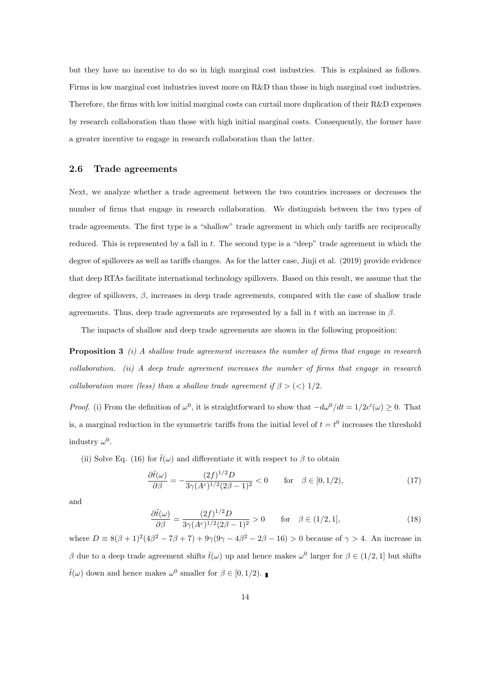but they have no incentive to do so in high marginal cost industries. This is explained as follows. Firms in low marginal cost industries invest more on R&D than those in high marginal cost industries. Therefore, the firms with low initial marginal costs can curtail more duplication of their R&D expenses by research collaboration than those with high initial marginal costs. Consequently, the former have a greater incentive to engage in research collaboration than the latter.

#### **2.6 Trade agreements**

Next, we analyze whether a trade agreement between the two countries increases or decreases the number of firms that engage in research collaboration. We distinguish between the two types of trade agreements. The first type is a "shallow" trade agreement in which only tariffs are reciprocally reduced. This is represented by a fall in *t*. The second type is a "deep" trade agreement in which the degree of spillovers as well as tariffs changes. As for the latter case, Jinji et al. (2019) provide evidence that deep RTAs facilitate international technology spillovers. Based on this result, we assume that the degree of spillovers,  $\beta$ , increases in deep trade agreements, compared with the case of shallow trade agreements. Thus, deep trade agreements are represented by a fall in *t* with an increase in *β*.

The impacts of shallow and deep trade agreements are shown in the following proposition:

**Proposition 3** *(i) A shallow trade agreement increases the number of firms that engage in research collaboration. (ii) A deep trade agreement increases the number of firms that engage in research collaboration more (less) than a shallow trade agreement if*  $\beta$  > (<) 1/2*.* 

*Proof.* (i) From the definition of  $\omega^0$ , it is straightforward to show that  $-\frac{d\omega^0}{dt} = 1/2c'(\omega) \geq 0$ . That is, a marginal reduction in the symmetric tariffs from the initial level of  $t = t^0$  increases the threshold industry  $\omega^0$ .

(ii) Solve Eq. (16) for  $\tilde{t}(\omega)$  and differentiate it with respect to  $\beta$  to obtain

$$
\frac{\partial \tilde{t}(\omega)}{\partial \beta} = -\frac{(2f)^{1/2}D}{3\gamma (A^c)^{1/2}(2\beta - 1)^2} < 0 \qquad \text{for} \quad \beta \in [0, 1/2), \tag{17}
$$

and

$$
\frac{\partial \tilde{t}(\omega)}{\partial \beta} = \frac{(2f)^{1/2}D}{3\gamma (A^c)^{1/2}(2\beta - 1)^2} > 0 \quad \text{for} \quad \beta \in (1/2, 1], \tag{18}
$$

where  $D = 8(\beta + 1)^2(4\beta^2 - 7\beta + 7) + 9\gamma(9\gamma - 4\beta^2 - 2\beta - 16) > 0$  because of  $\gamma > 4$ . An increase in *β* due to a deep trade agreement shifts  $\tilde{t}(\omega)$  up and hence makes  $\omega^0$  larger for  $\beta \in (1/2, 1]$  but shifts  $\tilde{t}(\omega)$  down and hence makes  $\omega^0$  smaller for  $\beta \in [0, 1/2)$ .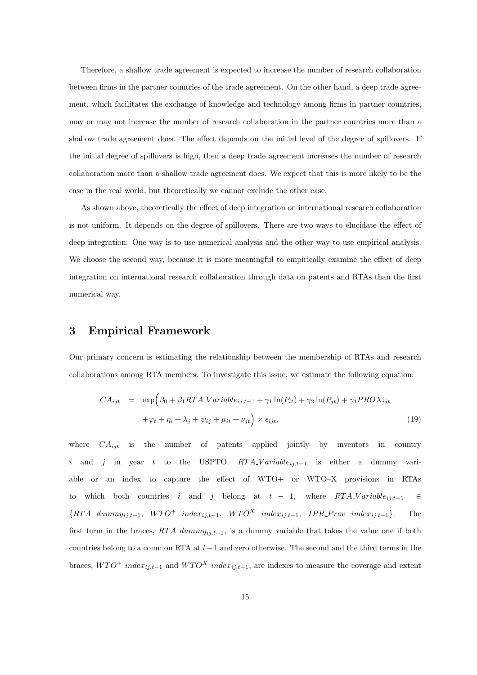Therefore, a shallow trade agreement is expected to increase the number of research collaboration between firms in the partner countries of the trade agreement. On the other hand, a deep trade agreement, which facilitates the exchange of knowledge and technology among firms in partner countries, may or may not increase the number of research collaboration in the partner countries more than a shallow trade agreement does. The effect depends on the initial level of the degree of spillovers. If the initial degree of spillovers is high, then a deep trade agreement increases the number of research collaboration more than a shallow trade agreement does. We expect that this is more likely to be the case in the real world, but theoretically we cannot exclude the other case.

As shown above, theoretically the effect of deep integration on international research collaboration is not uniform. It depends on the degree of spillovers. There are two ways to elucidate the effect of deep integration: One way is to use numerical analysis and the other way to use empirical analysis. We choose the second way, because it is more meaningful to empirically examine the effect of deep integration on international research collaboration through data on patents and RTAs than the first numerical way.

## **3 Empirical Framework**

Our primary concern is estimating the relationship between the membership of RTAs and research collaborations among RTA members. To investigate this issue, we estimate the following equation:

$$
CA_{ijt} = \exp\left(\beta_0 + \beta_1 RTA \cdot Variable_{ij,t-1} + \gamma_1 \ln(P_{it}) + \gamma_2 \ln(P_{jt}) + \gamma_3 PROX_{ijt} + \varphi_t + \eta_i + \lambda_j + \psi_{ij} + \mu_{it} + \nu_{jt}\right) \times \epsilon_{ijt},
$$
\n(19)

where  $CA_{iit}$  is the number of patents applied jointly by inventors in country *i* and *j* in year *t* to the USPTO. *RTA\_Variable<sub>ij,t</sub>*<sub>−1</sub> is either a dummy variable or an index to capture the effect of WTO+ or WTO–X provisions in RTAs to which both countries *i* and *j* belong at  $t - 1$ , where  $RTA$ <sub>*N*</sub>  $V$  ariable<sub>ij,t</sub><sub>−1</sub>  $\in$  ${RTA \ dummy_{ij,t-1}, \ WTO^+ \ index_{ij,t-1}, \ WTO^X \ index_{ij,t-1}, \ IPR\_Prov \ index_{ij,t-1}}.$  The first term in the braces,  $RTA$  dummy<sub>ij,t</sub> $_{-1}$ , is a dummy variable that takes the value one if both countries belong to a common RTA at *t−*1 and zero otherwise. The second and the third terms in the braces,  $WTO^{+}$  *index*<sub>*i*j,t<sup> $-1$ </sup> and  $WTO^{X}$  *index<sub>ij,t<sup>* $-1$ *</sup>*, are indexes to measure the coverage and extent</sub></sub>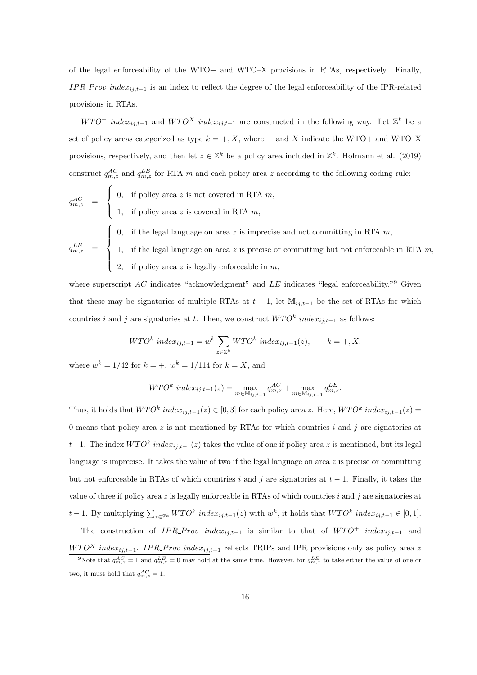of the legal enforceability of the WTO+ and WTO–X provisions in RTAs, respectively. Finally, *IPR\_Prov index<sub>ij,t</sub>*<sup>−1</sup> is an index to reflect the degree of the legal enforceability of the IPR-related provisions in RTAs.

 $WTO^+$  *index*<sub>*ij,t*<sup>−1</sup> and  $WTO^X$  *index*<sub>*ij,t*<sup>−1</sup></sub> are constructed in the following way. Let  $\mathbb{Z}^k$  be a</sub> set of policy areas categorized as type  $k = +, X$ , where  $+$  and *X* indicate the WTO+ and WTO–X provisions, respectively, and then let  $z \in \mathbb{Z}^k$  be a policy area included in  $\mathbb{Z}^k$ . Hofmann et al. (2019) construct  $q_{m,z}^{AC}$  and  $q_{m,z}^{LE}$  for RTA *m* and each policy area *z* according to the following coding rule:

$$
q_{m,z}^{AC} = \begin{cases} 0, & \text{if policy area } z \text{ is not covered in RTA } m, \\ 1, & \text{if policy area } z \text{ is covered in RTA } m, \end{cases}
$$

$$
\int 0
$$
, if the legal language on area z is imprecise and not committing in RTA m,

$$
q_{m,z}^{LE} = \begin{cases} 0, & \text{if the legal language on area } z \text{ is imprecise and not commuting in RTA } m, \\ 1, & \text{if the legal language on area } z \text{ is precise or committing but not enforceable in RTA } m, \\ 2, & \text{if policy area } z \text{ is legally enforceable in } m, \end{cases}
$$

where superscript *AC* indicates "acknowledgment" and *LE* indicates "legal enforceability."<sup>9</sup> Given that these may be signatories of multiple RTAs at  $t-1$ , let  $\mathbb{M}_{i,j,t-1}$  be the set of RTAs for which countries *i* and *j* are signatories at *t*. Then, we construct  $WTO^k$  *index*<sub>*i*j,t−1</sub> as follows:

$$
WTO^k\ index_{ij,t-1} = w^k \sum_{z \in \mathbb{Z}^k} WTO^k\ index_{ij,t-1}(z), \qquad k = +, X,
$$

where  $w^k = 1/42$  for  $k = +$ ,  $w^k = 1/114$  for  $k = X$ , and

$$
WTO^{k}index_{ij,t-1}(z) = \max_{m \in \mathbb{M}_{ij,t-1}} q_{m,z}^{AC} + \max_{m \in \mathbb{M}_{ij,t-1}} q_{m,z}^{LE}.
$$

Thus, it holds that  $WTO^k$  *index*<sub>ij,t</sub><sub>−1</sub>(*z*)  $\in [0,3]$  for each policy area *z*. Here,  $WTO^k$  *index*<sub>ij,t−1</sub>(*z*) = 0 means that policy area *z* is not mentioned by RTAs for which countries *i* and *j* are signatories at *t* − 1. The index  $WTO<sup>k</sup>$  *index*<sub>*ij,t*−1</sub>(*z*) takes the value of one if policy area *z* is mentioned, but its legal language is imprecise. It takes the value of two if the legal language on area *z* is precise or committing but not enforceable in RTAs of which countries *i* and *j* are signatories at *t −* 1. Finally, it takes the value of three if policy area *z* is legally enforceable in RTAs of which countries *i* and *j* are signatories at  $t-1$ . By multiplying  $\sum_{z \in \mathbb{Z}^k} WTO^k$  inde $x_{ij,t-1}(z)$  with  $w^k$ , it holds that  $WTO^k$  inde $x_{ij,t-1} \in [0,1]$ .

The construction of *IPR\_Prov* index<sub>ij,t</sub><sub>−1</sub> is similar to that of  $WTO^+$  index<sub>ij,t-1</sub> and

*WTO<sup>X</sup> index*<sub>*ij,t*−1</sub>. *IPR\_Prov index*<sub>*ij,t*−1</sub> reflects TRIPs and IPR provisions only as policy area *z* <sup>9</sup>Note that  $q_{m,z}^{AC} = 1$  and  $q_{m,z}^{LE} = 0$  may hold at the same time. However, for  $q_{m,z}^{LE}$  to take either the value of one or two, it must hold that  $q_{m,z}^{AC} = 1$ .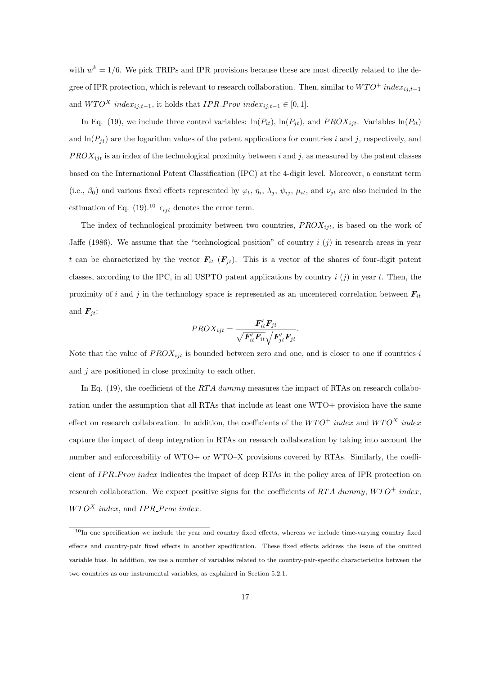with  $w^k = 1/6$ . We pick TRIPs and IPR provisions because these are most directly related to the degree of IPR protection, which is relevant to research collaboration. Then, similar to  $WTO^+$  *index*<sub>*ij*,*t*−1</sub> and  $WTO^X$  *index*<sub>*ij,t*−1</sub>, *it holds that <i>IPR\_Prov index*<sub>*ij,t*−1</sub>  $\in$  [0, 1].

In Eq. (19), we include three control variables:  $\ln(P_{it})$ ,  $\ln(P_{jt})$ , and  $PROX_{ijt}$ . Variables  $\ln(P_{it})$ and  $\ln(P_{it})$  are the logarithm values of the patent applications for countries *i* and *j*, respectively, and  $PROX_{ijt}$  is an index of the technological proximity between *i* and *j*, as measured by the patent classes based on the International Patent Classification (IPC) at the 4-digit level. Moreover, a constant term (i.e.,  $\beta_0$ ) and various fixed effects represented by  $\varphi_t$ ,  $\eta_i$ ,  $\lambda_j$ ,  $\psi_{ij}$ ,  $\mu_{it}$ , and  $\nu_{jt}$  are also included in the estimation of Eq. (19).<sup>10</sup>  $\epsilon_{ijt}$  denotes the error term.

The index of technological proximity between two countries,  $PROX_{ijt}$ , is based on the work of Jaffe (1986). We assume that the "technological position" of country *i* (*j*) in research areas in year *t* can be characterized by the vector  $F_{it}$  ( $F_{it}$ ). This is a vector of the shares of four-digit patent classes, according to the IPC, in all USPTO patent applications by country *i* (*j*) in year *t*. Then, the proximity of *i* and *j* in the technology space is represented as an uncentered correlation between  $F_{it}$ and  $F_{it}$ :

$$
PROX_{ijt} = \frac{\boldsymbol{F}'_{it}\boldsymbol{F}_{jt}}{\sqrt{\boldsymbol{F}'_{it}\boldsymbol{F}_{it}}\sqrt{\boldsymbol{F}'_{jt}\boldsymbol{F}_{jt}}}.
$$

Note that the value of  $PROX_{ijt}$  is bounded between zero and one, and is closer to one if countries  $i$ and *j* are positioned in close proximity to each other.

In Eq. (19), the coefficient of the *RT A dummy* measures the impact of RTAs on research collaboration under the assumption that all RTAs that include at least one WTO+ provision have the same effect on research collaboration. In addition, the coefficients of the  $WTO^+$  *index* and  $WTO^X$  *index* capture the impact of deep integration in RTAs on research collaboration by taking into account the number and enforceability of WTO+ or WTO–X provisions covered by RTAs. Similarly, the coefficient of *IP R P rov index* indicates the impact of deep RTAs in the policy area of IPR protection on research collaboration. We expect positive signs for the coefficients of *RTA dummy*,  $WTO^+$  *index*,  $WTO^X$  *index*, and *IPR\_Prov index*.

 $10$ In one specification we include the year and country fixed effects, whereas we include time-varying country fixed effects and country-pair fixed effects in another specification. These fixed effects address the issue of the omitted variable bias. In addition, we use a number of variables related to the country-pair-specific characteristics between the two countries as our instrumental variables, as explained in Section 5.2.1.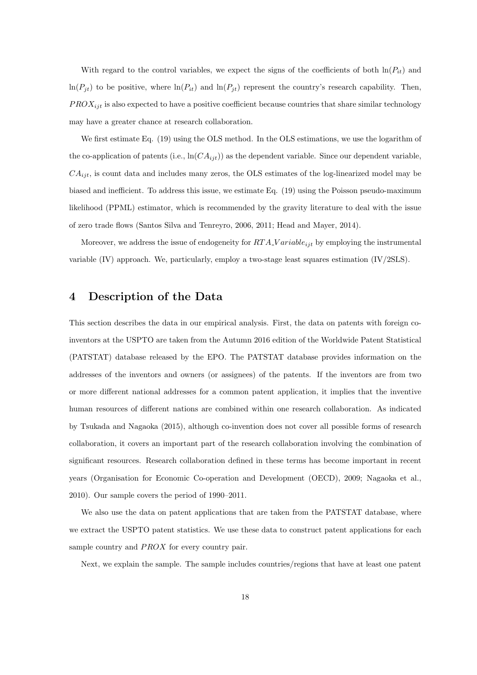With regard to the control variables, we expect the signs of the coefficients of both  $\ln(P_{it})$  and  $ln(P_{jt})$  to be positive, where  $ln(P_{it})$  and  $ln(P_{jt})$  represent the country's research capability. Then, *P ROXijt* is also expected to have a positive coefficient because countries that share similar technology may have a greater chance at research collaboration.

We first estimate Eq. (19) using the OLS method. In the OLS estimations, we use the logarithm of the co-application of patents (i.e.,  $\ln(CA_{ijt})$ ) as the dependent variable. Since our dependent variable, *CAijt*, is count data and includes many zeros, the OLS estimates of the log-linearized model may be biased and inefficient. To address this issue, we estimate Eq. (19) using the Poisson pseudo-maximum likelihood (PPML) estimator, which is recommended by the gravity literature to deal with the issue of zero trade flows (Santos Silva and Tenreyro, 2006, 2011; Head and Mayer, 2014).

Moreover, we address the issue of endogeneity for *RT A V ariableijt* by employing the instrumental variable (IV) approach. We, particularly, employ a two-stage least squares estimation (IV/2SLS).

## **4 Description of the Data**

This section describes the data in our empirical analysis. First, the data on patents with foreign coinventors at the USPTO are taken from the Autumn 2016 edition of the Worldwide Patent Statistical (PATSTAT) database released by the EPO. The PATSTAT database provides information on the addresses of the inventors and owners (or assignees) of the patents. If the inventors are from two or more different national addresses for a common patent application, it implies that the inventive human resources of different nations are combined within one research collaboration. As indicated by Tsukada and Nagaoka (2015), although co-invention does not cover all possible forms of research collaboration, it covers an important part of the research collaboration involving the combination of significant resources. Research collaboration defined in these terms has become important in recent years (Organisation for Economic Co-operation and Development (OECD), 2009; Nagaoka et al., 2010). Our sample covers the period of 1990–2011.

We also use the data on patent applications that are taken from the PATSTAT database, where we extract the USPTO patent statistics. We use these data to construct patent applications for each sample country and *PROX* for every country pair.

Next, we explain the sample. The sample includes countries/regions that have at least one patent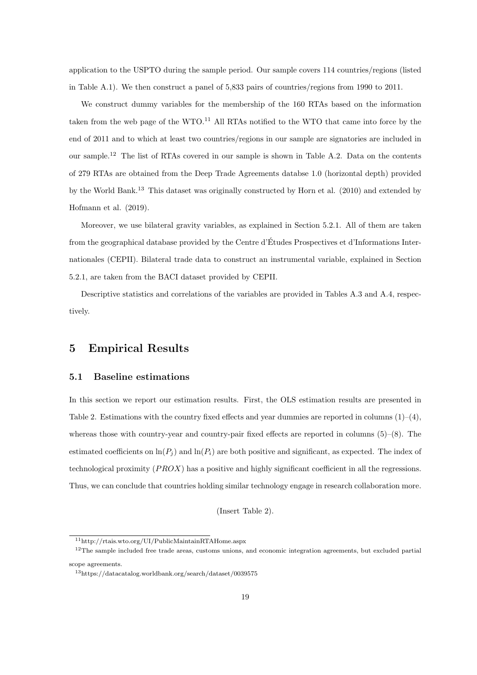application to the USPTO during the sample period. Our sample covers 114 countries/regions (listed in Table A.1). We then construct a panel of 5,833 pairs of countries/regions from 1990 to 2011.

We construct dummy variables for the membership of the 160 RTAs based on the information taken from the web page of the  $WTO$ .<sup>11</sup> All RTAs notified to the WTO that came into force by the end of 2011 and to which at least two countries/regions in our sample are signatories are included in our sample.<sup>12</sup> The list of RTAs covered in our sample is shown in Table A.2. Data on the contents of 279 RTAs are obtained from the Deep Trade Agreements databse 1.0 (horizontal depth) provided by the World Bank.<sup>13</sup> This dataset was originally constructed by Horn et al. (2010) and extended by Hofmann et al. (2019).

Moreover, we use bilateral gravity variables, as explained in Section 5.2.1. All of them are taken from the geographical database provided by the Centre d'Etudes Prospectives et d'Informations Inter- ´ nationales (CEPII). Bilateral trade data to construct an instrumental variable, explained in Section 5.2.1, are taken from the BACI dataset provided by CEPII.

Descriptive statistics and correlations of the variables are provided in Tables A.3 and A.4, respectively.

## **5 Empirical Results**

#### **5.1 Baseline estimations**

In this section we report our estimation results. First, the OLS estimation results are presented in Table 2. Estimations with the country fixed effects and year dummies are reported in columns  $(1)-(4)$ , whereas those with country-year and country-pair fixed effects are reported in columns  $(5)-(8)$ . The estimated coefficients on  $\ln(P_i)$  and  $\ln(P_i)$  are both positive and significant, as expected. The index of technological proximity (*P ROX*) has a positive and highly significant coefficient in all the regressions. Thus, we can conclude that countries holding similar technology engage in research collaboration more.

(Insert Table 2).

<sup>11</sup>http://rtais.wto.org/UI/PublicMaintainRTAHome.aspx

<sup>&</sup>lt;sup>12</sup>The sample included free trade areas, customs unions, and economic integration agreements, but excluded partial scope agreements.

<sup>13</sup>https://datacatalog.worldbank.org/search/dataset/0039575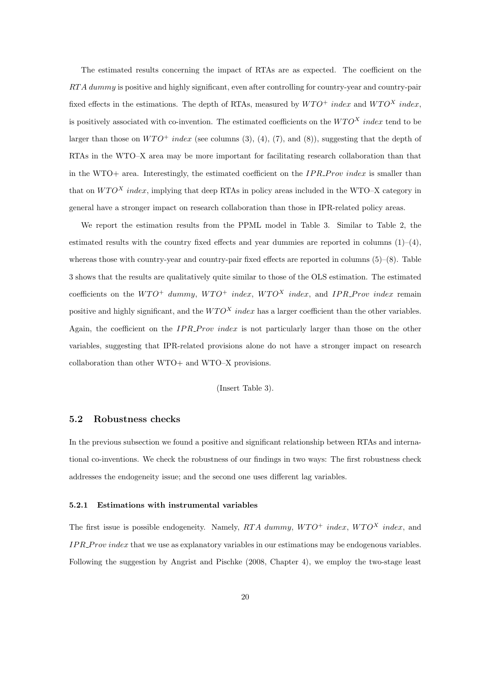The estimated results concerning the impact of RTAs are as expected. The coefficient on the *RT A dummy* is positive and highly significant, even after controlling for country-year and country-pair fixed effects in the estimations. The depth of RTAs, measured by  $W T O^+$  *index* and  $W T O^X$  *index*, is positively associated with co-invention. The estimated coefficients on the  $WTO^X$  *index* tend to be larger than those on  $WTO^+$  *index* (see columns (3), (4), (7), and (8)), suggesting that the depth of RTAs in the WTO–X area may be more important for facilitating research collaboration than that in the WTO+ area. Interestingly, the estimated coefficient on the *IP R P rov index* is smaller than that on  $WTO^X$  *index*, implying that deep RTAs in policy areas included in the WTO–X category in general have a stronger impact on research collaboration than those in IPR-related policy areas.

We report the estimation results from the PPML model in Table 3. Similar to Table 2, the estimated results with the country fixed effects and year dummies are reported in columns  $(1)$ – $(4)$ , whereas those with country-year and country-pair fixed effects are reported in columns (5)–(8). Table 3 shows that the results are qualitatively quite similar to those of the OLS estimation. The estimated coefficients on the  $W TO^+$  *dummy*,  $W TO^+$  *index*,  $W TO^X$  *index*, and *IPR\_Prov index* remain positive and highly significant, and the  $W TO<sup>X</sup>$  *index* has a larger coefficient than the other variables. Again, the coefficient on the *IPR\_Prov index* is not particularly larger than those on the other variables, suggesting that IPR-related provisions alone do not have a stronger impact on research collaboration than other WTO+ and WTO–X provisions.

#### (Insert Table 3).

#### **5.2 Robustness checks**

In the previous subsection we found a positive and significant relationship between RTAs and international co-inventions. We check the robustness of our findings in two ways: The first robustness check addresses the endogeneity issue; and the second one uses different lag variables.

#### **5.2.1 Estimations with instrumental variables**

The first issue is possible endogeneity. Namely,  $RTA$  dummy,  $WTO^+$  *index*,  $WTO^X$  *index*, and *IP R P rov index* that we use as explanatory variables in our estimations may be endogenous variables. Following the suggestion by Angrist and Pischke (2008, Chapter 4), we employ the two-stage least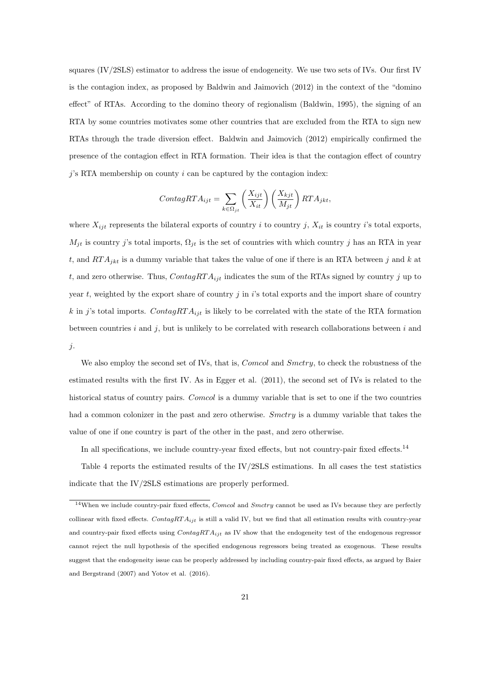squares (IV/2SLS) estimator to address the issue of endogeneity. We use two sets of IVs. Our first IV is the contagion index, as proposed by Baldwin and Jaimovich (2012) in the context of the "domino effect" of RTAs. According to the domino theory of regionalism (Baldwin, 1995), the signing of an RTA by some countries motivates some other countries that are excluded from the RTA to sign new RTAs through the trade diversion effect. Baldwin and Jaimovich (2012) empirically confirmed the presence of the contagion effect in RTA formation. Their idea is that the contagion effect of country *j*'s RTA membership on county *i* can be captured by the contagion index:

$$
ContagRTA_{ijt} = \sum_{k \in \Omega_{jt}} \left(\frac{X_{ijt}}{X_{it}}\right) \left(\frac{X_{kjt}}{M_{jt}}\right) RTA_{jkt},
$$

where  $X_{ijt}$  represents the bilateral exports of country *i* to country *j*,  $X_{it}$  is country *i*'s total exports,  $M_{jt}$  is country *j*'s total imports,  $\Omega_{jt}$  is the set of countries with which country *j* has an RTA in year *t*, and *RT Ajkt* is a dummy variable that takes the value of one if there is an RTA between *j* and *k* at *t*, and zero otherwise. Thus, *ContagRT Aijt* indicates the sum of the RTAs signed by country *j* up to year *t*, weighted by the export share of country  $j$  in  $i$ 's total exports and the import share of country *k* in *j*'s total imports. *ContagRT A*<sup>*i*jt</sup> is likely to be correlated with the state of the RTA formation between countries *i* and *j*, but is unlikely to be correlated with research collaborations between *i* and *j*.

We also employ the second set of IVs, that is, *Comcol* and *Smctry*, to check the robustness of the estimated results with the first IV. As in Egger et al. (2011), the second set of IVs is related to the historical status of country pairs. *Comcol* is a dummy variable that is set to one if the two countries had a common colonizer in the past and zero otherwise. *Smctry* is a dummy variable that takes the value of one if one country is part of the other in the past, and zero otherwise.

In all specifications, we include country-year fixed effects, but not country-pair fixed effects.<sup>14</sup>

Table 4 reports the estimated results of the IV/2SLS estimations. In all cases the test statistics indicate that the IV/2SLS estimations are properly performed.

<sup>14</sup>When we include country-pair fixed effects, *Comcol* and *Smctry* cannot be used as IVs because they are perfectly collinear with fixed effects. *ContagRT Aijt* is still a valid IV, but we find that all estimation results with country-year and country-pair fixed effects using *ContagRT Aijt* as IV show that the endogeneity test of the endogenous regressor cannot reject the null hypothesis of the specified endogenous regressors being treated as exogenous. These results suggest that the endogeneity issue can be properly addressed by including country-pair fixed effects, as argued by Baier and Bergstrand (2007) and Yotov et al. (2016).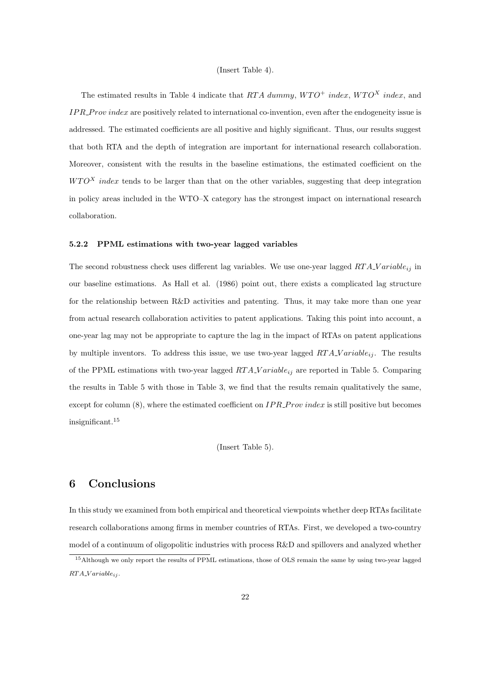#### (Insert Table 4).

The estimated results in Table 4 indicate that *RTA dummy*,  $WTO^+$  *index*,  $WTO^X$  *index*, and *IP R P rov index* are positively related to international co-invention, even after the endogeneity issue is addressed. The estimated coefficients are all positive and highly significant. Thus, our results suggest that both RTA and the depth of integration are important for international research collaboration. Moreover, consistent with the results in the baseline estimations, the estimated coefficient on the *WTO<sup>X</sup> index* tends to be larger than that on the other variables, suggesting that deep integration in policy areas included in the WTO–X category has the strongest impact on international research collaboration.

#### **5.2.2 PPML estimations with two-year lagged variables**

The second robustness check uses different lag variables. We use one-year lagged *RT A V ariableij* in our baseline estimations. As Hall et al. (1986) point out, there exists a complicated lag structure for the relationship between R&D activities and patenting. Thus, it may take more than one year from actual research collaboration activities to patent applications. Taking this point into account, a one-year lag may not be appropriate to capture the lag in the impact of RTAs on patent applications by multiple inventors. To address this issue, we use two-year lagged *RT A V ariableij* . The results of the PPML estimations with two-year lagged *RT A V ariableij* are reported in Table 5. Comparing the results in Table 5 with those in Table 3, we find that the results remain qualitatively the same, except for column (8), where the estimated coefficient on *IPR\_Prov index* is still positive but becomes insignificant.<sup>15</sup>

(Insert Table 5).

## **6 Conclusions**

In this study we examined from both empirical and theoretical viewpoints whether deep RTAs facilitate research collaborations among firms in member countries of RTAs. First, we developed a two-country model of a continuum of oligopolitic industries with process R&D and spillovers and analyzed whether

<sup>15</sup>Although we only report the results of PPML estimations, those of OLS remain the same by using two-year lagged *RT A V ariableij* .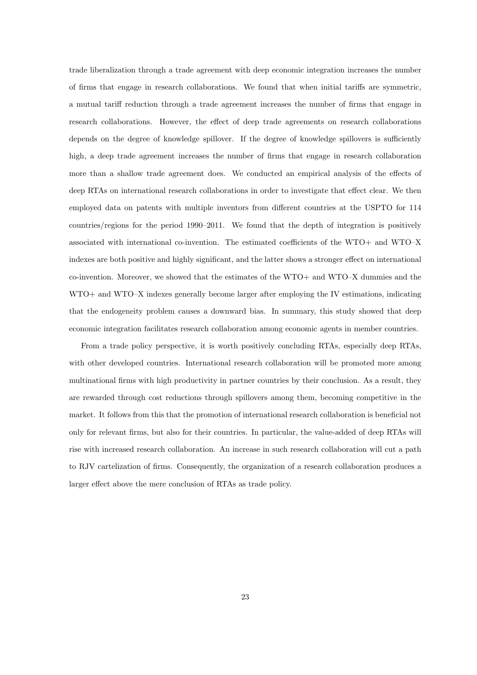trade liberalization through a trade agreement with deep economic integration increases the number of firms that engage in research collaborations. We found that when initial tariffs are symmetric, a mutual tariff reduction through a trade agreement increases the number of firms that engage in research collaborations. However, the effect of deep trade agreements on research collaborations depends on the degree of knowledge spillover. If the degree of knowledge spillovers is sufficiently high, a deep trade agreement increases the number of firms that engage in research collaboration more than a shallow trade agreement does. We conducted an empirical analysis of the effects of deep RTAs on international research collaborations in order to investigate that effect clear. We then employed data on patents with multiple inventors from different countries at the USPTO for 114 countries/regions for the period 1990–2011. We found that the depth of integration is positively associated with international co-invention. The estimated coefficients of the WTO+ and WTO–X indexes are both positive and highly significant, and the latter shows a stronger effect on international co-invention. Moreover, we showed that the estimates of the WTO+ and WTO–X dummies and the WTO+ and WTO–X indexes generally become larger after employing the IV estimations, indicating that the endogeneity problem causes a downward bias. In summary, this study showed that deep economic integration facilitates research collaboration among economic agents in member countries.

From a trade policy perspective, it is worth positively concluding RTAs, especially deep RTAs, with other developed countries. International research collaboration will be promoted more among multinational firms with high productivity in partner countries by their conclusion. As a result, they are rewarded through cost reductions through spillovers among them, becoming competitive in the market. It follows from this that the promotion of international research collaboration is beneficial not only for relevant firms, but also for their countries. In particular, the value-added of deep RTAs will rise with increased research collaboration. An increase in such research collaboration will cut a path to RJV cartelization of firms. Consequently, the organization of a research collaboration produces a larger effect above the mere conclusion of RTAs as trade policy.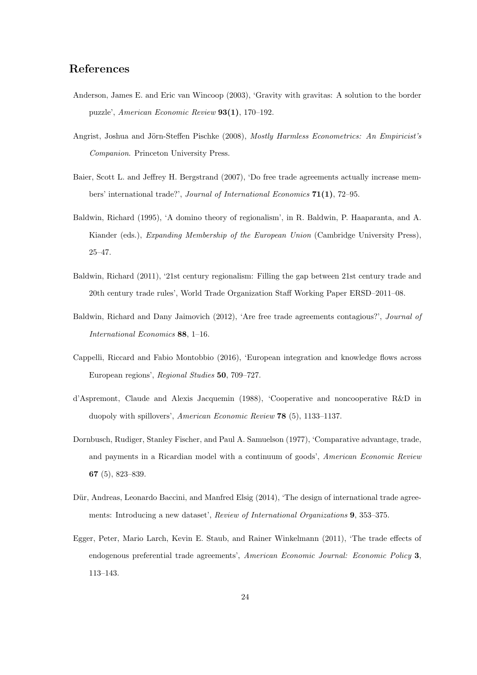## **References**

- Anderson, James E. and Eric van Wincoop (2003), 'Gravity with gravitas: A solution to the border puzzle', *American Economic Review* **93(1)**, 170–192.
- Angrist, Joshua and Jörn-Steffen Pischke (2008), *Mostly Harmless Econometrics: An Empiricist's Companion*. Princeton University Press.
- Baier, Scott L. and Jeffrey H. Bergstrand (2007), 'Do free trade agreements actually increase members' international trade?', *Journal of International Economics* **71(1)**, 72–95.
- Baldwin, Richard (1995), 'A domino theory of regionalism', in R. Baldwin, P. Haaparanta, and A. Kiander (eds.), *Expanding Membership of the European Union* (Cambridge University Press), 25–47.
- Baldwin, Richard (2011), '21st century regionalism: Filling the gap between 21st century trade and 20th century trade rules', World Trade Organization Staff Working Paper ERSD–2011–08.
- Baldwin, Richard and Dany Jaimovich (2012), 'Are free trade agreements contagious?', *Journal of International Economics* **88**, 1–16.
- Cappelli, Riccard and Fabio Montobbio (2016), 'European integration and knowledge flows across European regions', *Regional Studies* **50**, 709–727.
- d'Aspremont, Claude and Alexis Jacquemin (1988), 'Cooperative and noncooperative R&D in duopoly with spillovers', *American Economic Review* **78** (5), 1133–1137.
- Dornbusch, Rudiger, Stanley Fischer, and Paul A. Samuelson (1977), 'Comparative advantage, trade, and payments in a Ricardian model with a continuum of goods', *American Economic Review* **67** (5), 823–839.
- Dür, Andreas, Leonardo Baccini, and Manfred Elsig (2014), 'The design of international trade agreements: Introducing a new dataset', *Review of International Organizations* **9**, 353–375.
- Egger, Peter, Mario Larch, Kevin E. Staub, and Rainer Winkelmann (2011), 'The trade effects of endogenous preferential trade agreements', *American Economic Journal: Economic Policy* **3**, 113–143.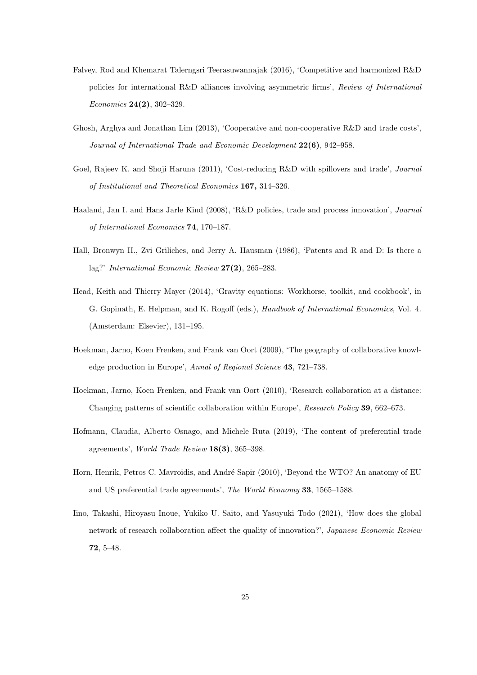- Falvey, Rod and Khemarat Talerngsri Teerasuwannajak (2016), 'Competitive and harmonized R&D policies for international R&D alliances involving asymmetric firms', *Review of International Economics* **24(2)**, 302–329.
- Ghosh, Arghya and Jonathan Lim (2013), 'Cooperative and non-cooperative R&D and trade costs', *Journal of International Trade and Economic Development* **22(6)**, 942–958.
- Goel, Rajeev K. and Shoji Haruna (2011), 'Cost-reducing R&D with spillovers and trade', *Journal of Institutional and Theoretical Economics* **167,** 314–326.
- Haaland, Jan I. and Hans Jarle Kind (2008), 'R&D policies, trade and process innovation', *Journal of International Economics* **74**, 170–187.
- Hall, Bronwyn H., Zvi Griliches, and Jerry A. Hausman (1986), 'Patents and R and D: Is there a lag?' *International Economic Review* **27(2)**, 265–283.
- Head, Keith and Thierry Mayer (2014), 'Gravity equations: Workhorse, toolkit, and cookbook', in G. Gopinath, E. Helpman, and K. Rogoff (eds.), *Handbook of International Economics*, Vol. 4. (Amsterdam: Elsevier), 131–195.
- Hoekman, Jarno, Koen Frenken, and Frank van Oort (2009), 'The geography of collaborative knowledge production in Europe', *Annal of Regional Science* **43**, 721–738.
- Hoekman, Jarno, Koen Frenken, and Frank van Oort (2010), 'Research collaboration at a distance: Changing patterns of scientific collaboration within Europe', *Research Policy* **39**, 662–673.
- Hofmann, Claudia, Alberto Osnago, and Michele Ruta (2019), 'The content of preferential trade agreements', *World Trade Review* **18(3)**, 365–398.
- Horn, Henrik, Petros C. Mavroidis, and André Sapir (2010), 'Beyond the WTO? An anatomy of EU and US preferential trade agreements', *The World Economy* **33**, 1565–1588.
- Iino, Takashi, Hiroyasu Inoue, Yukiko U. Saito, and Yasuyuki Todo (2021), 'How does the global network of research collaboration affect the quality of innovation?', *Japanese Economic Review* **72**, 5–48.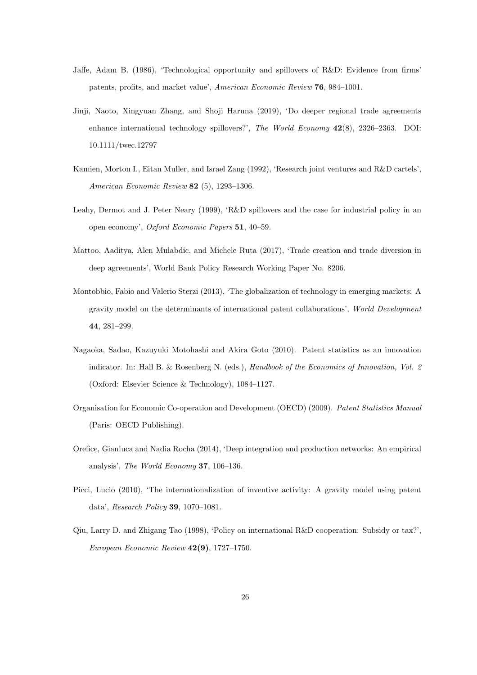- Jaffe, Adam B. (1986), 'Technological opportunity and spillovers of R&D: Evidence from firms' patents, profits, and market value', *American Economic Review* **76**, 984–1001.
- Jinji, Naoto, Xingyuan Zhang, and Shoji Haruna (2019), 'Do deeper regional trade agreements enhance international technology spillovers?', *The World Economy* **42**(8), 2326–2363. DOI: 10.1111/twec.12797
- Kamien, Morton I., Eitan Muller, and Israel Zang (1992), 'Research joint ventures and R&D cartels', *American Economic Review* **82** (5), 1293–1306.
- Leahy, Dermot and J. Peter Neary (1999), 'R&D spillovers and the case for industrial policy in an open economy', *Oxford Economic Papers* **51**, 40–59.
- Mattoo, Aaditya, Alen Mulabdic, and Michele Ruta (2017), 'Trade creation and trade diversion in deep agreements', World Bank Policy Research Working Paper No. 8206.
- Montobbio, Fabio and Valerio Sterzi (2013), 'The globalization of technology in emerging markets: A gravity model on the determinants of international patent collaborations', *World Development* **44**, 281–299.
- Nagaoka, Sadao, Kazuyuki Motohashi and Akira Goto (2010). Patent statistics as an innovation indicator. In: Hall B. & Rosenberg N. (eds.), *Handbook of the Economics of Innovation, Vol. 2* (Oxford: Elsevier Science & Technology), 1084–1127.
- Organisation for Economic Co-operation and Development (OECD) (2009). *Patent Statistics Manual* (Paris: OECD Publishing).
- Orefice, Gianluca and Nadia Rocha (2014), 'Deep integration and production networks: An empirical analysis', *The World Economy* **37**, 106–136.
- Picci, Lucio (2010), 'The internationalization of inventive activity: A gravity model using patent data', *Research Policy* **39**, 1070–1081.
- Qiu, Larry D. and Zhigang Tao (1998), 'Policy on international R&D cooperation: Subsidy or tax?', *European Economic Review* **42(9)**, 1727–1750.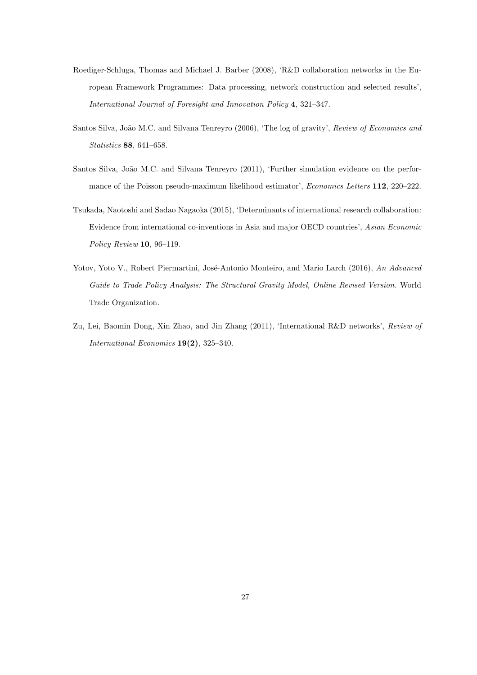- Roediger-Schluga, Thomas and Michael J. Barber (2008), 'R&D collaboration networks in the European Framework Programmes: Data processing, network construction and selected results', *International Journal of Foresight and Innovation Policy* **4**, 321–347.
- Santos Silva, João M.C. and Silvana Tenreyro (2006), 'The log of gravity', *Review of Economics and Statistics* **88**, 641–658.
- Santos Silva, João M.C. and Silvana Tenreyro (2011), 'Further simulation evidence on the performance of the Poisson pseudo-maximum likelihood estimator', *Economics Letters* **112**, 220–222.
- Tsukada, Naotoshi and Sadao Nagaoka (2015), 'Determinants of international research collaboration: Evidence from international co-inventions in Asia and major OECD countries', *Asian Economic Policy Review* **10**, 96–119.
- Yotov, Yoto V., Robert Piermartini, José-Antonio Monteiro, and Mario Larch (2016), *An Advanced Guide to Trade Policy Analysis: The Structural Gravity Model, Online Revised Version*. World Trade Organization.
- Zu, Lei, Baomin Dong, Xin Zhao, and Jin Zhang (2011), 'International R&D networks', *Review of International Economics* **19(2)**, 325–340.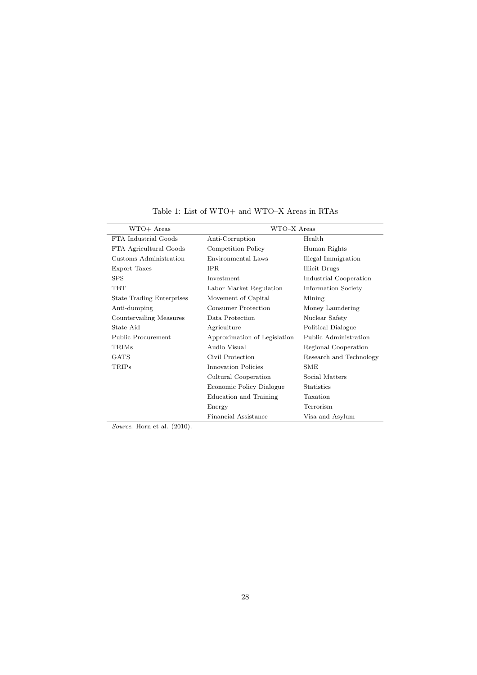| WTO+ Areas                       | WTO-X Areas                  |                         |
|----------------------------------|------------------------------|-------------------------|
| FTA Industrial Goods             | Anti-Corruption              | Health                  |
| FTA Agricultural Goods           | Competition Policy           | Human Rights            |
| Customs Administration           | Environmental Laws           | Illegal Immigration     |
| Export Taxes                     | <b>IPR</b>                   | <b>Illicit Drugs</b>    |
| <b>SPS</b>                       | Investment                   | Industrial Cooperation  |
| <b>TBT</b>                       | Labor Market Regulation      | Information Society     |
| <b>State Trading Enterprises</b> | Movement of Capital          | Mining                  |
| Anti-dumping                     | Consumer Protection          | Money Laundering        |
| Countervailing Measures          | Data Protection              | Nuclear Safety          |
| State Aid                        | Agriculture                  | Political Dialogue      |
| Public Procurement               | Approximation of Legislation | Public Administration   |
| TRIMs                            | Audio Visual                 | Regional Cooperation    |
| GATS                             | Civil Protection             | Research and Technology |
| <b>TRIPs</b>                     | Innovation Policies          | <b>SME</b>              |
|                                  | Cultural Cooperation         | Social Matters          |
|                                  | Economic Policy Dialogue     | <b>Statistics</b>       |
|                                  | Education and Training       | Taxation                |
|                                  | Energy                       | Terrorism               |
|                                  | Financial Assistance         | Visa and Asylum         |

Table 1: List of WTO+ and WTO–X Areas in RTAs

*Source*: Horn et al. (2010).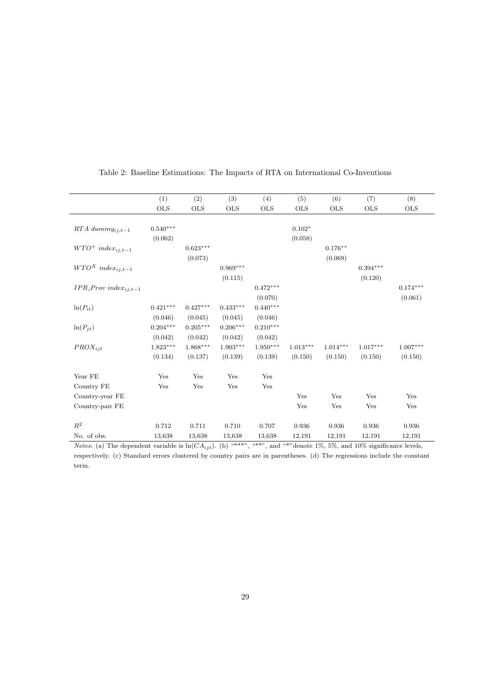|                                 | (1)          | (2)        | (3)        | (4)        | (5)        | (6)        | (7)        | (8)        |
|---------------------------------|--------------|------------|------------|------------|------------|------------|------------|------------|
|                                 | $_{\rm OLS}$ | <b>OLS</b> | OLS        | <b>OLS</b> | <b>OLS</b> | <b>OLS</b> | <b>OLS</b> | <b>OLS</b> |
|                                 |              |            |            |            |            |            |            |            |
| $RTA$ dummy <sub>ij,t-1</sub>   | $0.540***$   |            |            |            | $0.102*$   |            |            |            |
|                                 | (0.062)      |            |            |            | (0.058)    |            |            |            |
| $WTO^+$ index <sub>ij,t-1</sub> |              | $0.623***$ |            |            |            | $0.176**$  |            |            |
|                                 |              | (0.073)    |            |            |            | (0.069)    |            |            |
| $WTO^X$ index <sub>ij,t-1</sub> |              |            | $0.969***$ |            |            |            | $0.394***$ |            |
|                                 |              |            | (0.115)    |            |            |            | (0.120)    |            |
| $IPR\_Prov\ index_{ij,t-1}$     |              |            |            | $0.472***$ |            |            |            | $0.174***$ |
|                                 |              |            |            | (0.070)    |            |            |            | (0.061)    |
| $ln(P_{it})$                    | $0.421***$   | $0.427***$ | $0.433***$ | $0.440***$ |            |            |            |            |
|                                 | (0.046)      | (0.045)    | (0.045)    | (0.046)    |            |            |            |            |
| $ln(P_{jt})$                    | $0.204***$   | $0.205***$ | $0.206***$ | $0.210***$ |            |            |            |            |
|                                 | (0.042)      | (0.042)    | (0.042)    | (0.042)    |            |            |            |            |
| $PROX_{ijt}$                    | $1.823***$   | $1.868***$ | $1.903***$ | $1.950***$ | $1.013***$ | $1.014***$ | $1.017***$ | $1.007***$ |
|                                 | (0.134)      | (0.137)    | (0.139)    | (0.139)    | (0.150)    | (0.150)    | (0.150)    | (0.150)    |
| Year FE                         | Yes          | Yes        | Yes        | Yes        |            |            |            |            |
| Country FE                      | Yes          | Yes        | Yes        | Yes        |            |            |            |            |
| Country-year FE                 |              |            |            |            | Yes        | Yes        | Yes        | Yes        |
| Country-pair FE                 |              |            |            |            | Yes        | Yes        | Yes        | Yes        |
| $\mathbb{R}^2$                  | 0.712        | 0.711      | 0.710      | 0.707      | 0.936      | 0.936      | 0.936      | 0.936      |
| No. of obs.                     | 13,638       | 13,638     | 13,638     | 13,638     | 12,191     | 12,191     | 12,191     | 12,191     |

#### Table 2: Baseline Estimations: The Impacts of RTA on International Co-Inventions

*Notes*: (a) The dependent variable is  $ln(CA_{ijt})$ . (b) "\*\*\*", "\*\*", and "\*"denote 1%, 5%, and 10% significance levels, respectively. (c) Standard errors clustered by country pairs are in parentheses. (d) The regressions include the constant term.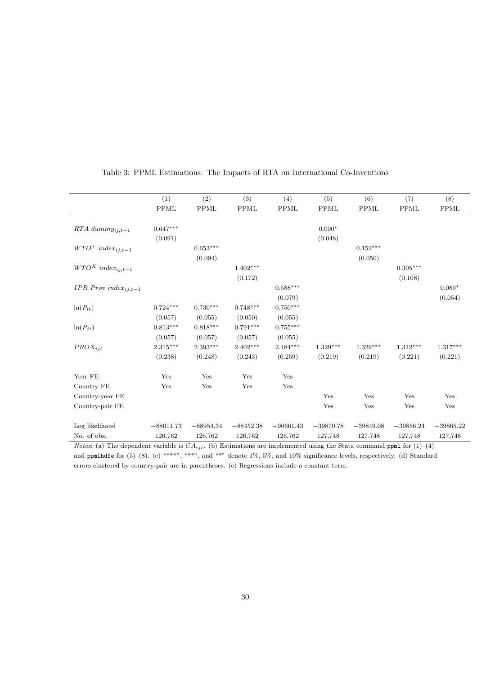|                                 | (1)         | (2)         | (3)         | (4)         | (5)         | (6)         | (7)         | (8)         |
|---------------------------------|-------------|-------------|-------------|-------------|-------------|-------------|-------------|-------------|
|                                 | <b>PPML</b> | <b>PPML</b> | <b>PPML</b> | <b>PPML</b> | <b>PPML</b> | <b>PPML</b> | <b>PPML</b> | <b>PPML</b> |
|                                 |             |             |             |             |             |             |             |             |
| $RTA$ dumm $y_{ij,t-1}$         | $0.647***$  |             |             |             | $0.090*$    |             |             |             |
|                                 | (0.091)     |             |             |             | (0.048)     |             |             |             |
| $WTO^+$ index <sub>ij,t-1</sub> |             | $0.653***$  |             |             |             | $0.152***$  |             |             |
|                                 |             | (0.094)     |             |             |             | (0.050)     |             |             |
| $WTO^X$ index <sub>ij,t-1</sub> |             |             | $1.402***$  |             |             |             | $0.305***$  |             |
|                                 |             |             | (0.172)     |             |             |             | (0.108)     |             |
| $IPR\_Prov\ index_{i,i,t-1}$    |             |             |             | $0.588***$  |             |             |             | $0.089*$    |
|                                 |             |             |             | (0.079)     |             |             |             | (0.054)     |
| $ln(P_{it})$                    | $0.724***$  | $0.730***$  | $0.748***$  | $0.750***$  |             |             |             |             |
|                                 | (0.057)     | (0.055)     | (0.050)     | (0.055)     |             |             |             |             |
| $ln(P_{jt})$                    | $0.813***$  | $0.818***$  | $0.791***$  | $0.755***$  |             |             |             |             |
|                                 | (0.057)     | (0.057)     | (0.057)     | (0.055)     |             |             |             |             |
| $PROX_{iit}$                    | $2.315***$  | $2.393***$  | $2.402***$  | $2.484***$  | $1.329***$  | $1.329***$  | $1.312***$  | $1.317***$  |
|                                 | (0.238)     | (0.248)     | (0.243)     | (0.259)     | (0.219)     | (0.219)     | (0.221)     | (0.221)     |
| Year FE                         | Yes         | Yes         | Yes         | Yes         |             |             |             |             |
| Country FE                      | Yes         | Yes         | Yes         | Yes         |             |             |             |             |
| Country-year FE                 |             |             |             |             | Yes         | Yes         | Yes         | Yes         |
| Country-pair FE                 |             |             |             |             | Yes         | Yes         | Yes         | Yes         |
| Log likelihood                  | $-88011.73$ | $-88954.34$ | $-88452.38$ | $-90661.43$ | $-39870.78$ | $-39849.08$ | $-39856.24$ | $-39865.22$ |
| No. of obs.                     | 126,762     | 126,762     | 126,762     | 126,762     | 127,748     | 127,748     | 127,748     | 127,748     |

#### Table 3: PPML Estimations: The Impacts of RTA on International Co-Inventions

*Notes*: (a) The dependent variable is *CAijt*. (b) Estimations are implemented using the Stata command ppml for (1)–(4) and ppmlhdfe for  $(5)-(8)$ . (c) "\*\*\*", "\*\*", and "\*" denote 1%, 5%, and 10% significance levels, respectively. (d) Standard errors clustered by country-pair are in parentheses. (e) Regressions include a constant term.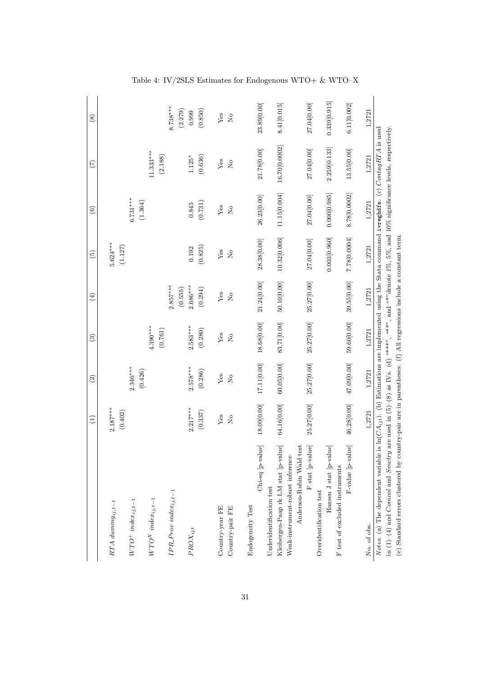|                                                                                                                                                   | $\widehat{\Xi}$ | $\widehat{c}$                                                          | $\widehat{\mathbf{c}}$ | $\left( 4\right)$ | $\widetilde{5}$                                                        | $\widehat{6}$   | (7)                                                                                                           | $\circledS$    |
|---------------------------------------------------------------------------------------------------------------------------------------------------|-----------------|------------------------------------------------------------------------|------------------------|-------------------|------------------------------------------------------------------------|-----------------|---------------------------------------------------------------------------------------------------------------|----------------|
|                                                                                                                                                   |                 |                                                                        |                        |                   |                                                                        |                 |                                                                                                               |                |
| $RTA$ dumm $y_{ij,t-1}$                                                                                                                           | $2.187***$      |                                                                        |                        |                   | $5.624***$                                                             |                 |                                                                                                               |                |
|                                                                                                                                                   | (0.402)         |                                                                        |                        |                   | (1.127)                                                                |                 |                                                                                                               |                |
| $WTO^+$ inde $x_{ij,t-1}$                                                                                                                         |                 | $2.346***$                                                             |                        |                   |                                                                        | $6.731***$      |                                                                                                               |                |
|                                                                                                                                                   |                 | (0.426)                                                                |                        |                   |                                                                        | (1.364)         |                                                                                                               |                |
| $WTO^X$ index <sub>ij,t-1</sub>                                                                                                                   |                 |                                                                        | $4.390***$             |                   |                                                                        |                 | $1.333***$                                                                                                    |                |
|                                                                                                                                                   |                 |                                                                        | (0.761)                |                   |                                                                        |                 | (2.188)                                                                                                       |                |
| $IPR$ -Prov inde $x_{ij,t-1}$                                                                                                                     |                 |                                                                        |                        | $2.857***$        |                                                                        |                 |                                                                                                               | $8.738***$     |
|                                                                                                                                                   |                 |                                                                        |                        | (0.555)           |                                                                        |                 |                                                                                                               | (2.279)        |
| $PROX_{ijt}$                                                                                                                                      | $2.217***$      | $2.578***$                                                             | $2.583***$             | $2.686***$        | 0.192                                                                  | 0.845           | $1.125*$                                                                                                      | 0.999          |
|                                                                                                                                                   | (0.337)         | (0.286)                                                                | (0.280)                | (0.294)           | (0.825)                                                                | (0.731)         | (0.636)                                                                                                       | (0.850)        |
| Country-year FE                                                                                                                                   | Yes             | Yes                                                                    | Yes                    | ${\rm Yes}$       | ${\rm Yes}$                                                            | ${\rm Yes}$     | ${\rm Yes}$                                                                                                   | ${\rm Yes}$    |
| Country-pair FE                                                                                                                                   | $\overline{R}$  | $\rm \stackrel{\circ}{\rm \stackrel{\circ}{\rm \scriptscriptstyle M}}$ | $\overline{a}$         | $\overline{a}$    | $\rm \stackrel{\circ}{\rm \stackrel{\circ}{\rm \scriptscriptstyle M}}$ | $\overline{R}$  | $\overline{R}$                                                                                                | $\frac{1}{2}$  |
| Endogeneity Test                                                                                                                                  |                 |                                                                        |                        |                   |                                                                        |                 |                                                                                                               |                |
|                                                                                                                                                   |                 |                                                                        |                        |                   |                                                                        |                 |                                                                                                               |                |
| Chi-sq [p-value]                                                                                                                                  | 18.09 [0.00]    | 17.11[0.00]                                                            | 18.68 $[0.00]$         | 21.24[0.00]       | 28.38[0.00]                                                            | 26.23[0.00]     | 21.78[0.00]                                                                                                   | 23.89[0.00]    |
| Underidentification test                                                                                                                          |                 |                                                                        |                        |                   |                                                                        |                 |                                                                                                               |                |
| Kleibergen-Paap rk LM stat [p-value]                                                                                                              | 64.16[0.00]     | 60.05[0.00]                                                            | 83.71[0.00]            | 50.10[0.00]       | 10.32[0.006]                                                           | 11.15[0.004]    | 16.70 $[0.0002]$                                                                                              | 8.41[0.015]    |
| Weak-instrument-robust inference                                                                                                                  |                 |                                                                        |                        |                   |                                                                        |                 |                                                                                                               |                |
| Anderson-Rubin Wald test                                                                                                                          |                 |                                                                        |                        |                   |                                                                        |                 |                                                                                                               |                |
| F stat [p-value]                                                                                                                                  | 25.27 [0.00]    | 25.27 [0.00]                                                           | 25.27 [0.00]           | 25.27 [0.00]      | 27.04 $[0.00]$                                                         | 27.04 $[0.00]$  | 27.04 [0.00]                                                                                                  | 27.04 $[0.00]$ |
| Overidentification test                                                                                                                           |                 |                                                                        |                        |                   |                                                                        |                 |                                                                                                               |                |
| Hansen J stat [p-value]                                                                                                                           |                 |                                                                        |                        |                   | 0.003[0.960]                                                           | 0.000[0.985]    | 2.259[0.133]                                                                                                  | 0.339[0.915]   |
| F test of excluded instruments                                                                                                                    |                 |                                                                        |                        |                   |                                                                        |                 |                                                                                                               |                |
| F-value [p-value]                                                                                                                                 | 46.28[0.00]     | 47.09 [0.00]                                                           | 59.60 $[0.00]$         | 39.55 $[0.00]$    | 7.78[0.0004]                                                           | 8.78 $[0.0002]$ | 13.55[0.00]                                                                                                   | 6.11[0.002]    |
| No. of obs.                                                                                                                                       | 1,2721          | 1,2721                                                                 | 1,2721                 | 1,2721            | 1,2721                                                                 | 1,2721          | 1,2721                                                                                                        | 1,2721         |
| Notes: (a) The dependent variable                                                                                                                 |                 |                                                                        |                        |                   |                                                                        |                 | is $\ln(CA_{ijt})$ . (b) Estimations are implemented using the Stata command ivreghate. (c) ContagRTA is used |                |
| in $(1)-(4)$ and Comcol and Smotry are used in $(5)-(8)$ as IVs. (d) "***, "**, and "*" denote 1%, 5%, and 10% significance levels, respectively. |                 |                                                                        |                        |                   |                                                                        |                 |                                                                                                               |                |
| (e) Standard errors clustered by country-pair are in parentheses. (f) All regressions include a constant term.                                    |                 |                                                                        |                        |                   |                                                                        |                 |                                                                                                               |                |

Table 4: IV/2SLS Estimates for Endogenous WTO+ & WTO–X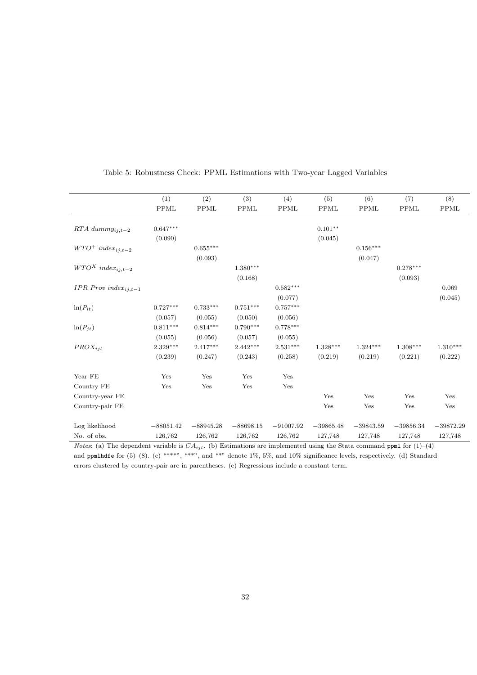|                                 | (1)         | (2)                    | (3)         | (4)         | (5)         | (6)         | (7)         | (8)         |
|---------------------------------|-------------|------------------------|-------------|-------------|-------------|-------------|-------------|-------------|
|                                 | <b>PPML</b> | <b>PPML</b>            | <b>PPML</b> | $\rm PPML$  | <b>PPML</b> | <b>PPML</b> | PPML        | <b>PPML</b> |
|                                 |             |                        |             |             |             |             |             |             |
| $RTA$ dumm $y_{ij,t-2}$         | $0.647***$  |                        |             |             | $0.101**$   |             |             |             |
|                                 | (0.090)     |                        |             |             | (0.045)     |             |             |             |
| $WTO^+$ index <sub>ij,t-2</sub> |             | $0.655^{\ast\ast\ast}$ |             |             |             | $0.156***$  |             |             |
|                                 |             | (0.093)                |             |             |             | (0.047)     |             |             |
| $WTO^X$ index <sub>ij,t-2</sub> |             |                        | $1.380***$  |             |             |             | $0.278***$  |             |
|                                 |             |                        | (0.168)     |             |             |             | (0.093)     |             |
| $IPR\_Prov\ index_{ij,t-1}$     |             |                        |             | $0.582***$  |             |             |             | 0.069       |
|                                 |             |                        |             | (0.077)     |             |             |             | (0.045)     |
| $ln(P_{it})$                    | $0.727***$  | $0.733***$             | $0.751***$  | $0.757***$  |             |             |             |             |
|                                 | (0.057)     | (0.055)                | (0.050)     | (0.056)     |             |             |             |             |
| $ln(P_{jt})$                    | $0.811***$  | $0.814***$             | $0.790***$  | $0.778***$  |             |             |             |             |
|                                 | (0.055)     | (0.056)                | (0.057)     | (0.055)     |             |             |             |             |
| $PROX_{iit}$                    | $2.329***$  | $2.417***$             | $2.442***$  | $2.531***$  | $1.328***$  | $1.324***$  | $1.308***$  | $1.310***$  |
|                                 | (0.239)     | (0.247)                | (0.243)     | (0.258)     | (0.219)     | (0.219)     | (0.221)     | (0.222)     |
| Year FE                         | Yes         | Yes                    | Yes         | Yes         |             |             |             |             |
| Country FE                      | Yes         | Yes                    | Yes         | Yes         |             |             |             |             |
| Country-year FE                 |             |                        |             |             | Yes         | Yes         | Yes         | Yes         |
| Country-pair FE                 |             |                        |             |             | Yes         | Yes         | Yes         | Yes         |
| Log likelihood                  | $-88051.42$ | $-88945.28$            | $-88698.15$ | $-91007.92$ | $-39865.48$ | $-39843.59$ | $-39856.34$ | $-39872.29$ |
| No. of obs.                     | 126,762     | 126,762                | 126,762     | 126,762     | 127,748     | 127,748     | 127,748     | 127,748     |

#### Table 5: Robustness Check: PPML Estimations with Two-year Lagged Variables

*Notes*: (a) The dependent variable is *CAijt*. (b) Estimations are implemented using the Stata command ppml for (1)–(4) and ppmlhdfe for  $(5)-(8)$ . (c) "\*\*\*", "\*\*", and "\*" denote 1%, 5%, and 10% significance levels, respectively. (d) Standard errors clustered by country-pair are in parentheses. (e) Regressions include a constant term.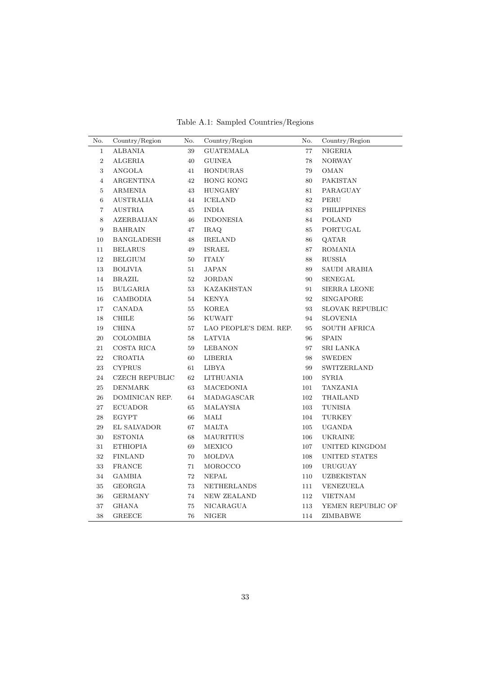Table A.1: Sampled Countries/Regions

| No.            | Country/Region    | No. | Country/Region         | No.    | Country/Region         |
|----------------|-------------------|-----|------------------------|--------|------------------------|
| $\mathbf{1}$   | <b>ALBANIA</b>    | 39  | <b>GUATEMALA</b>       | $77\,$ | NIGERIA                |
| $\overline{2}$ | ALGERIA           | 40  | <b>GUINEA</b>          | 78     | <b>NORWAY</b>          |
| 3              | ANGOLA            | 41  | HONDURAS               | 79     | OMAN                   |
| $\overline{4}$ | ARGENTINA         | 42  | <b>HONG KONG</b>       | 80     | PAKISTAN               |
| 5              | <b>ARMENIA</b>    | 43  | HUNGARY                | 81     | PARAGUAY               |
| $\,6\,$        | <b>AUSTRALIA</b>  | 44  | <b>ICELAND</b>         | 82     | PERU                   |
| $\overline{7}$ | <b>AUSTRIA</b>    | 45  | <b>INDIA</b>           | 83     | <b>PHILIPPINES</b>     |
| $\,8\,$        | <b>AZERBAIJAN</b> | 46  | <b>INDONESIA</b>       | 84     | <b>POLAND</b>          |
| 9              | BAHRAIN           | 47  | IRAQ                   | 85     | PORTUGAL               |
| 10             | <b>BANGLADESH</b> | 48  | <b>IRELAND</b>         | 86     | QATAR                  |
| 11             | <b>BELARUS</b>    | 49  | ISRAEL                 | 87     | ROMANIA                |
| 12             | <b>BELGIUM</b>    | 50  | <b>ITALY</b>           | 88     | <b>RUSSIA</b>          |
| 13             | <b>BOLIVIA</b>    | 51  | JAPAN                  | 89     | SAUDI ARABIA           |
| 14             | <b>BRAZIL</b>     | 52  | JORDAN                 | 90     | SENEGAL                |
| 15             | <b>BULGARIA</b>   | 53  | <b>KAZAKHSTAN</b>      | 91     | SIERRA LEONE           |
| 16             | CAMBODIA          | 54  | <b>KENYA</b>           | 92     | SINGAPORE              |
| 17             | CANADA            | 55  | <b>KOREA</b>           | 93     | <b>SLOVAK REPUBLIC</b> |
| 18             | CHILE             | 56  | <b>KUWAIT</b>          | 94     | <b>SLOVENIA</b>        |
| 19             | <b>CHINA</b>      | 57  | LAO PEOPLE'S DEM. REP. | 95     | <b>SOUTH AFRICA</b>    |
| 20             | COLOMBIA          | 58  | LATVIA                 | 96     | SPAIN                  |
| 21             | COSTA RICA        | 59  | <b>LEBANON</b>         | 97     | <b>SRI LANKA</b>       |
| 22             | CROATIA           | 60  | LIBERIA                | 98     | <b>SWEDEN</b>          |
| 23             | <b>CYPRUS</b>     | 61  | <b>LIBYA</b>           | 99     | SWITZERLAND            |
| 24             | $CZECH$ REPUBLIC  | 62  | LITHUANIA              | 100    | SYRIA                  |
| $\rm 25$       | DENMARK           | 63  | MACEDONIA              | 101    | TANZANIA               |
| 26             | DOMINICAN REP.    | 64  | MADAGASCAR             | 102    | THAILAND               |
| 27             | <b>ECUADOR</b>    | 65  | MALAYSIA               | 103    | TUNISIA                |
| $\bf 28$       | EGYPT             | 66  | MALI                   | 104    | TURKEY                 |
| 29             | EL SALVADOR       | 67  | MALTA                  | 105    | <b>UGANDA</b>          |
| 30             | <b>ESTONIA</b>    | 68  | MAURITIUS              | 106    | UKRAINE                |
| 31             | ETHIOPIA          | 69  | MEXICO                 | 107    | UNITED KINGDOM         |
| 32             | <b>FINLAND</b>    | 70  | MOLDVA                 | 108    | UNITED STATES          |
| 33             | <b>FRANCE</b>     | 71  | MOROCCO                | 109    | <b>URUGUAY</b>         |
| 34             | GAMBIA            | 72  | NEPAL                  | 110    | UZBEKISTAN             |
| $35\,$         | GEORGIA           | 73  | NETHERLANDS            | 111    | VENEZUELA              |
| 36             | <b>GERMANY</b>    | 74  | <b>NEW ZEALAND</b>     | 112    | <b>VIETNAM</b>         |
| 37             | GHANA             | 75  | NICARAGUA              | 113    | YEMEN REPUBLIC OF      |
| 38             | <b>GREECE</b>     | 76  | <b>NIGER</b>           | 114    | ZIMBABWE               |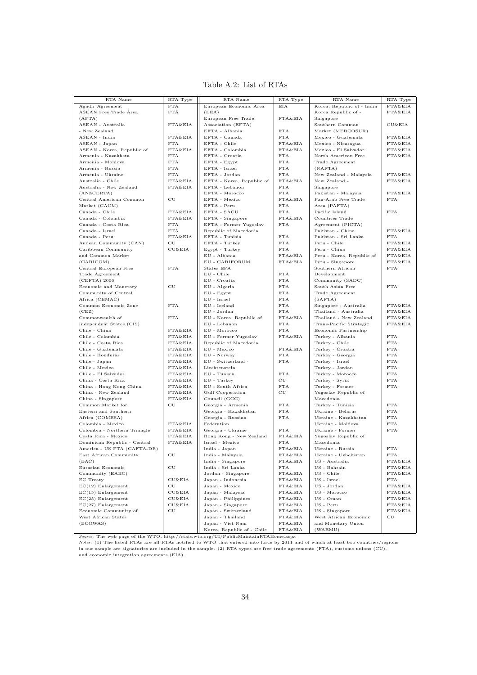| Agadir Agreement<br>European Economic Area<br>Korea, Republic of - India<br>FTA&EIA<br>FTA<br>EIA<br>ASEAN Free Trade Area<br><b>FTA</b><br>(EEA)<br>Korea Republic of -<br>FTA&EIA<br>FTA&EIA<br>(AFTA)<br>European Free Trade<br>Singapore<br>ASEAN - Australia<br>FTA&EIA<br>Association (EFTA)<br>Southern Common<br>CU&EIA<br>EFTA - Albania<br>Market (MERCOSUR)<br>- New Zealand<br><b>FTA</b><br>EFTA - Canada<br>ASEAN - India<br>FTA&EIA<br><b>FTA</b><br>Mexico - Guatemala<br>FTA&EIA<br><b>FTA</b><br>EFTA - Chile<br>FTA&EIA<br>Mexico - Nicaragua<br>FTA&EIA<br>ASEAN - Japan<br>ASEAN - Korea, Republic of<br>FTA&EIA<br>EFTA - Colombia<br>FTA&EIA<br>Mexico - El Salvador<br>FTA&EIA<br>${\rm FTA}$<br>EFTA - Croatia<br>Armenia - Kazakhsta<br><b>FTA</b><br>North American Free<br>FTA&EIA<br>${\rm FTA}$<br>Armenia - Moldova<br>EFTA - Egypt<br><b>FTA</b><br>Trade Agreement<br>FTA<br>Armenia - Russia<br>EFTA - Israel<br><b>FTA</b><br>(NAFTA)<br>Armenia - Ukraine<br>FTA<br>EFTA - Jordan<br><b>FTA</b><br>New Zealand - Malaysia<br>FTA&EIA<br>Australia - Chile<br>FTA&EIA<br>EFTA - Korea, Republic of<br>FTA&EIA<br>New Zealand -<br>FTA&EIA<br>FTA&EIA<br>Australia - New Zealand<br>EFTA - Lebanon<br>FTA<br>Singapore<br>(ANZCERTA)<br>EFTA - Morocco<br><b>FTA</b><br>Pakistan - Malaysia<br>FTA&EIA<br>Central American Common<br>$_{\rm CU}$<br>EFTA - Mexico<br>$\texttt{FTA\&EIA}$<br>Pan-Arab Free Trade<br><b>FTA</b><br>Market (CACM)<br>EFTA - Peru<br><b>FTA</b><br>Area (PAFTA)<br>FTA&EIA<br>EFTA - SACU<br><b>FTA</b><br>Pacific Island<br><b>FTA</b><br>Canada - Chile<br>Canada - Colombia<br>FTA&EIA<br>EFTA - Singapore<br>FTA&EIA<br>Countries Trade<br>Canada - Costa Rica<br>FTA<br>EFTA - Former Yugoslav<br><b>FTA</b><br>Agreement (PICTA)<br>FTA<br>Pakistan - China<br>FTA&EIA<br>Canada - Israel<br>Republic of Macedonia<br>FTA&EIA<br>Pakistan - Sri Lanka<br>Canada - Peru<br>EFTA - Tunisia<br><b>FTA</b><br><b>FTA</b><br>$_{\rm CU}$<br>EFTA - Turkey<br><b>FTA</b><br>Peru - Chile<br>FTA&EIA<br>Andean Community (CAN)<br>Caribbean Community<br>CU&EIA<br>Egypt - Turkey<br>FTA<br>Peru - China<br>FTA&EIA<br>and Common Market<br>EU - Albania<br>FTA&EIA<br>Peru - Korea, Republic of<br>FTA&EIA<br>(CARICOM)<br>EU - CARIFORUM<br>FTA&EIA<br>Peru - Singapore<br>FTA&EIA<br>FTA<br>Central European Free<br>States EPA<br>Southern African<br><b>FTA</b><br>EU - Chile<br><b>FTA</b><br>Development<br>Trade Agreement<br>$(CEFTA)$ 2006<br>EU - Croatia<br><b>FTA</b><br>Community (SADC)<br>Economic and Monetary<br>$_{\rm CU}$<br>EU - Algeria<br><b>FTA</b><br>South Asian Free<br><b>FTA</b><br>Community of Central<br>$EU$ - $Egypt$<br><b>FTA</b><br>Trade Agreement<br>Africa (CEMAC)<br>EU - Israel<br><b>FTA</b><br>(SAFTA)<br>FTA<br>Singapore - Australia<br>FTA&EIA<br>Common Economic Zone<br>EU - Iceland<br><b>FTA</b><br>Thailand - Australia<br>FTA&EIA<br>(CEZ)<br>EU - Jordan<br>FTA<br>Commonwealth of<br><b>FTA</b><br>EU - Korea, Republic of<br>FTA&EIA<br>Thailand - New Zealand<br>FTA&EIA<br>Independent States (CIS)<br>EU - Lebanon<br><b>FTA</b><br>Trans-Pacific Strategic<br>FTA&EIA<br>FTA&EIA<br>Chile - China<br>EU - Morocco<br><b>FTA</b><br>Economic Partnership<br>FTA&EIA<br>${\rm FTA}$<br>Chile - Colombia<br>FTA&EIA<br>Turkey - Albania<br>EU - Former Yugoslav<br>Chile - Costa Rica<br>FTA&EIA<br>Republic of Macedonia<br>Turkey - Chile<br><b>FTA</b><br>Chile - Guatemala<br>FTA&EIA<br>EU - Mexico<br>FTA&EIA<br>Turkey - Croatia<br><b>FTA</b><br>Chile - Honduras<br>FTA&EIA<br>EU - Norway<br>FTA<br>Turkey - Georgia<br><b>FTA</b><br>Chile - Japan<br>FTA&EIA<br>EU - Switzerland -<br><b>FTA</b><br>Turkey - Israel<br><b>FTA</b><br>FTA&EIA<br>FTA<br>Chile - Mexico<br>Liechtenstein<br>Turkey - Jordan<br>Chile - El Salvador<br>FTA&EIA<br>EU - Tunisia<br><b>FTA</b><br>Turkey - Morocco<br><b>FTA</b><br>FTA&EIA<br>EU - Turkey<br>CU<br>Turkey - Syria<br><b>FTA</b><br>China - Costa Rica<br>China - Hong Kong China<br>FTA&EIA<br>EU - South Africa<br><b>FTA</b><br>Turkey - Former<br><b>FTA</b><br>FTA&EIA<br>China - New Zealand<br>Gulf Cooperation<br>$_{\rm CU}$<br>Yugoslav Republic of<br>China - Singapore<br>FTA&EIA<br>Council (GCC)<br>Macedonia<br>Turkey - Tunisia<br>${\rm FTA}$<br>Common Market for<br>$_{\rm CU}$<br>Georgia - Armenia<br><b>FTA</b><br>Eastern and Southern<br>FTA<br>Ukraine - Belarus<br><b>FTA</b><br>Georgia - Kazakhstan<br>Georgia - Russian<br><b>FTA</b><br>Ukraine - Kazakhstan<br><b>FTA</b><br>Africa (COMESA)<br>Colombia - Mexico<br>FTA&EIA<br>Federation<br>Ukraine - Moldova<br><b>FTA</b><br>FTA<br>Colombia - Northern Triangle<br>FTA&EIA<br>Georgia - Ukraine<br>FTA<br>Ukraine - Former<br>FTA&EIA<br>Costa Rica - Mexico<br>Hong Kong - New Zealand<br>FTA&EIA<br>Yugoslav Republic of<br>FTA&EIA<br>Israel - Mexico<br>FTA<br>Macedonia<br>Dominican Republic - Central<br>FTA<br>America - US FTA (CAFTA-DR)<br>FTA&EIA<br>Ukraine - Russia<br>India - Japan<br>East African Community<br>CU<br>India - Malaysia<br>FTA&EIA<br>Ukraine - Uzbekistan<br>FTA<br>(EAC)<br>India - Singapore<br>FTA&EIA<br>US - Australia<br>FTA&EIA<br>Eurasian Economic<br>$\rm{CU}$<br>India - Sri Lanka<br>FTA<br>US - Bahrain<br>FTA&EIA<br>Jordan - Singapore<br>US - Chile<br>Community (EAEC)<br>FTA&EIA<br>FTA&EIA<br>EC Treaty<br>CU&EIA<br>Japan - Indonesia<br>FTA&EIA<br>US - Israel<br>FTA<br>$EC(12)$ Enlargement<br>CU<br>Japan - Mexico<br>FTA&EIA<br>US - Jordan<br>FTA&EIA<br>$EC(15)$ Enlargement<br>CU&EIA<br>Japan - Malaysia<br>FTA&EIA<br>US - Morocco<br>FTA&EIA<br>$EC(25)$ Enlargement<br>CU&EIA<br>Japan - Philippines<br>FTA&EIA<br>US - Oman<br>FTA&EIA<br>CU&EIA<br>US - Peru<br>$EC(27)$ Enlargement<br>Japan - Singapore<br>FTA&EIA<br>FTA&EIA<br>Economic Community of<br>CU<br>Japan - Switzerland<br>FTA&EIA<br>US - Singapore<br>FTA&EIA<br>West African States<br>Japan - Thailand<br>FTA&EIA<br>West African Economic<br>CU<br>(ECOWAS)<br>Japan - Viet Nam<br>FTA&EIA<br>and Monetary Union<br>FTA&EIA<br>(WAEMU)<br>Korea, Republic of - Chile | RTA Name | RTA Type | RTA Name | RTA Type | RTA Name | RTA Type |
|-----------------------------------------------------------------------------------------------------------------------------------------------------------------------------------------------------------------------------------------------------------------------------------------------------------------------------------------------------------------------------------------------------------------------------------------------------------------------------------------------------------------------------------------------------------------------------------------------------------------------------------------------------------------------------------------------------------------------------------------------------------------------------------------------------------------------------------------------------------------------------------------------------------------------------------------------------------------------------------------------------------------------------------------------------------------------------------------------------------------------------------------------------------------------------------------------------------------------------------------------------------------------------------------------------------------------------------------------------------------------------------------------------------------------------------------------------------------------------------------------------------------------------------------------------------------------------------------------------------------------------------------------------------------------------------------------------------------------------------------------------------------------------------------------------------------------------------------------------------------------------------------------------------------------------------------------------------------------------------------------------------------------------------------------------------------------------------------------------------------------------------------------------------------------------------------------------------------------------------------------------------------------------------------------------------------------------------------------------------------------------------------------------------------------------------------------------------------------------------------------------------------------------------------------------------------------------------------------------------------------------------------------------------------------------------------------------------------------------------------------------------------------------------------------------------------------------------------------------------------------------------------------------------------------------------------------------------------------------------------------------------------------------------------------------------------------------------------------------------------------------------------------------------------------------------------------------------------------------------------------------------------------------------------------------------------------------------------------------------------------------------------------------------------------------------------------------------------------------------------------------------------------------------------------------------------------------------------------------------------------------------------------------------------------------------------------------------------------------------------------------------------------------------------------------------------------------------------------------------------------------------------------------------------------------------------------------------------------------------------------------------------------------------------------------------------------------------------------------------------------------------------------------------------------------------------------------------------------------------------------------------------------------------------------------------------------------------------------------------------------------------------------------------------------------------------------------------------------------------------------------------------------------------------------------------------------------------------------------------------------------------------------------------------------------------------------------------------------------------------------------------------------------------------------------------------------------------------------------------------------------------------------------------------------------------------------------------------------------------------------------------------------------------------------------------------------------------------------------------------------------------------------------------------------------------------------------------------------------------------------------------------------------------------------------------------------------------------------------------------------------------------------------------------------------------------------------------------------------------------------------------------------------------------------------------------------------------------------------------------------------------------------------------------------------------------------------------------------------------------------------------------------------------------------------------------------------------------------------------------------------------------------------------------------------------------------------------------------------------------------------------------------------------------------------------------------------------------------------------------------------------------------------------------------------|----------|----------|----------|----------|----------|----------|
|                                                                                                                                                                                                                                                                                                                                                                                                                                                                                                                                                                                                                                                                                                                                                                                                                                                                                                                                                                                                                                                                                                                                                                                                                                                                                                                                                                                                                                                                                                                                                                                                                                                                                                                                                                                                                                                                                                                                                                                                                                                                                                                                                                                                                                                                                                                                                                                                                                                                                                                                                                                                                                                                                                                                                                                                                                                                                                                                                                                                                                                                                                                                                                                                                                                                                                                                                                                                                                                                                                                                                                                                                                                                                                                                                                                                                                                                                                                                                                                                                                                                                                                                                                                                                                                                                                                                                                                                                                                                                                                                                                                                                                                                                                                                                                                                                                                                                                                                                                                                                                                                                                                                                                                                                                                                                                                                                                                                                                                                                                                                                                                                                                                                                                                                                                                                                                                                                                                                                                                                                                                                                                                                                                             |          |          |          |          |          |          |
|                                                                                                                                                                                                                                                                                                                                                                                                                                                                                                                                                                                                                                                                                                                                                                                                                                                                                                                                                                                                                                                                                                                                                                                                                                                                                                                                                                                                                                                                                                                                                                                                                                                                                                                                                                                                                                                                                                                                                                                                                                                                                                                                                                                                                                                                                                                                                                                                                                                                                                                                                                                                                                                                                                                                                                                                                                                                                                                                                                                                                                                                                                                                                                                                                                                                                                                                                                                                                                                                                                                                                                                                                                                                                                                                                                                                                                                                                                                                                                                                                                                                                                                                                                                                                                                                                                                                                                                                                                                                                                                                                                                                                                                                                                                                                                                                                                                                                                                                                                                                                                                                                                                                                                                                                                                                                                                                                                                                                                                                                                                                                                                                                                                                                                                                                                                                                                                                                                                                                                                                                                                                                                                                                                             |          |          |          |          |          |          |
|                                                                                                                                                                                                                                                                                                                                                                                                                                                                                                                                                                                                                                                                                                                                                                                                                                                                                                                                                                                                                                                                                                                                                                                                                                                                                                                                                                                                                                                                                                                                                                                                                                                                                                                                                                                                                                                                                                                                                                                                                                                                                                                                                                                                                                                                                                                                                                                                                                                                                                                                                                                                                                                                                                                                                                                                                                                                                                                                                                                                                                                                                                                                                                                                                                                                                                                                                                                                                                                                                                                                                                                                                                                                                                                                                                                                                                                                                                                                                                                                                                                                                                                                                                                                                                                                                                                                                                                                                                                                                                                                                                                                                                                                                                                                                                                                                                                                                                                                                                                                                                                                                                                                                                                                                                                                                                                                                                                                                                                                                                                                                                                                                                                                                                                                                                                                                                                                                                                                                                                                                                                                                                                                                                             |          |          |          |          |          |          |
|                                                                                                                                                                                                                                                                                                                                                                                                                                                                                                                                                                                                                                                                                                                                                                                                                                                                                                                                                                                                                                                                                                                                                                                                                                                                                                                                                                                                                                                                                                                                                                                                                                                                                                                                                                                                                                                                                                                                                                                                                                                                                                                                                                                                                                                                                                                                                                                                                                                                                                                                                                                                                                                                                                                                                                                                                                                                                                                                                                                                                                                                                                                                                                                                                                                                                                                                                                                                                                                                                                                                                                                                                                                                                                                                                                                                                                                                                                                                                                                                                                                                                                                                                                                                                                                                                                                                                                                                                                                                                                                                                                                                                                                                                                                                                                                                                                                                                                                                                                                                                                                                                                                                                                                                                                                                                                                                                                                                                                                                                                                                                                                                                                                                                                                                                                                                                                                                                                                                                                                                                                                                                                                                                                             |          |          |          |          |          |          |
|                                                                                                                                                                                                                                                                                                                                                                                                                                                                                                                                                                                                                                                                                                                                                                                                                                                                                                                                                                                                                                                                                                                                                                                                                                                                                                                                                                                                                                                                                                                                                                                                                                                                                                                                                                                                                                                                                                                                                                                                                                                                                                                                                                                                                                                                                                                                                                                                                                                                                                                                                                                                                                                                                                                                                                                                                                                                                                                                                                                                                                                                                                                                                                                                                                                                                                                                                                                                                                                                                                                                                                                                                                                                                                                                                                                                                                                                                                                                                                                                                                                                                                                                                                                                                                                                                                                                                                                                                                                                                                                                                                                                                                                                                                                                                                                                                                                                                                                                                                                                                                                                                                                                                                                                                                                                                                                                                                                                                                                                                                                                                                                                                                                                                                                                                                                                                                                                                                                                                                                                                                                                                                                                                                             |          |          |          |          |          |          |
|                                                                                                                                                                                                                                                                                                                                                                                                                                                                                                                                                                                                                                                                                                                                                                                                                                                                                                                                                                                                                                                                                                                                                                                                                                                                                                                                                                                                                                                                                                                                                                                                                                                                                                                                                                                                                                                                                                                                                                                                                                                                                                                                                                                                                                                                                                                                                                                                                                                                                                                                                                                                                                                                                                                                                                                                                                                                                                                                                                                                                                                                                                                                                                                                                                                                                                                                                                                                                                                                                                                                                                                                                                                                                                                                                                                                                                                                                                                                                                                                                                                                                                                                                                                                                                                                                                                                                                                                                                                                                                                                                                                                                                                                                                                                                                                                                                                                                                                                                                                                                                                                                                                                                                                                                                                                                                                                                                                                                                                                                                                                                                                                                                                                                                                                                                                                                                                                                                                                                                                                                                                                                                                                                                             |          |          |          |          |          |          |
|                                                                                                                                                                                                                                                                                                                                                                                                                                                                                                                                                                                                                                                                                                                                                                                                                                                                                                                                                                                                                                                                                                                                                                                                                                                                                                                                                                                                                                                                                                                                                                                                                                                                                                                                                                                                                                                                                                                                                                                                                                                                                                                                                                                                                                                                                                                                                                                                                                                                                                                                                                                                                                                                                                                                                                                                                                                                                                                                                                                                                                                                                                                                                                                                                                                                                                                                                                                                                                                                                                                                                                                                                                                                                                                                                                                                                                                                                                                                                                                                                                                                                                                                                                                                                                                                                                                                                                                                                                                                                                                                                                                                                                                                                                                                                                                                                                                                                                                                                                                                                                                                                                                                                                                                                                                                                                                                                                                                                                                                                                                                                                                                                                                                                                                                                                                                                                                                                                                                                                                                                                                                                                                                                                             |          |          |          |          |          |          |
|                                                                                                                                                                                                                                                                                                                                                                                                                                                                                                                                                                                                                                                                                                                                                                                                                                                                                                                                                                                                                                                                                                                                                                                                                                                                                                                                                                                                                                                                                                                                                                                                                                                                                                                                                                                                                                                                                                                                                                                                                                                                                                                                                                                                                                                                                                                                                                                                                                                                                                                                                                                                                                                                                                                                                                                                                                                                                                                                                                                                                                                                                                                                                                                                                                                                                                                                                                                                                                                                                                                                                                                                                                                                                                                                                                                                                                                                                                                                                                                                                                                                                                                                                                                                                                                                                                                                                                                                                                                                                                                                                                                                                                                                                                                                                                                                                                                                                                                                                                                                                                                                                                                                                                                                                                                                                                                                                                                                                                                                                                                                                                                                                                                                                                                                                                                                                                                                                                                                                                                                                                                                                                                                                                             |          |          |          |          |          |          |
|                                                                                                                                                                                                                                                                                                                                                                                                                                                                                                                                                                                                                                                                                                                                                                                                                                                                                                                                                                                                                                                                                                                                                                                                                                                                                                                                                                                                                                                                                                                                                                                                                                                                                                                                                                                                                                                                                                                                                                                                                                                                                                                                                                                                                                                                                                                                                                                                                                                                                                                                                                                                                                                                                                                                                                                                                                                                                                                                                                                                                                                                                                                                                                                                                                                                                                                                                                                                                                                                                                                                                                                                                                                                                                                                                                                                                                                                                                                                                                                                                                                                                                                                                                                                                                                                                                                                                                                                                                                                                                                                                                                                                                                                                                                                                                                                                                                                                                                                                                                                                                                                                                                                                                                                                                                                                                                                                                                                                                                                                                                                                                                                                                                                                                                                                                                                                                                                                                                                                                                                                                                                                                                                                                             |          |          |          |          |          |          |
|                                                                                                                                                                                                                                                                                                                                                                                                                                                                                                                                                                                                                                                                                                                                                                                                                                                                                                                                                                                                                                                                                                                                                                                                                                                                                                                                                                                                                                                                                                                                                                                                                                                                                                                                                                                                                                                                                                                                                                                                                                                                                                                                                                                                                                                                                                                                                                                                                                                                                                                                                                                                                                                                                                                                                                                                                                                                                                                                                                                                                                                                                                                                                                                                                                                                                                                                                                                                                                                                                                                                                                                                                                                                                                                                                                                                                                                                                                                                                                                                                                                                                                                                                                                                                                                                                                                                                                                                                                                                                                                                                                                                                                                                                                                                                                                                                                                                                                                                                                                                                                                                                                                                                                                                                                                                                                                                                                                                                                                                                                                                                                                                                                                                                                                                                                                                                                                                                                                                                                                                                                                                                                                                                                             |          |          |          |          |          |          |
|                                                                                                                                                                                                                                                                                                                                                                                                                                                                                                                                                                                                                                                                                                                                                                                                                                                                                                                                                                                                                                                                                                                                                                                                                                                                                                                                                                                                                                                                                                                                                                                                                                                                                                                                                                                                                                                                                                                                                                                                                                                                                                                                                                                                                                                                                                                                                                                                                                                                                                                                                                                                                                                                                                                                                                                                                                                                                                                                                                                                                                                                                                                                                                                                                                                                                                                                                                                                                                                                                                                                                                                                                                                                                                                                                                                                                                                                                                                                                                                                                                                                                                                                                                                                                                                                                                                                                                                                                                                                                                                                                                                                                                                                                                                                                                                                                                                                                                                                                                                                                                                                                                                                                                                                                                                                                                                                                                                                                                                                                                                                                                                                                                                                                                                                                                                                                                                                                                                                                                                                                                                                                                                                                                             |          |          |          |          |          |          |
|                                                                                                                                                                                                                                                                                                                                                                                                                                                                                                                                                                                                                                                                                                                                                                                                                                                                                                                                                                                                                                                                                                                                                                                                                                                                                                                                                                                                                                                                                                                                                                                                                                                                                                                                                                                                                                                                                                                                                                                                                                                                                                                                                                                                                                                                                                                                                                                                                                                                                                                                                                                                                                                                                                                                                                                                                                                                                                                                                                                                                                                                                                                                                                                                                                                                                                                                                                                                                                                                                                                                                                                                                                                                                                                                                                                                                                                                                                                                                                                                                                                                                                                                                                                                                                                                                                                                                                                                                                                                                                                                                                                                                                                                                                                                                                                                                                                                                                                                                                                                                                                                                                                                                                                                                                                                                                                                                                                                                                                                                                                                                                                                                                                                                                                                                                                                                                                                                                                                                                                                                                                                                                                                                                             |          |          |          |          |          |          |
|                                                                                                                                                                                                                                                                                                                                                                                                                                                                                                                                                                                                                                                                                                                                                                                                                                                                                                                                                                                                                                                                                                                                                                                                                                                                                                                                                                                                                                                                                                                                                                                                                                                                                                                                                                                                                                                                                                                                                                                                                                                                                                                                                                                                                                                                                                                                                                                                                                                                                                                                                                                                                                                                                                                                                                                                                                                                                                                                                                                                                                                                                                                                                                                                                                                                                                                                                                                                                                                                                                                                                                                                                                                                                                                                                                                                                                                                                                                                                                                                                                                                                                                                                                                                                                                                                                                                                                                                                                                                                                                                                                                                                                                                                                                                                                                                                                                                                                                                                                                                                                                                                                                                                                                                                                                                                                                                                                                                                                                                                                                                                                                                                                                                                                                                                                                                                                                                                                                                                                                                                                                                                                                                                                             |          |          |          |          |          |          |
|                                                                                                                                                                                                                                                                                                                                                                                                                                                                                                                                                                                                                                                                                                                                                                                                                                                                                                                                                                                                                                                                                                                                                                                                                                                                                                                                                                                                                                                                                                                                                                                                                                                                                                                                                                                                                                                                                                                                                                                                                                                                                                                                                                                                                                                                                                                                                                                                                                                                                                                                                                                                                                                                                                                                                                                                                                                                                                                                                                                                                                                                                                                                                                                                                                                                                                                                                                                                                                                                                                                                                                                                                                                                                                                                                                                                                                                                                                                                                                                                                                                                                                                                                                                                                                                                                                                                                                                                                                                                                                                                                                                                                                                                                                                                                                                                                                                                                                                                                                                                                                                                                                                                                                                                                                                                                                                                                                                                                                                                                                                                                                                                                                                                                                                                                                                                                                                                                                                                                                                                                                                                                                                                                                             |          |          |          |          |          |          |
|                                                                                                                                                                                                                                                                                                                                                                                                                                                                                                                                                                                                                                                                                                                                                                                                                                                                                                                                                                                                                                                                                                                                                                                                                                                                                                                                                                                                                                                                                                                                                                                                                                                                                                                                                                                                                                                                                                                                                                                                                                                                                                                                                                                                                                                                                                                                                                                                                                                                                                                                                                                                                                                                                                                                                                                                                                                                                                                                                                                                                                                                                                                                                                                                                                                                                                                                                                                                                                                                                                                                                                                                                                                                                                                                                                                                                                                                                                                                                                                                                                                                                                                                                                                                                                                                                                                                                                                                                                                                                                                                                                                                                                                                                                                                                                                                                                                                                                                                                                                                                                                                                                                                                                                                                                                                                                                                                                                                                                                                                                                                                                                                                                                                                                                                                                                                                                                                                                                                                                                                                                                                                                                                                                             |          |          |          |          |          |          |
|                                                                                                                                                                                                                                                                                                                                                                                                                                                                                                                                                                                                                                                                                                                                                                                                                                                                                                                                                                                                                                                                                                                                                                                                                                                                                                                                                                                                                                                                                                                                                                                                                                                                                                                                                                                                                                                                                                                                                                                                                                                                                                                                                                                                                                                                                                                                                                                                                                                                                                                                                                                                                                                                                                                                                                                                                                                                                                                                                                                                                                                                                                                                                                                                                                                                                                                                                                                                                                                                                                                                                                                                                                                                                                                                                                                                                                                                                                                                                                                                                                                                                                                                                                                                                                                                                                                                                                                                                                                                                                                                                                                                                                                                                                                                                                                                                                                                                                                                                                                                                                                                                                                                                                                                                                                                                                                                                                                                                                                                                                                                                                                                                                                                                                                                                                                                                                                                                                                                                                                                                                                                                                                                                                             |          |          |          |          |          |          |
|                                                                                                                                                                                                                                                                                                                                                                                                                                                                                                                                                                                                                                                                                                                                                                                                                                                                                                                                                                                                                                                                                                                                                                                                                                                                                                                                                                                                                                                                                                                                                                                                                                                                                                                                                                                                                                                                                                                                                                                                                                                                                                                                                                                                                                                                                                                                                                                                                                                                                                                                                                                                                                                                                                                                                                                                                                                                                                                                                                                                                                                                                                                                                                                                                                                                                                                                                                                                                                                                                                                                                                                                                                                                                                                                                                                                                                                                                                                                                                                                                                                                                                                                                                                                                                                                                                                                                                                                                                                                                                                                                                                                                                                                                                                                                                                                                                                                                                                                                                                                                                                                                                                                                                                                                                                                                                                                                                                                                                                                                                                                                                                                                                                                                                                                                                                                                                                                                                                                                                                                                                                                                                                                                                             |          |          |          |          |          |          |
|                                                                                                                                                                                                                                                                                                                                                                                                                                                                                                                                                                                                                                                                                                                                                                                                                                                                                                                                                                                                                                                                                                                                                                                                                                                                                                                                                                                                                                                                                                                                                                                                                                                                                                                                                                                                                                                                                                                                                                                                                                                                                                                                                                                                                                                                                                                                                                                                                                                                                                                                                                                                                                                                                                                                                                                                                                                                                                                                                                                                                                                                                                                                                                                                                                                                                                                                                                                                                                                                                                                                                                                                                                                                                                                                                                                                                                                                                                                                                                                                                                                                                                                                                                                                                                                                                                                                                                                                                                                                                                                                                                                                                                                                                                                                                                                                                                                                                                                                                                                                                                                                                                                                                                                                                                                                                                                                                                                                                                                                                                                                                                                                                                                                                                                                                                                                                                                                                                                                                                                                                                                                                                                                                                             |          |          |          |          |          |          |
|                                                                                                                                                                                                                                                                                                                                                                                                                                                                                                                                                                                                                                                                                                                                                                                                                                                                                                                                                                                                                                                                                                                                                                                                                                                                                                                                                                                                                                                                                                                                                                                                                                                                                                                                                                                                                                                                                                                                                                                                                                                                                                                                                                                                                                                                                                                                                                                                                                                                                                                                                                                                                                                                                                                                                                                                                                                                                                                                                                                                                                                                                                                                                                                                                                                                                                                                                                                                                                                                                                                                                                                                                                                                                                                                                                                                                                                                                                                                                                                                                                                                                                                                                                                                                                                                                                                                                                                                                                                                                                                                                                                                                                                                                                                                                                                                                                                                                                                                                                                                                                                                                                                                                                                                                                                                                                                                                                                                                                                                                                                                                                                                                                                                                                                                                                                                                                                                                                                                                                                                                                                                                                                                                                             |          |          |          |          |          |          |
|                                                                                                                                                                                                                                                                                                                                                                                                                                                                                                                                                                                                                                                                                                                                                                                                                                                                                                                                                                                                                                                                                                                                                                                                                                                                                                                                                                                                                                                                                                                                                                                                                                                                                                                                                                                                                                                                                                                                                                                                                                                                                                                                                                                                                                                                                                                                                                                                                                                                                                                                                                                                                                                                                                                                                                                                                                                                                                                                                                                                                                                                                                                                                                                                                                                                                                                                                                                                                                                                                                                                                                                                                                                                                                                                                                                                                                                                                                                                                                                                                                                                                                                                                                                                                                                                                                                                                                                                                                                                                                                                                                                                                                                                                                                                                                                                                                                                                                                                                                                                                                                                                                                                                                                                                                                                                                                                                                                                                                                                                                                                                                                                                                                                                                                                                                                                                                                                                                                                                                                                                                                                                                                                                                             |          |          |          |          |          |          |
|                                                                                                                                                                                                                                                                                                                                                                                                                                                                                                                                                                                                                                                                                                                                                                                                                                                                                                                                                                                                                                                                                                                                                                                                                                                                                                                                                                                                                                                                                                                                                                                                                                                                                                                                                                                                                                                                                                                                                                                                                                                                                                                                                                                                                                                                                                                                                                                                                                                                                                                                                                                                                                                                                                                                                                                                                                                                                                                                                                                                                                                                                                                                                                                                                                                                                                                                                                                                                                                                                                                                                                                                                                                                                                                                                                                                                                                                                                                                                                                                                                                                                                                                                                                                                                                                                                                                                                                                                                                                                                                                                                                                                                                                                                                                                                                                                                                                                                                                                                                                                                                                                                                                                                                                                                                                                                                                                                                                                                                                                                                                                                                                                                                                                                                                                                                                                                                                                                                                                                                                                                                                                                                                                                             |          |          |          |          |          |          |
|                                                                                                                                                                                                                                                                                                                                                                                                                                                                                                                                                                                                                                                                                                                                                                                                                                                                                                                                                                                                                                                                                                                                                                                                                                                                                                                                                                                                                                                                                                                                                                                                                                                                                                                                                                                                                                                                                                                                                                                                                                                                                                                                                                                                                                                                                                                                                                                                                                                                                                                                                                                                                                                                                                                                                                                                                                                                                                                                                                                                                                                                                                                                                                                                                                                                                                                                                                                                                                                                                                                                                                                                                                                                                                                                                                                                                                                                                                                                                                                                                                                                                                                                                                                                                                                                                                                                                                                                                                                                                                                                                                                                                                                                                                                                                                                                                                                                                                                                                                                                                                                                                                                                                                                                                                                                                                                                                                                                                                                                                                                                                                                                                                                                                                                                                                                                                                                                                                                                                                                                                                                                                                                                                                             |          |          |          |          |          |          |
|                                                                                                                                                                                                                                                                                                                                                                                                                                                                                                                                                                                                                                                                                                                                                                                                                                                                                                                                                                                                                                                                                                                                                                                                                                                                                                                                                                                                                                                                                                                                                                                                                                                                                                                                                                                                                                                                                                                                                                                                                                                                                                                                                                                                                                                                                                                                                                                                                                                                                                                                                                                                                                                                                                                                                                                                                                                                                                                                                                                                                                                                                                                                                                                                                                                                                                                                                                                                                                                                                                                                                                                                                                                                                                                                                                                                                                                                                                                                                                                                                                                                                                                                                                                                                                                                                                                                                                                                                                                                                                                                                                                                                                                                                                                                                                                                                                                                                                                                                                                                                                                                                                                                                                                                                                                                                                                                                                                                                                                                                                                                                                                                                                                                                                                                                                                                                                                                                                                                                                                                                                                                                                                                                                             |          |          |          |          |          |          |
|                                                                                                                                                                                                                                                                                                                                                                                                                                                                                                                                                                                                                                                                                                                                                                                                                                                                                                                                                                                                                                                                                                                                                                                                                                                                                                                                                                                                                                                                                                                                                                                                                                                                                                                                                                                                                                                                                                                                                                                                                                                                                                                                                                                                                                                                                                                                                                                                                                                                                                                                                                                                                                                                                                                                                                                                                                                                                                                                                                                                                                                                                                                                                                                                                                                                                                                                                                                                                                                                                                                                                                                                                                                                                                                                                                                                                                                                                                                                                                                                                                                                                                                                                                                                                                                                                                                                                                                                                                                                                                                                                                                                                                                                                                                                                                                                                                                                                                                                                                                                                                                                                                                                                                                                                                                                                                                                                                                                                                                                                                                                                                                                                                                                                                                                                                                                                                                                                                                                                                                                                                                                                                                                                                             |          |          |          |          |          |          |
|                                                                                                                                                                                                                                                                                                                                                                                                                                                                                                                                                                                                                                                                                                                                                                                                                                                                                                                                                                                                                                                                                                                                                                                                                                                                                                                                                                                                                                                                                                                                                                                                                                                                                                                                                                                                                                                                                                                                                                                                                                                                                                                                                                                                                                                                                                                                                                                                                                                                                                                                                                                                                                                                                                                                                                                                                                                                                                                                                                                                                                                                                                                                                                                                                                                                                                                                                                                                                                                                                                                                                                                                                                                                                                                                                                                                                                                                                                                                                                                                                                                                                                                                                                                                                                                                                                                                                                                                                                                                                                                                                                                                                                                                                                                                                                                                                                                                                                                                                                                                                                                                                                                                                                                                                                                                                                                                                                                                                                                                                                                                                                                                                                                                                                                                                                                                                                                                                                                                                                                                                                                                                                                                                                             |          |          |          |          |          |          |
|                                                                                                                                                                                                                                                                                                                                                                                                                                                                                                                                                                                                                                                                                                                                                                                                                                                                                                                                                                                                                                                                                                                                                                                                                                                                                                                                                                                                                                                                                                                                                                                                                                                                                                                                                                                                                                                                                                                                                                                                                                                                                                                                                                                                                                                                                                                                                                                                                                                                                                                                                                                                                                                                                                                                                                                                                                                                                                                                                                                                                                                                                                                                                                                                                                                                                                                                                                                                                                                                                                                                                                                                                                                                                                                                                                                                                                                                                                                                                                                                                                                                                                                                                                                                                                                                                                                                                                                                                                                                                                                                                                                                                                                                                                                                                                                                                                                                                                                                                                                                                                                                                                                                                                                                                                                                                                                                                                                                                                                                                                                                                                                                                                                                                                                                                                                                                                                                                                                                                                                                                                                                                                                                                                             |          |          |          |          |          |          |
|                                                                                                                                                                                                                                                                                                                                                                                                                                                                                                                                                                                                                                                                                                                                                                                                                                                                                                                                                                                                                                                                                                                                                                                                                                                                                                                                                                                                                                                                                                                                                                                                                                                                                                                                                                                                                                                                                                                                                                                                                                                                                                                                                                                                                                                                                                                                                                                                                                                                                                                                                                                                                                                                                                                                                                                                                                                                                                                                                                                                                                                                                                                                                                                                                                                                                                                                                                                                                                                                                                                                                                                                                                                                                                                                                                                                                                                                                                                                                                                                                                                                                                                                                                                                                                                                                                                                                                                                                                                                                                                                                                                                                                                                                                                                                                                                                                                                                                                                                                                                                                                                                                                                                                                                                                                                                                                                                                                                                                                                                                                                                                                                                                                                                                                                                                                                                                                                                                                                                                                                                                                                                                                                                                             |          |          |          |          |          |          |
|                                                                                                                                                                                                                                                                                                                                                                                                                                                                                                                                                                                                                                                                                                                                                                                                                                                                                                                                                                                                                                                                                                                                                                                                                                                                                                                                                                                                                                                                                                                                                                                                                                                                                                                                                                                                                                                                                                                                                                                                                                                                                                                                                                                                                                                                                                                                                                                                                                                                                                                                                                                                                                                                                                                                                                                                                                                                                                                                                                                                                                                                                                                                                                                                                                                                                                                                                                                                                                                                                                                                                                                                                                                                                                                                                                                                                                                                                                                                                                                                                                                                                                                                                                                                                                                                                                                                                                                                                                                                                                                                                                                                                                                                                                                                                                                                                                                                                                                                                                                                                                                                                                                                                                                                                                                                                                                                                                                                                                                                                                                                                                                                                                                                                                                                                                                                                                                                                                                                                                                                                                                                                                                                                                             |          |          |          |          |          |          |
|                                                                                                                                                                                                                                                                                                                                                                                                                                                                                                                                                                                                                                                                                                                                                                                                                                                                                                                                                                                                                                                                                                                                                                                                                                                                                                                                                                                                                                                                                                                                                                                                                                                                                                                                                                                                                                                                                                                                                                                                                                                                                                                                                                                                                                                                                                                                                                                                                                                                                                                                                                                                                                                                                                                                                                                                                                                                                                                                                                                                                                                                                                                                                                                                                                                                                                                                                                                                                                                                                                                                                                                                                                                                                                                                                                                                                                                                                                                                                                                                                                                                                                                                                                                                                                                                                                                                                                                                                                                                                                                                                                                                                                                                                                                                                                                                                                                                                                                                                                                                                                                                                                                                                                                                                                                                                                                                                                                                                                                                                                                                                                                                                                                                                                                                                                                                                                                                                                                                                                                                                                                                                                                                                                             |          |          |          |          |          |          |
|                                                                                                                                                                                                                                                                                                                                                                                                                                                                                                                                                                                                                                                                                                                                                                                                                                                                                                                                                                                                                                                                                                                                                                                                                                                                                                                                                                                                                                                                                                                                                                                                                                                                                                                                                                                                                                                                                                                                                                                                                                                                                                                                                                                                                                                                                                                                                                                                                                                                                                                                                                                                                                                                                                                                                                                                                                                                                                                                                                                                                                                                                                                                                                                                                                                                                                                                                                                                                                                                                                                                                                                                                                                                                                                                                                                                                                                                                                                                                                                                                                                                                                                                                                                                                                                                                                                                                                                                                                                                                                                                                                                                                                                                                                                                                                                                                                                                                                                                                                                                                                                                                                                                                                                                                                                                                                                                                                                                                                                                                                                                                                                                                                                                                                                                                                                                                                                                                                                                                                                                                                                                                                                                                                             |          |          |          |          |          |          |
|                                                                                                                                                                                                                                                                                                                                                                                                                                                                                                                                                                                                                                                                                                                                                                                                                                                                                                                                                                                                                                                                                                                                                                                                                                                                                                                                                                                                                                                                                                                                                                                                                                                                                                                                                                                                                                                                                                                                                                                                                                                                                                                                                                                                                                                                                                                                                                                                                                                                                                                                                                                                                                                                                                                                                                                                                                                                                                                                                                                                                                                                                                                                                                                                                                                                                                                                                                                                                                                                                                                                                                                                                                                                                                                                                                                                                                                                                                                                                                                                                                                                                                                                                                                                                                                                                                                                                                                                                                                                                                                                                                                                                                                                                                                                                                                                                                                                                                                                                                                                                                                                                                                                                                                                                                                                                                                                                                                                                                                                                                                                                                                                                                                                                                                                                                                                                                                                                                                                                                                                                                                                                                                                                                             |          |          |          |          |          |          |
|                                                                                                                                                                                                                                                                                                                                                                                                                                                                                                                                                                                                                                                                                                                                                                                                                                                                                                                                                                                                                                                                                                                                                                                                                                                                                                                                                                                                                                                                                                                                                                                                                                                                                                                                                                                                                                                                                                                                                                                                                                                                                                                                                                                                                                                                                                                                                                                                                                                                                                                                                                                                                                                                                                                                                                                                                                                                                                                                                                                                                                                                                                                                                                                                                                                                                                                                                                                                                                                                                                                                                                                                                                                                                                                                                                                                                                                                                                                                                                                                                                                                                                                                                                                                                                                                                                                                                                                                                                                                                                                                                                                                                                                                                                                                                                                                                                                                                                                                                                                                                                                                                                                                                                                                                                                                                                                                                                                                                                                                                                                                                                                                                                                                                                                                                                                                                                                                                                                                                                                                                                                                                                                                                                             |          |          |          |          |          |          |
|                                                                                                                                                                                                                                                                                                                                                                                                                                                                                                                                                                                                                                                                                                                                                                                                                                                                                                                                                                                                                                                                                                                                                                                                                                                                                                                                                                                                                                                                                                                                                                                                                                                                                                                                                                                                                                                                                                                                                                                                                                                                                                                                                                                                                                                                                                                                                                                                                                                                                                                                                                                                                                                                                                                                                                                                                                                                                                                                                                                                                                                                                                                                                                                                                                                                                                                                                                                                                                                                                                                                                                                                                                                                                                                                                                                                                                                                                                                                                                                                                                                                                                                                                                                                                                                                                                                                                                                                                                                                                                                                                                                                                                                                                                                                                                                                                                                                                                                                                                                                                                                                                                                                                                                                                                                                                                                                                                                                                                                                                                                                                                                                                                                                                                                                                                                                                                                                                                                                                                                                                                                                                                                                                                             |          |          |          |          |          |          |
|                                                                                                                                                                                                                                                                                                                                                                                                                                                                                                                                                                                                                                                                                                                                                                                                                                                                                                                                                                                                                                                                                                                                                                                                                                                                                                                                                                                                                                                                                                                                                                                                                                                                                                                                                                                                                                                                                                                                                                                                                                                                                                                                                                                                                                                                                                                                                                                                                                                                                                                                                                                                                                                                                                                                                                                                                                                                                                                                                                                                                                                                                                                                                                                                                                                                                                                                                                                                                                                                                                                                                                                                                                                                                                                                                                                                                                                                                                                                                                                                                                                                                                                                                                                                                                                                                                                                                                                                                                                                                                                                                                                                                                                                                                                                                                                                                                                                                                                                                                                                                                                                                                                                                                                                                                                                                                                                                                                                                                                                                                                                                                                                                                                                                                                                                                                                                                                                                                                                                                                                                                                                                                                                                                             |          |          |          |          |          |          |
|                                                                                                                                                                                                                                                                                                                                                                                                                                                                                                                                                                                                                                                                                                                                                                                                                                                                                                                                                                                                                                                                                                                                                                                                                                                                                                                                                                                                                                                                                                                                                                                                                                                                                                                                                                                                                                                                                                                                                                                                                                                                                                                                                                                                                                                                                                                                                                                                                                                                                                                                                                                                                                                                                                                                                                                                                                                                                                                                                                                                                                                                                                                                                                                                                                                                                                                                                                                                                                                                                                                                                                                                                                                                                                                                                                                                                                                                                                                                                                                                                                                                                                                                                                                                                                                                                                                                                                                                                                                                                                                                                                                                                                                                                                                                                                                                                                                                                                                                                                                                                                                                                                                                                                                                                                                                                                                                                                                                                                                                                                                                                                                                                                                                                                                                                                                                                                                                                                                                                                                                                                                                                                                                                                             |          |          |          |          |          |          |
|                                                                                                                                                                                                                                                                                                                                                                                                                                                                                                                                                                                                                                                                                                                                                                                                                                                                                                                                                                                                                                                                                                                                                                                                                                                                                                                                                                                                                                                                                                                                                                                                                                                                                                                                                                                                                                                                                                                                                                                                                                                                                                                                                                                                                                                                                                                                                                                                                                                                                                                                                                                                                                                                                                                                                                                                                                                                                                                                                                                                                                                                                                                                                                                                                                                                                                                                                                                                                                                                                                                                                                                                                                                                                                                                                                                                                                                                                                                                                                                                                                                                                                                                                                                                                                                                                                                                                                                                                                                                                                                                                                                                                                                                                                                                                                                                                                                                                                                                                                                                                                                                                                                                                                                                                                                                                                                                                                                                                                                                                                                                                                                                                                                                                                                                                                                                                                                                                                                                                                                                                                                                                                                                                                             |          |          |          |          |          |          |
|                                                                                                                                                                                                                                                                                                                                                                                                                                                                                                                                                                                                                                                                                                                                                                                                                                                                                                                                                                                                                                                                                                                                                                                                                                                                                                                                                                                                                                                                                                                                                                                                                                                                                                                                                                                                                                                                                                                                                                                                                                                                                                                                                                                                                                                                                                                                                                                                                                                                                                                                                                                                                                                                                                                                                                                                                                                                                                                                                                                                                                                                                                                                                                                                                                                                                                                                                                                                                                                                                                                                                                                                                                                                                                                                                                                                                                                                                                                                                                                                                                                                                                                                                                                                                                                                                                                                                                                                                                                                                                                                                                                                                                                                                                                                                                                                                                                                                                                                                                                                                                                                                                                                                                                                                                                                                                                                                                                                                                                                                                                                                                                                                                                                                                                                                                                                                                                                                                                                                                                                                                                                                                                                                                             |          |          |          |          |          |          |
|                                                                                                                                                                                                                                                                                                                                                                                                                                                                                                                                                                                                                                                                                                                                                                                                                                                                                                                                                                                                                                                                                                                                                                                                                                                                                                                                                                                                                                                                                                                                                                                                                                                                                                                                                                                                                                                                                                                                                                                                                                                                                                                                                                                                                                                                                                                                                                                                                                                                                                                                                                                                                                                                                                                                                                                                                                                                                                                                                                                                                                                                                                                                                                                                                                                                                                                                                                                                                                                                                                                                                                                                                                                                                                                                                                                                                                                                                                                                                                                                                                                                                                                                                                                                                                                                                                                                                                                                                                                                                                                                                                                                                                                                                                                                                                                                                                                                                                                                                                                                                                                                                                                                                                                                                                                                                                                                                                                                                                                                                                                                                                                                                                                                                                                                                                                                                                                                                                                                                                                                                                                                                                                                                                             |          |          |          |          |          |          |
|                                                                                                                                                                                                                                                                                                                                                                                                                                                                                                                                                                                                                                                                                                                                                                                                                                                                                                                                                                                                                                                                                                                                                                                                                                                                                                                                                                                                                                                                                                                                                                                                                                                                                                                                                                                                                                                                                                                                                                                                                                                                                                                                                                                                                                                                                                                                                                                                                                                                                                                                                                                                                                                                                                                                                                                                                                                                                                                                                                                                                                                                                                                                                                                                                                                                                                                                                                                                                                                                                                                                                                                                                                                                                                                                                                                                                                                                                                                                                                                                                                                                                                                                                                                                                                                                                                                                                                                                                                                                                                                                                                                                                                                                                                                                                                                                                                                                                                                                                                                                                                                                                                                                                                                                                                                                                                                                                                                                                                                                                                                                                                                                                                                                                                                                                                                                                                                                                                                                                                                                                                                                                                                                                                             |          |          |          |          |          |          |
|                                                                                                                                                                                                                                                                                                                                                                                                                                                                                                                                                                                                                                                                                                                                                                                                                                                                                                                                                                                                                                                                                                                                                                                                                                                                                                                                                                                                                                                                                                                                                                                                                                                                                                                                                                                                                                                                                                                                                                                                                                                                                                                                                                                                                                                                                                                                                                                                                                                                                                                                                                                                                                                                                                                                                                                                                                                                                                                                                                                                                                                                                                                                                                                                                                                                                                                                                                                                                                                                                                                                                                                                                                                                                                                                                                                                                                                                                                                                                                                                                                                                                                                                                                                                                                                                                                                                                                                                                                                                                                                                                                                                                                                                                                                                                                                                                                                                                                                                                                                                                                                                                                                                                                                                                                                                                                                                                                                                                                                                                                                                                                                                                                                                                                                                                                                                                                                                                                                                                                                                                                                                                                                                                                             |          |          |          |          |          |          |
|                                                                                                                                                                                                                                                                                                                                                                                                                                                                                                                                                                                                                                                                                                                                                                                                                                                                                                                                                                                                                                                                                                                                                                                                                                                                                                                                                                                                                                                                                                                                                                                                                                                                                                                                                                                                                                                                                                                                                                                                                                                                                                                                                                                                                                                                                                                                                                                                                                                                                                                                                                                                                                                                                                                                                                                                                                                                                                                                                                                                                                                                                                                                                                                                                                                                                                                                                                                                                                                                                                                                                                                                                                                                                                                                                                                                                                                                                                                                                                                                                                                                                                                                                                                                                                                                                                                                                                                                                                                                                                                                                                                                                                                                                                                                                                                                                                                                                                                                                                                                                                                                                                                                                                                                                                                                                                                                                                                                                                                                                                                                                                                                                                                                                                                                                                                                                                                                                                                                                                                                                                                                                                                                                                             |          |          |          |          |          |          |
|                                                                                                                                                                                                                                                                                                                                                                                                                                                                                                                                                                                                                                                                                                                                                                                                                                                                                                                                                                                                                                                                                                                                                                                                                                                                                                                                                                                                                                                                                                                                                                                                                                                                                                                                                                                                                                                                                                                                                                                                                                                                                                                                                                                                                                                                                                                                                                                                                                                                                                                                                                                                                                                                                                                                                                                                                                                                                                                                                                                                                                                                                                                                                                                                                                                                                                                                                                                                                                                                                                                                                                                                                                                                                                                                                                                                                                                                                                                                                                                                                                                                                                                                                                                                                                                                                                                                                                                                                                                                                                                                                                                                                                                                                                                                                                                                                                                                                                                                                                                                                                                                                                                                                                                                                                                                                                                                                                                                                                                                                                                                                                                                                                                                                                                                                                                                                                                                                                                                                                                                                                                                                                                                                                             |          |          |          |          |          |          |
|                                                                                                                                                                                                                                                                                                                                                                                                                                                                                                                                                                                                                                                                                                                                                                                                                                                                                                                                                                                                                                                                                                                                                                                                                                                                                                                                                                                                                                                                                                                                                                                                                                                                                                                                                                                                                                                                                                                                                                                                                                                                                                                                                                                                                                                                                                                                                                                                                                                                                                                                                                                                                                                                                                                                                                                                                                                                                                                                                                                                                                                                                                                                                                                                                                                                                                                                                                                                                                                                                                                                                                                                                                                                                                                                                                                                                                                                                                                                                                                                                                                                                                                                                                                                                                                                                                                                                                                                                                                                                                                                                                                                                                                                                                                                                                                                                                                                                                                                                                                                                                                                                                                                                                                                                                                                                                                                                                                                                                                                                                                                                                                                                                                                                                                                                                                                                                                                                                                                                                                                                                                                                                                                                                             |          |          |          |          |          |          |
|                                                                                                                                                                                                                                                                                                                                                                                                                                                                                                                                                                                                                                                                                                                                                                                                                                                                                                                                                                                                                                                                                                                                                                                                                                                                                                                                                                                                                                                                                                                                                                                                                                                                                                                                                                                                                                                                                                                                                                                                                                                                                                                                                                                                                                                                                                                                                                                                                                                                                                                                                                                                                                                                                                                                                                                                                                                                                                                                                                                                                                                                                                                                                                                                                                                                                                                                                                                                                                                                                                                                                                                                                                                                                                                                                                                                                                                                                                                                                                                                                                                                                                                                                                                                                                                                                                                                                                                                                                                                                                                                                                                                                                                                                                                                                                                                                                                                                                                                                                                                                                                                                                                                                                                                                                                                                                                                                                                                                                                                                                                                                                                                                                                                                                                                                                                                                                                                                                                                                                                                                                                                                                                                                                             |          |          |          |          |          |          |
|                                                                                                                                                                                                                                                                                                                                                                                                                                                                                                                                                                                                                                                                                                                                                                                                                                                                                                                                                                                                                                                                                                                                                                                                                                                                                                                                                                                                                                                                                                                                                                                                                                                                                                                                                                                                                                                                                                                                                                                                                                                                                                                                                                                                                                                                                                                                                                                                                                                                                                                                                                                                                                                                                                                                                                                                                                                                                                                                                                                                                                                                                                                                                                                                                                                                                                                                                                                                                                                                                                                                                                                                                                                                                                                                                                                                                                                                                                                                                                                                                                                                                                                                                                                                                                                                                                                                                                                                                                                                                                                                                                                                                                                                                                                                                                                                                                                                                                                                                                                                                                                                                                                                                                                                                                                                                                                                                                                                                                                                                                                                                                                                                                                                                                                                                                                                                                                                                                                                                                                                                                                                                                                                                                             |          |          |          |          |          |          |
|                                                                                                                                                                                                                                                                                                                                                                                                                                                                                                                                                                                                                                                                                                                                                                                                                                                                                                                                                                                                                                                                                                                                                                                                                                                                                                                                                                                                                                                                                                                                                                                                                                                                                                                                                                                                                                                                                                                                                                                                                                                                                                                                                                                                                                                                                                                                                                                                                                                                                                                                                                                                                                                                                                                                                                                                                                                                                                                                                                                                                                                                                                                                                                                                                                                                                                                                                                                                                                                                                                                                                                                                                                                                                                                                                                                                                                                                                                                                                                                                                                                                                                                                                                                                                                                                                                                                                                                                                                                                                                                                                                                                                                                                                                                                                                                                                                                                                                                                                                                                                                                                                                                                                                                                                                                                                                                                                                                                                                                                                                                                                                                                                                                                                                                                                                                                                                                                                                                                                                                                                                                                                                                                                                             |          |          |          |          |          |          |
|                                                                                                                                                                                                                                                                                                                                                                                                                                                                                                                                                                                                                                                                                                                                                                                                                                                                                                                                                                                                                                                                                                                                                                                                                                                                                                                                                                                                                                                                                                                                                                                                                                                                                                                                                                                                                                                                                                                                                                                                                                                                                                                                                                                                                                                                                                                                                                                                                                                                                                                                                                                                                                                                                                                                                                                                                                                                                                                                                                                                                                                                                                                                                                                                                                                                                                                                                                                                                                                                                                                                                                                                                                                                                                                                                                                                                                                                                                                                                                                                                                                                                                                                                                                                                                                                                                                                                                                                                                                                                                                                                                                                                                                                                                                                                                                                                                                                                                                                                                                                                                                                                                                                                                                                                                                                                                                                                                                                                                                                                                                                                                                                                                                                                                                                                                                                                                                                                                                                                                                                                                                                                                                                                                             |          |          |          |          |          |          |
|                                                                                                                                                                                                                                                                                                                                                                                                                                                                                                                                                                                                                                                                                                                                                                                                                                                                                                                                                                                                                                                                                                                                                                                                                                                                                                                                                                                                                                                                                                                                                                                                                                                                                                                                                                                                                                                                                                                                                                                                                                                                                                                                                                                                                                                                                                                                                                                                                                                                                                                                                                                                                                                                                                                                                                                                                                                                                                                                                                                                                                                                                                                                                                                                                                                                                                                                                                                                                                                                                                                                                                                                                                                                                                                                                                                                                                                                                                                                                                                                                                                                                                                                                                                                                                                                                                                                                                                                                                                                                                                                                                                                                                                                                                                                                                                                                                                                                                                                                                                                                                                                                                                                                                                                                                                                                                                                                                                                                                                                                                                                                                                                                                                                                                                                                                                                                                                                                                                                                                                                                                                                                                                                                                             |          |          |          |          |          |          |
|                                                                                                                                                                                                                                                                                                                                                                                                                                                                                                                                                                                                                                                                                                                                                                                                                                                                                                                                                                                                                                                                                                                                                                                                                                                                                                                                                                                                                                                                                                                                                                                                                                                                                                                                                                                                                                                                                                                                                                                                                                                                                                                                                                                                                                                                                                                                                                                                                                                                                                                                                                                                                                                                                                                                                                                                                                                                                                                                                                                                                                                                                                                                                                                                                                                                                                                                                                                                                                                                                                                                                                                                                                                                                                                                                                                                                                                                                                                                                                                                                                                                                                                                                                                                                                                                                                                                                                                                                                                                                                                                                                                                                                                                                                                                                                                                                                                                                                                                                                                                                                                                                                                                                                                                                                                                                                                                                                                                                                                                                                                                                                                                                                                                                                                                                                                                                                                                                                                                                                                                                                                                                                                                                                             |          |          |          |          |          |          |
|                                                                                                                                                                                                                                                                                                                                                                                                                                                                                                                                                                                                                                                                                                                                                                                                                                                                                                                                                                                                                                                                                                                                                                                                                                                                                                                                                                                                                                                                                                                                                                                                                                                                                                                                                                                                                                                                                                                                                                                                                                                                                                                                                                                                                                                                                                                                                                                                                                                                                                                                                                                                                                                                                                                                                                                                                                                                                                                                                                                                                                                                                                                                                                                                                                                                                                                                                                                                                                                                                                                                                                                                                                                                                                                                                                                                                                                                                                                                                                                                                                                                                                                                                                                                                                                                                                                                                                                                                                                                                                                                                                                                                                                                                                                                                                                                                                                                                                                                                                                                                                                                                                                                                                                                                                                                                                                                                                                                                                                                                                                                                                                                                                                                                                                                                                                                                                                                                                                                                                                                                                                                                                                                                                             |          |          |          |          |          |          |
|                                                                                                                                                                                                                                                                                                                                                                                                                                                                                                                                                                                                                                                                                                                                                                                                                                                                                                                                                                                                                                                                                                                                                                                                                                                                                                                                                                                                                                                                                                                                                                                                                                                                                                                                                                                                                                                                                                                                                                                                                                                                                                                                                                                                                                                                                                                                                                                                                                                                                                                                                                                                                                                                                                                                                                                                                                                                                                                                                                                                                                                                                                                                                                                                                                                                                                                                                                                                                                                                                                                                                                                                                                                                                                                                                                                                                                                                                                                                                                                                                                                                                                                                                                                                                                                                                                                                                                                                                                                                                                                                                                                                                                                                                                                                                                                                                                                                                                                                                                                                                                                                                                                                                                                                                                                                                                                                                                                                                                                                                                                                                                                                                                                                                                                                                                                                                                                                                                                                                                                                                                                                                                                                                                             |          |          |          |          |          |          |
|                                                                                                                                                                                                                                                                                                                                                                                                                                                                                                                                                                                                                                                                                                                                                                                                                                                                                                                                                                                                                                                                                                                                                                                                                                                                                                                                                                                                                                                                                                                                                                                                                                                                                                                                                                                                                                                                                                                                                                                                                                                                                                                                                                                                                                                                                                                                                                                                                                                                                                                                                                                                                                                                                                                                                                                                                                                                                                                                                                                                                                                                                                                                                                                                                                                                                                                                                                                                                                                                                                                                                                                                                                                                                                                                                                                                                                                                                                                                                                                                                                                                                                                                                                                                                                                                                                                                                                                                                                                                                                                                                                                                                                                                                                                                                                                                                                                                                                                                                                                                                                                                                                                                                                                                                                                                                                                                                                                                                                                                                                                                                                                                                                                                                                                                                                                                                                                                                                                                                                                                                                                                                                                                                                             |          |          |          |          |          |          |
|                                                                                                                                                                                                                                                                                                                                                                                                                                                                                                                                                                                                                                                                                                                                                                                                                                                                                                                                                                                                                                                                                                                                                                                                                                                                                                                                                                                                                                                                                                                                                                                                                                                                                                                                                                                                                                                                                                                                                                                                                                                                                                                                                                                                                                                                                                                                                                                                                                                                                                                                                                                                                                                                                                                                                                                                                                                                                                                                                                                                                                                                                                                                                                                                                                                                                                                                                                                                                                                                                                                                                                                                                                                                                                                                                                                                                                                                                                                                                                                                                                                                                                                                                                                                                                                                                                                                                                                                                                                                                                                                                                                                                                                                                                                                                                                                                                                                                                                                                                                                                                                                                                                                                                                                                                                                                                                                                                                                                                                                                                                                                                                                                                                                                                                                                                                                                                                                                                                                                                                                                                                                                                                                                                             |          |          |          |          |          |          |
|                                                                                                                                                                                                                                                                                                                                                                                                                                                                                                                                                                                                                                                                                                                                                                                                                                                                                                                                                                                                                                                                                                                                                                                                                                                                                                                                                                                                                                                                                                                                                                                                                                                                                                                                                                                                                                                                                                                                                                                                                                                                                                                                                                                                                                                                                                                                                                                                                                                                                                                                                                                                                                                                                                                                                                                                                                                                                                                                                                                                                                                                                                                                                                                                                                                                                                                                                                                                                                                                                                                                                                                                                                                                                                                                                                                                                                                                                                                                                                                                                                                                                                                                                                                                                                                                                                                                                                                                                                                                                                                                                                                                                                                                                                                                                                                                                                                                                                                                                                                                                                                                                                                                                                                                                                                                                                                                                                                                                                                                                                                                                                                                                                                                                                                                                                                                                                                                                                                                                                                                                                                                                                                                                                             |          |          |          |          |          |          |
|                                                                                                                                                                                                                                                                                                                                                                                                                                                                                                                                                                                                                                                                                                                                                                                                                                                                                                                                                                                                                                                                                                                                                                                                                                                                                                                                                                                                                                                                                                                                                                                                                                                                                                                                                                                                                                                                                                                                                                                                                                                                                                                                                                                                                                                                                                                                                                                                                                                                                                                                                                                                                                                                                                                                                                                                                                                                                                                                                                                                                                                                                                                                                                                                                                                                                                                                                                                                                                                                                                                                                                                                                                                                                                                                                                                                                                                                                                                                                                                                                                                                                                                                                                                                                                                                                                                                                                                                                                                                                                                                                                                                                                                                                                                                                                                                                                                                                                                                                                                                                                                                                                                                                                                                                                                                                                                                                                                                                                                                                                                                                                                                                                                                                                                                                                                                                                                                                                                                                                                                                                                                                                                                                                             |          |          |          |          |          |          |
|                                                                                                                                                                                                                                                                                                                                                                                                                                                                                                                                                                                                                                                                                                                                                                                                                                                                                                                                                                                                                                                                                                                                                                                                                                                                                                                                                                                                                                                                                                                                                                                                                                                                                                                                                                                                                                                                                                                                                                                                                                                                                                                                                                                                                                                                                                                                                                                                                                                                                                                                                                                                                                                                                                                                                                                                                                                                                                                                                                                                                                                                                                                                                                                                                                                                                                                                                                                                                                                                                                                                                                                                                                                                                                                                                                                                                                                                                                                                                                                                                                                                                                                                                                                                                                                                                                                                                                                                                                                                                                                                                                                                                                                                                                                                                                                                                                                                                                                                                                                                                                                                                                                                                                                                                                                                                                                                                                                                                                                                                                                                                                                                                                                                                                                                                                                                                                                                                                                                                                                                                                                                                                                                                                             |          |          |          |          |          |          |
|                                                                                                                                                                                                                                                                                                                                                                                                                                                                                                                                                                                                                                                                                                                                                                                                                                                                                                                                                                                                                                                                                                                                                                                                                                                                                                                                                                                                                                                                                                                                                                                                                                                                                                                                                                                                                                                                                                                                                                                                                                                                                                                                                                                                                                                                                                                                                                                                                                                                                                                                                                                                                                                                                                                                                                                                                                                                                                                                                                                                                                                                                                                                                                                                                                                                                                                                                                                                                                                                                                                                                                                                                                                                                                                                                                                                                                                                                                                                                                                                                                                                                                                                                                                                                                                                                                                                                                                                                                                                                                                                                                                                                                                                                                                                                                                                                                                                                                                                                                                                                                                                                                                                                                                                                                                                                                                                                                                                                                                                                                                                                                                                                                                                                                                                                                                                                                                                                                                                                                                                                                                                                                                                                                             |          |          |          |          |          |          |
|                                                                                                                                                                                                                                                                                                                                                                                                                                                                                                                                                                                                                                                                                                                                                                                                                                                                                                                                                                                                                                                                                                                                                                                                                                                                                                                                                                                                                                                                                                                                                                                                                                                                                                                                                                                                                                                                                                                                                                                                                                                                                                                                                                                                                                                                                                                                                                                                                                                                                                                                                                                                                                                                                                                                                                                                                                                                                                                                                                                                                                                                                                                                                                                                                                                                                                                                                                                                                                                                                                                                                                                                                                                                                                                                                                                                                                                                                                                                                                                                                                                                                                                                                                                                                                                                                                                                                                                                                                                                                                                                                                                                                                                                                                                                                                                                                                                                                                                                                                                                                                                                                                                                                                                                                                                                                                                                                                                                                                                                                                                                                                                                                                                                                                                                                                                                                                                                                                                                                                                                                                                                                                                                                                             |          |          |          |          |          |          |
|                                                                                                                                                                                                                                                                                                                                                                                                                                                                                                                                                                                                                                                                                                                                                                                                                                                                                                                                                                                                                                                                                                                                                                                                                                                                                                                                                                                                                                                                                                                                                                                                                                                                                                                                                                                                                                                                                                                                                                                                                                                                                                                                                                                                                                                                                                                                                                                                                                                                                                                                                                                                                                                                                                                                                                                                                                                                                                                                                                                                                                                                                                                                                                                                                                                                                                                                                                                                                                                                                                                                                                                                                                                                                                                                                                                                                                                                                                                                                                                                                                                                                                                                                                                                                                                                                                                                                                                                                                                                                                                                                                                                                                                                                                                                                                                                                                                                                                                                                                                                                                                                                                                                                                                                                                                                                                                                                                                                                                                                                                                                                                                                                                                                                                                                                                                                                                                                                                                                                                                                                                                                                                                                                                             |          |          |          |          |          |          |
|                                                                                                                                                                                                                                                                                                                                                                                                                                                                                                                                                                                                                                                                                                                                                                                                                                                                                                                                                                                                                                                                                                                                                                                                                                                                                                                                                                                                                                                                                                                                                                                                                                                                                                                                                                                                                                                                                                                                                                                                                                                                                                                                                                                                                                                                                                                                                                                                                                                                                                                                                                                                                                                                                                                                                                                                                                                                                                                                                                                                                                                                                                                                                                                                                                                                                                                                                                                                                                                                                                                                                                                                                                                                                                                                                                                                                                                                                                                                                                                                                                                                                                                                                                                                                                                                                                                                                                                                                                                                                                                                                                                                                                                                                                                                                                                                                                                                                                                                                                                                                                                                                                                                                                                                                                                                                                                                                                                                                                                                                                                                                                                                                                                                                                                                                                                                                                                                                                                                                                                                                                                                                                                                                                             |          |          |          |          |          |          |
|                                                                                                                                                                                                                                                                                                                                                                                                                                                                                                                                                                                                                                                                                                                                                                                                                                                                                                                                                                                                                                                                                                                                                                                                                                                                                                                                                                                                                                                                                                                                                                                                                                                                                                                                                                                                                                                                                                                                                                                                                                                                                                                                                                                                                                                                                                                                                                                                                                                                                                                                                                                                                                                                                                                                                                                                                                                                                                                                                                                                                                                                                                                                                                                                                                                                                                                                                                                                                                                                                                                                                                                                                                                                                                                                                                                                                                                                                                                                                                                                                                                                                                                                                                                                                                                                                                                                                                                                                                                                                                                                                                                                                                                                                                                                                                                                                                                                                                                                                                                                                                                                                                                                                                                                                                                                                                                                                                                                                                                                                                                                                                                                                                                                                                                                                                                                                                                                                                                                                                                                                                                                                                                                                                             |          |          |          |          |          |          |
|                                                                                                                                                                                                                                                                                                                                                                                                                                                                                                                                                                                                                                                                                                                                                                                                                                                                                                                                                                                                                                                                                                                                                                                                                                                                                                                                                                                                                                                                                                                                                                                                                                                                                                                                                                                                                                                                                                                                                                                                                                                                                                                                                                                                                                                                                                                                                                                                                                                                                                                                                                                                                                                                                                                                                                                                                                                                                                                                                                                                                                                                                                                                                                                                                                                                                                                                                                                                                                                                                                                                                                                                                                                                                                                                                                                                                                                                                                                                                                                                                                                                                                                                                                                                                                                                                                                                                                                                                                                                                                                                                                                                                                                                                                                                                                                                                                                                                                                                                                                                                                                                                                                                                                                                                                                                                                                                                                                                                                                                                                                                                                                                                                                                                                                                                                                                                                                                                                                                                                                                                                                                                                                                                                             |          |          |          |          |          |          |
|                                                                                                                                                                                                                                                                                                                                                                                                                                                                                                                                                                                                                                                                                                                                                                                                                                                                                                                                                                                                                                                                                                                                                                                                                                                                                                                                                                                                                                                                                                                                                                                                                                                                                                                                                                                                                                                                                                                                                                                                                                                                                                                                                                                                                                                                                                                                                                                                                                                                                                                                                                                                                                                                                                                                                                                                                                                                                                                                                                                                                                                                                                                                                                                                                                                                                                                                                                                                                                                                                                                                                                                                                                                                                                                                                                                                                                                                                                                                                                                                                                                                                                                                                                                                                                                                                                                                                                                                                                                                                                                                                                                                                                                                                                                                                                                                                                                                                                                                                                                                                                                                                                                                                                                                                                                                                                                                                                                                                                                                                                                                                                                                                                                                                                                                                                                                                                                                                                                                                                                                                                                                                                                                                                             |          |          |          |          |          |          |
|                                                                                                                                                                                                                                                                                                                                                                                                                                                                                                                                                                                                                                                                                                                                                                                                                                                                                                                                                                                                                                                                                                                                                                                                                                                                                                                                                                                                                                                                                                                                                                                                                                                                                                                                                                                                                                                                                                                                                                                                                                                                                                                                                                                                                                                                                                                                                                                                                                                                                                                                                                                                                                                                                                                                                                                                                                                                                                                                                                                                                                                                                                                                                                                                                                                                                                                                                                                                                                                                                                                                                                                                                                                                                                                                                                                                                                                                                                                                                                                                                                                                                                                                                                                                                                                                                                                                                                                                                                                                                                                                                                                                                                                                                                                                                                                                                                                                                                                                                                                                                                                                                                                                                                                                                                                                                                                                                                                                                                                                                                                                                                                                                                                                                                                                                                                                                                                                                                                                                                                                                                                                                                                                                                             |          |          |          |          |          |          |
|                                                                                                                                                                                                                                                                                                                                                                                                                                                                                                                                                                                                                                                                                                                                                                                                                                                                                                                                                                                                                                                                                                                                                                                                                                                                                                                                                                                                                                                                                                                                                                                                                                                                                                                                                                                                                                                                                                                                                                                                                                                                                                                                                                                                                                                                                                                                                                                                                                                                                                                                                                                                                                                                                                                                                                                                                                                                                                                                                                                                                                                                                                                                                                                                                                                                                                                                                                                                                                                                                                                                                                                                                                                                                                                                                                                                                                                                                                                                                                                                                                                                                                                                                                                                                                                                                                                                                                                                                                                                                                                                                                                                                                                                                                                                                                                                                                                                                                                                                                                                                                                                                                                                                                                                                                                                                                                                                                                                                                                                                                                                                                                                                                                                                                                                                                                                                                                                                                                                                                                                                                                                                                                                                                             |          |          |          |          |          |          |
|                                                                                                                                                                                                                                                                                                                                                                                                                                                                                                                                                                                                                                                                                                                                                                                                                                                                                                                                                                                                                                                                                                                                                                                                                                                                                                                                                                                                                                                                                                                                                                                                                                                                                                                                                                                                                                                                                                                                                                                                                                                                                                                                                                                                                                                                                                                                                                                                                                                                                                                                                                                                                                                                                                                                                                                                                                                                                                                                                                                                                                                                                                                                                                                                                                                                                                                                                                                                                                                                                                                                                                                                                                                                                                                                                                                                                                                                                                                                                                                                                                                                                                                                                                                                                                                                                                                                                                                                                                                                                                                                                                                                                                                                                                                                                                                                                                                                                                                                                                                                                                                                                                                                                                                                                                                                                                                                                                                                                                                                                                                                                                                                                                                                                                                                                                                                                                                                                                                                                                                                                                                                                                                                                                             |          |          |          |          |          |          |
|                                                                                                                                                                                                                                                                                                                                                                                                                                                                                                                                                                                                                                                                                                                                                                                                                                                                                                                                                                                                                                                                                                                                                                                                                                                                                                                                                                                                                                                                                                                                                                                                                                                                                                                                                                                                                                                                                                                                                                                                                                                                                                                                                                                                                                                                                                                                                                                                                                                                                                                                                                                                                                                                                                                                                                                                                                                                                                                                                                                                                                                                                                                                                                                                                                                                                                                                                                                                                                                                                                                                                                                                                                                                                                                                                                                                                                                                                                                                                                                                                                                                                                                                                                                                                                                                                                                                                                                                                                                                                                                                                                                                                                                                                                                                                                                                                                                                                                                                                                                                                                                                                                                                                                                                                                                                                                                                                                                                                                                                                                                                                                                                                                                                                                                                                                                                                                                                                                                                                                                                                                                                                                                                                                             |          |          |          |          |          |          |
|                                                                                                                                                                                                                                                                                                                                                                                                                                                                                                                                                                                                                                                                                                                                                                                                                                                                                                                                                                                                                                                                                                                                                                                                                                                                                                                                                                                                                                                                                                                                                                                                                                                                                                                                                                                                                                                                                                                                                                                                                                                                                                                                                                                                                                                                                                                                                                                                                                                                                                                                                                                                                                                                                                                                                                                                                                                                                                                                                                                                                                                                                                                                                                                                                                                                                                                                                                                                                                                                                                                                                                                                                                                                                                                                                                                                                                                                                                                                                                                                                                                                                                                                                                                                                                                                                                                                                                                                                                                                                                                                                                                                                                                                                                                                                                                                                                                                                                                                                                                                                                                                                                                                                                                                                                                                                                                                                                                                                                                                                                                                                                                                                                                                                                                                                                                                                                                                                                                                                                                                                                                                                                                                                                             |          |          |          |          |          |          |
|                                                                                                                                                                                                                                                                                                                                                                                                                                                                                                                                                                                                                                                                                                                                                                                                                                                                                                                                                                                                                                                                                                                                                                                                                                                                                                                                                                                                                                                                                                                                                                                                                                                                                                                                                                                                                                                                                                                                                                                                                                                                                                                                                                                                                                                                                                                                                                                                                                                                                                                                                                                                                                                                                                                                                                                                                                                                                                                                                                                                                                                                                                                                                                                                                                                                                                                                                                                                                                                                                                                                                                                                                                                                                                                                                                                                                                                                                                                                                                                                                                                                                                                                                                                                                                                                                                                                                                                                                                                                                                                                                                                                                                                                                                                                                                                                                                                                                                                                                                                                                                                                                                                                                                                                                                                                                                                                                                                                                                                                                                                                                                                                                                                                                                                                                                                                                                                                                                                                                                                                                                                                                                                                                                             |          |          |          |          |          |          |
|                                                                                                                                                                                                                                                                                                                                                                                                                                                                                                                                                                                                                                                                                                                                                                                                                                                                                                                                                                                                                                                                                                                                                                                                                                                                                                                                                                                                                                                                                                                                                                                                                                                                                                                                                                                                                                                                                                                                                                                                                                                                                                                                                                                                                                                                                                                                                                                                                                                                                                                                                                                                                                                                                                                                                                                                                                                                                                                                                                                                                                                                                                                                                                                                                                                                                                                                                                                                                                                                                                                                                                                                                                                                                                                                                                                                                                                                                                                                                                                                                                                                                                                                                                                                                                                                                                                                                                                                                                                                                                                                                                                                                                                                                                                                                                                                                                                                                                                                                                                                                                                                                                                                                                                                                                                                                                                                                                                                                                                                                                                                                                                                                                                                                                                                                                                                                                                                                                                                                                                                                                                                                                                                                                             |          |          |          |          |          |          |

### Table A.2: List of RTAs

*Source*: The web page of the WTO. http://rtais.wto.org/UI/PublicMaintainRTAHome.aspx<br>*Notes*: (1) The listed RTAs are all RTAs notified to WTO that entered into force by 2011 and of which at least two countries/regions<br>in and economic integration agreements (EIA).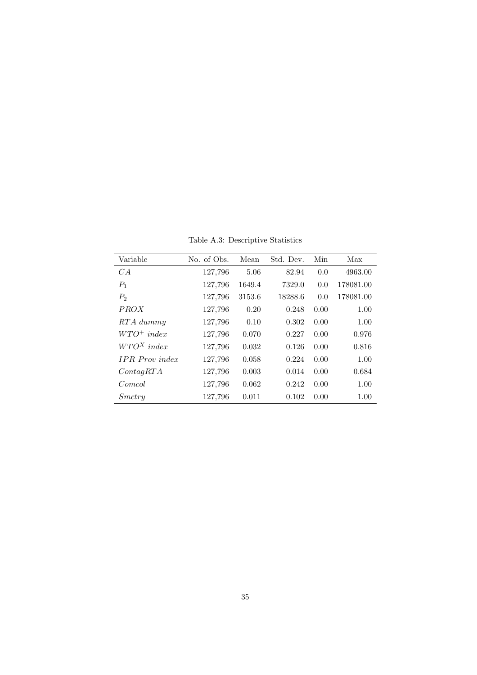Table A.3: Descriptive Statistics

| Variable              | No. of Obs. | Mean   | Std. Dev. | Min  | Max       |
|-----------------------|-------------|--------|-----------|------|-----------|
| CA                    | 127,796     | 5.06   | 82.94     | 0.0  | 4963.00   |
| $P_1$                 | 127,796     | 1649.4 | 7329.0    | 0.0  | 178081.00 |
| $P_2$                 | 127,796     | 3153.6 | 18288.6   | 0.0  | 178081.00 |
| <i>PROX</i>           | 127,796     | 0.20   | 0.248     | 0.00 | 1.00      |
| RTA dummy             | 127,796     | 0.10   | 0.302     | 0.00 | 1.00      |
| $WTO^+$ index         | 127,796     | 0.070  | 0.227     | 0.00 | 0.976     |
| $WTO^X$ index         | 127,796     | 0.032  | 0.126     | 0.00 | 0.816     |
| <b>IPR</b> Prov index | 127,796     | 0.058  | 0.224     | 0.00 | 1.00      |
| ContagRTA             | 127,796     | 0.003  | 0.014     | 0.00 | 0.684     |
| Comcol                | 127,796     | 0.062  | 0.242     | 0.00 | 1.00      |
| Smctru                | 127,796     | 0.011  | 0.102     | 0.00 | 1.00      |